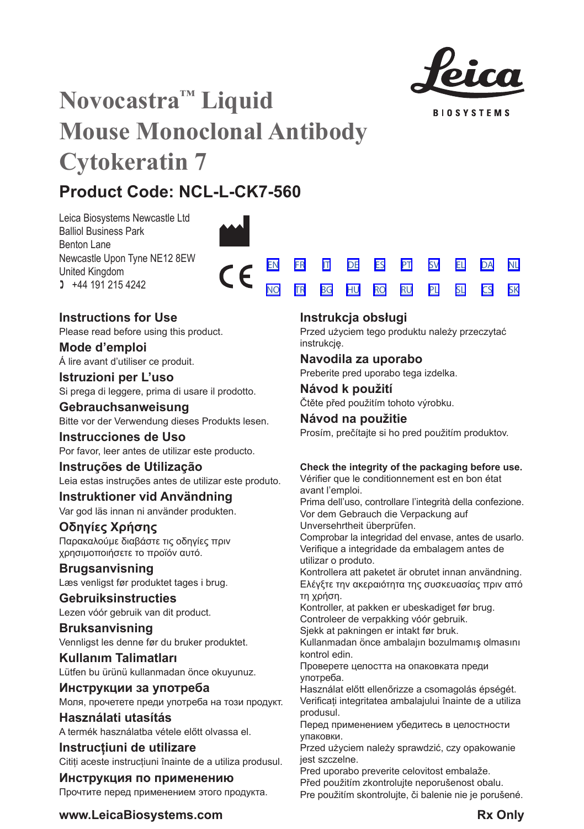

**BIOSYSTEMS** 

[SV](#page-20-0) [EL](#page-23-0) [DA](#page-26-0) [PL](#page-50-0) [SL](#page-53-0) [CS](#page-56-0)

[NL](#page-29-0)

[SK](#page-59-0)

# **Novocastra™ Liquid Mouse Monoclonal Antibody Cytokeratin 7**

## **Product Code: NCL-L-CK7-560**

Leica Biosystems Newcastle Ltd Balliol Business Park Benton Lane Newcastle Upon Tyne NE12 8EW United Kingdom  $1 +44 191 215 4242$ 



## **Instructions for Use**

Please read before using this product.

**Mode d'emploi** Á lire avant d'utiliser ce produit.

**Istruzioni per L'uso** Si prega di leggere, prima di usare il prodotto.

**Gebrauchsanweisung** Bitte vor der Verwendung dieses Produkts lesen.

**Instrucciones de Uso** Por favor, leer antes de utilizar este producto.

## **Instruções de Utilização**

Leia estas instruções antes de utilizar este produto.

## **Instruktioner vid Användning**

Var god läs innan ni använder produkten.

## **Οδηγίες Χρήσης**

Παρακαλούμε διαβάστε τις οδηγίες πριν χρησιμοποιήσετε το προϊόν αυτό.

## **Brugsanvisning**

Læs venligst før produktet tages i brug.

## **Gebruiksinstructies**

Lezen vóór gebruik van dit product.

## **Bruksanvisning** Vennligst les denne før du bruker produktet.

**Kullanım Talimatları** Lütfen bu ürünü kullanmadan önce okuyunuz.

**Инструкции за употреба** Моля, прочетете преди употреба на този продукт.

**Használati utasítás** A termék használatba vétele előtt olvassa el.

**Instrucțiuni de utilizare** Cititi aceste instructiuni înainte de a utiliza produsul.

## **Инструкция по применению** Прочтите перед применением этого продукта.

## **Instrukcja obsługi**

<u>[NO](#page-32-0) [TR](#page-35-0) [BG](#page-38-0) [HU](#page-41-0) [RO](#page-44-0) [RU](#page-47-0)</u>

Przed użyciem tego produktu należy przeczytać instrukcję.

## **Navodila za uporabo**

Preberite pred uporabo tega izdelka.

## **Návod k použití** Čtěte před použitím tohoto výrobku.

## **Návod na použitie**

Prosím, prečítajte si ho pred použitím produktov.

## **Check the integrity of the packaging before use.**

Vérifier que le conditionnement est en bon état avant l'emploi.

Prima dell'uso, controllare l'integrità della confezione. Vor dem Gebrauch die Verpackung auf

Unversehrtheit überprüfen.

Comprobar la integridad del envase, antes de usarlo. Verifique a integridade da embalagem antes de utilizar o produto.

Kontrollera att paketet är obrutet innan användning. Ελέγξτε την ακεραιότητα της συσκευασίας πριν από τη χρήση.

Kontroller, at pakken er ubeskadiget før brug. Controleer de verpakking vóór gebruik.

Sjekk at pakningen er intakt før bruk.

Kullanmadan önce ambalajın bozulmamış olmasını kontrol edin.

Проверете целостта на опаковката преди употреба.

Használat előtt ellenőrizze a csomagolás épségét. Verificați integritatea ambalajului înainte de a utiliza produsul.

Перед применением убедитесь в целостности упаковки.

Przed użyciem należy sprawdzić, czy opakowanie jest szczelne.

Pred uporabo preverite celovitost embalaže.

Před použitím zkontrolujte neporušenost obalu. Pre použitím skontrolujte, či balenie nie je porušené.

## **www.LeicaBiosystems.com Rx** Only **Rx** Only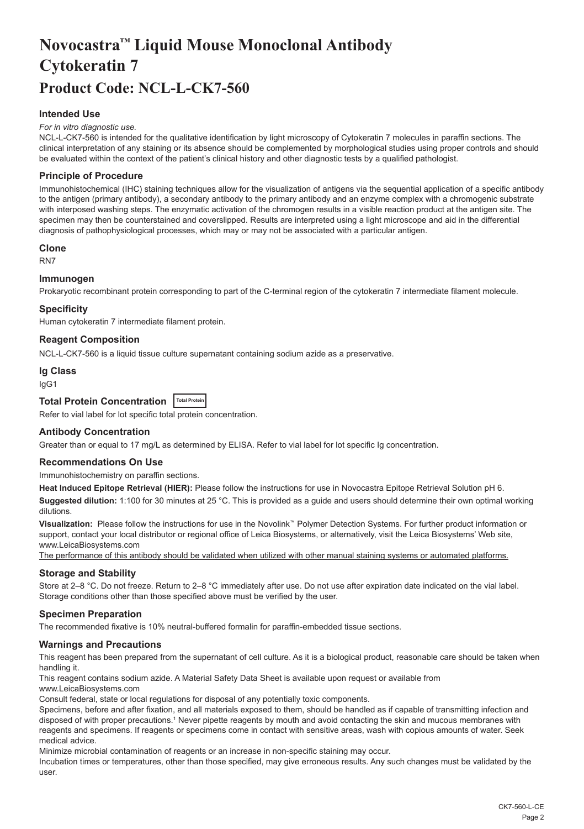## <span id="page-2-0"></span>**Novocastra™ Liquid Mouse Monoclonal Antibody Cytokeratin 7 Product Code: NCL-L-CK7-560**

## **Intended Use**

#### *For in vitro diagnostic use.*

NCL-L-CK7-560 is intended for the qualitative identification by light microscopy of Cytokeratin 7 molecules in paraffin sections. The clinical interpretation of any staining or its absence should be complemented by morphological studies using proper controls and should be evaluated within the context of the patient's clinical history and other diagnostic tests by a qualified pathologist.

## **Principle of Procedure**

Immunohistochemical (IHC) staining techniques allow for the visualization of antigens via the sequential application of a specific antibody to the antigen (primary antibody), a secondary antibody to the primary antibody and an enzyme complex with a chromogenic substrate with interposed washing steps. The enzymatic activation of the chromogen results in a visible reaction product at the antigen site. The specimen may then be counterstained and coverslipped. Results are interpreted using a light microscope and aid in the differential diagnosis of pathophysiological processes, which may or may not be associated with a particular antigen.

#### **Clone**

RN7

#### **Immunogen**

Prokaryotic recombinant protein corresponding to part of the C-terminal region of the cytokeratin 7 intermediate filament molecule.

#### **Specificity**

Human cytokeratin 7 intermediate filament protein.

#### **Reagent Composition**

NCL-L-CK7-560 is a liquid tissue culture supernatant containing sodium azide as a preservative.

#### **Ig Class**

IgG1

## **Total Protein Concentration Total Protein**

Refer to vial label for lot specific total protein concentration.

#### **Antibody Concentration**

Greater than or equal to 17 mg/L as determined by ELISA. Refer to vial label for lot specific Ig concentration.

## **Recommendations On Use**

Immunohistochemistry on paraffin sections.

**Heat Induced Epitope Retrieval (HIER):** Please follow the instructions for use in Novocastra Epitope Retrieval Solution pH 6.

**Suggested dilution:** 1:100 for 30 minutes at 25 °C. This is provided as a guide and users should determine their own optimal working dilutions.

**Visualization:** Please follow the instructions for use in the Novolink™ Polymer Detection Systems. For further product information or support, contact your local distributor or regional office of Leica Biosystems, or alternatively, visit the Leica Biosystems' Web site, www.LeicaBiosystems.com

The performance of this antibody should be validated when utilized with other manual staining systems or automated platforms.

#### **Storage and Stability**

Store at 2–8 °C. Do not freeze. Return to 2–8 °C immediately after use. Do not use after expiration date indicated on the vial label. Storage conditions other than those specified above must be verified by the user.

## **Specimen Preparation**

The recommended fixative is 10% neutral-buffered formalin for paraffin-embedded tissue sections.

## **Warnings and Precautions**

This reagent has been prepared from the supernatant of cell culture. As it is a biological product, reasonable care should be taken when handling it.

This reagent contains sodium azide. A Material Safety Data Sheet is available upon request or available from www.LeicaBiosystems.com

Consult federal, state or local regulations for disposal of any potentially toxic components.

Specimens, before and after fixation, and all materials exposed to them, should be handled as if capable of transmitting infection and disposed of with proper precautions.1 Never pipette reagents by mouth and avoid contacting the skin and mucous membranes with reagents and specimens. If reagents or specimens come in contact with sensitive areas, wash with copious amounts of water. Seek medical advice.

Minimize microbial contamination of reagents or an increase in non-specific staining may occur.

Incubation times or temperatures, other than those specified, may give erroneous results. Any such changes must be validated by the user.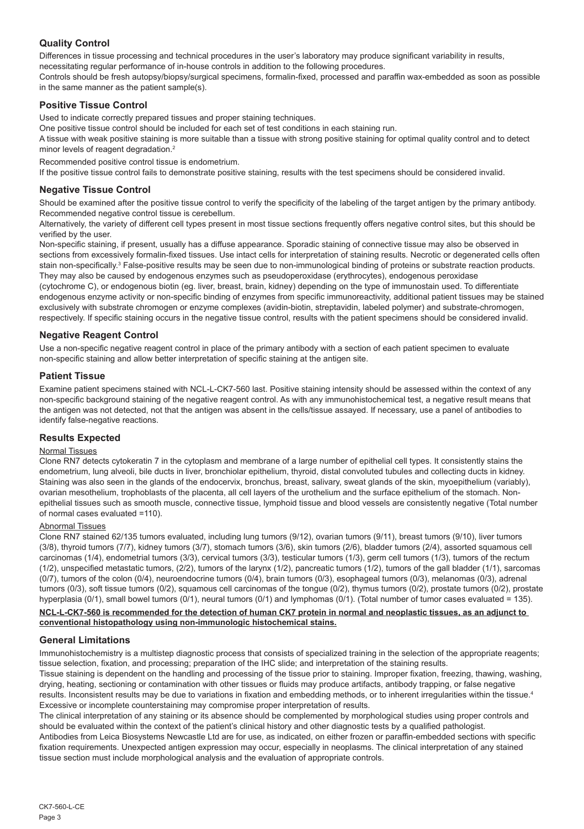## **Quality Control**

Differences in tissue processing and technical procedures in the user's laboratory may produce significant variability in results, necessitating regular performance of in-house controls in addition to the following procedures.

Controls should be fresh autopsy/biopsy/surgical specimens, formalin-fixed, processed and paraffin wax-embedded as soon as possible in the same manner as the patient sample(s).

## **Positive Tissue Control**

Used to indicate correctly prepared tissues and proper staining techniques.

One positive tissue control should be included for each set of test conditions in each staining run.

A tissue with weak positive staining is more suitable than a tissue with strong positive staining for optimal quality control and to detect minor levels of reagent degradation.<sup>2</sup>

Recommended positive control tissue is endometrium.

If the positive tissue control fails to demonstrate positive staining, results with the test specimens should be considered invalid.

#### **Negative Tissue Control**

Should be examined after the positive tissue control to verify the specificity of the labeling of the target antigen by the primary antibody. Recommended negative control tissue is cerebellum.

Alternatively, the variety of different cell types present in most tissue sections frequently offers negative control sites, but this should be verified by the user.

Non-specific staining, if present, usually has a diffuse appearance. Sporadic staining of connective tissue may also be observed in sections from excessively formalin-fixed tissues. Use intact cells for interpretation of staining results. Necrotic or degenerated cells often stain non-specifically.<sup>3</sup> False-positive results may be seen due to non-immunological binding of proteins or substrate reaction products. They may also be caused by endogenous enzymes such as pseudoperoxidase (erythrocytes), endogenous peroxidase

(cytochrome C), or endogenous biotin (eg. liver, breast, brain, kidney) depending on the type of immunostain used. To differentiate endogenous enzyme activity or non-specific binding of enzymes from specific immunoreactivity, additional patient tissues may be stained exclusively with substrate chromogen or enzyme complexes (avidin-biotin, streptavidin, labeled polymer) and substrate-chromogen, respectively. If specific staining occurs in the negative tissue control, results with the patient specimens should be considered invalid.

## **Negative Reagent Control**

Use a non-specific negative reagent control in place of the primary antibody with a section of each patient specimen to evaluate non-specific staining and allow better interpretation of specific staining at the antigen site.

## **Patient Tissue**

Examine patient specimens stained with NCL-L-CK7-560 last. Positive staining intensity should be assessed within the context of any non-specific background staining of the negative reagent control. As with any immunohistochemical test, a negative result means that the antigen was not detected, not that the antigen was absent in the cells/tissue assayed. If necessary, use a panel of antibodies to identify false-negative reactions.

## **Results Expected**

## Normal Tissues

Clone RN7 detects cytokeratin 7 in the cytoplasm and membrane of a large number of epithelial cell types. It consistently stains the endometrium, lung alveoli, bile ducts in liver, bronchiolar epithelium, thyroid, distal convoluted tubules and collecting ducts in kidney. Staining was also seen in the glands of the endocervix, bronchus, breast, salivary, sweat glands of the skin, myoepithelium (variably), ovarian mesothelium, trophoblasts of the placenta, all cell layers of the urothelium and the surface epithelium of the stomach. Nonepithelial tissues such as smooth muscle, connective tissue, lymphoid tissue and blood vessels are consistently negative (Total number of normal cases evaluated =110).

#### Abnormal Tissues

Clone RN7 stained 62/135 tumors evaluated, including lung tumors (9/12), ovarian tumors (9/11), breast tumors (9/10), liver tumors (3/8), thyroid tumors (7/7), kidney tumors (3/7), stomach tumors (3/6), skin tumors (2/6), bladder tumors (2/4), assorted squamous cell carcinomas (1/4), endometrial tumors (3/3), cervical tumors (3/3), testicular tumors (1/3), germ cell tumors (1/3), tumors of the rectum (1/2), unspecified metastatic tumors, (2/2), tumors of the larynx (1/2), pancreatic tumors (1/2), tumors of the gall bladder (1/1), sarcomas (0/7), tumors of the colon (0/4), neuroendocrine tumors (0/4), brain tumors (0/3), esophageal tumors (0/3), melanomas (0/3), adrenal tumors (0/3), soft tissue tumors (0/2), squamous cell carcinomas of the tongue (0/2), thymus tumors (0/2), prostate tumors (0/2), prostate hyperplasia (0/1), small bowel tumors (0/1), neural tumors (0/1) and lymphomas (0/1). (Total number of tumor cases evaluated = 135).

#### **NCL-L-CK7-560 is recommended for the detection of human CK7 protein in normal and neoplastic tissues, as an adjunct to conventional histopathology using non-immunologic histochemical stains.**

## **General Limitations**

Immunohistochemistry is a multistep diagnostic process that consists of specialized training in the selection of the appropriate reagents; tissue selection, fixation, and processing; preparation of the IHC slide; and interpretation of the staining results.

Tissue staining is dependent on the handling and processing of the tissue prior to staining. Improper fixation, freezing, thawing, washing, drying, heating, sectioning or contamination with other tissues or fluids may produce artifacts, antibody trapping, or false negative results. Inconsistent results may be due to variations in fixation and embedding methods, or to inherent irregularities within the tissue.4 Excessive or incomplete counterstaining may compromise proper interpretation of results.

The clinical interpretation of any staining or its absence should be complemented by morphological studies using proper controls and should be evaluated within the context of the patient's clinical history and other diagnostic tests by a qualified pathologist. Antibodies from Leica Biosystems Newcastle Ltd are for use, as indicated, on either frozen or paraffin-embedded sections with specific fixation requirements. Unexpected antigen expression may occur, especially in neoplasms. The clinical interpretation of any stained tissue section must include morphological analysis and the evaluation of appropriate controls.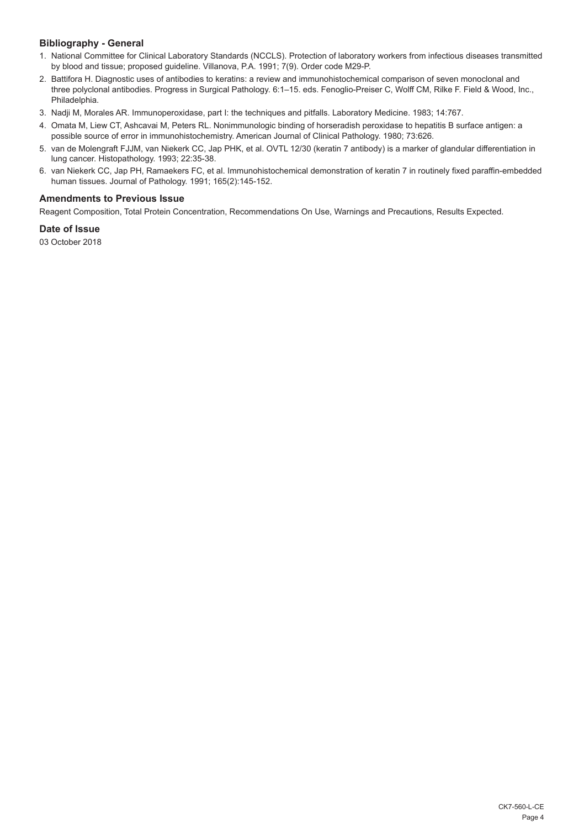## **Bibliography - General**

- 1. National Committee for Clinical Laboratory Standards (NCCLS). Protection of laboratory workers from infectious diseases transmitted by blood and tissue; proposed guideline. Villanova, P.A. 1991; 7(9). Order code M29-P.
- 2. Battifora H. Diagnostic uses of antibodies to keratins: a review and immunohistochemical comparison of seven monoclonal and three polyclonal antibodies. Progress in Surgical Pathology. 6:1–15. eds. Fenoglio-Preiser C, Wolff CM, Rilke F. Field & Wood, Inc., Philadelphia.
- 3. Nadji M, Morales AR. Immunoperoxidase, part I: the techniques and pitfalls. Laboratory Medicine. 1983; 14:767.
- 4. Omata M, Liew CT, Ashcavai M, Peters RL. Nonimmunologic binding of horseradish peroxidase to hepatitis B surface antigen: a possible source of error in immunohistochemistry. American Journal of Clinical Pathology. 1980; 73:626.
- 5. van de Molengraft FJJM, van Niekerk CC, Jap PHK, et al. OVTL 12/30 (keratin 7 antibody) is a marker of glandular differentiation in lung cancer. Histopathology. 1993; 22:35-38.
- 6. van Niekerk CC, Jap PH, Ramaekers FC, et al. Immunohistochemical demonstration of keratin 7 in routinely fixed paraffin-embedded human tissues. Journal of Pathology. 1991; 165(2):145-152.

## **Amendments to Previous Issue**

Reagent Composition, Total Protein Concentration, Recommendations On Use, Warnings and Precautions, Results Expected.

## **Date of Issue**

03 October 2018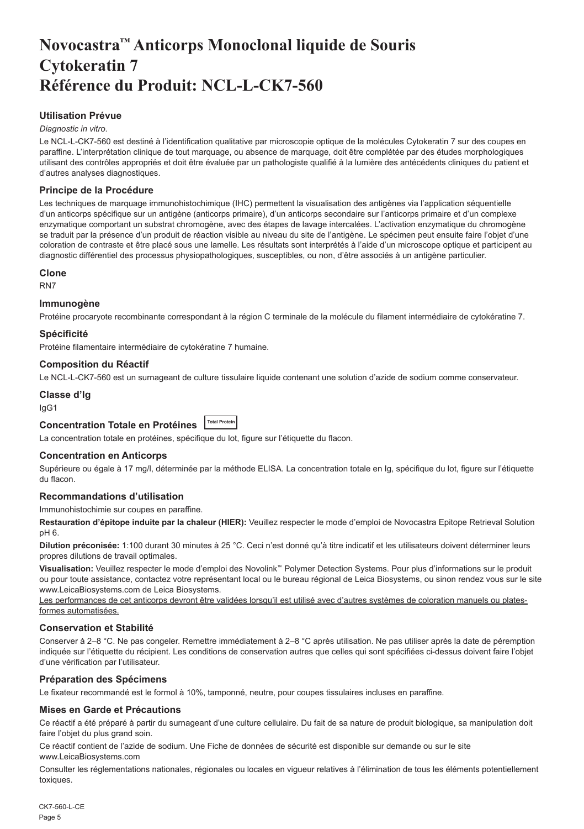## <span id="page-5-0"></span>**Novocastra™ Anticorps Monoclonal liquide de Souris Cytokeratin 7 Référence du Produit: NCL-L-CK7-560**

## **Utilisation Prévue**

#### *Diagnostic in vitro*.

Le NCL-L-CK7-560 est destiné à l'identification qualitative par microscopie optique de la molécules Cytokeratin 7 sur des coupes en paraffine. L'interprétation clinique de tout marquage, ou absence de marquage, doit être complétée par des études morphologiques utilisant des contrôles appropriés et doit être évaluée par un pathologiste qualifié à la lumière des antécédents cliniques du patient et d'autres analyses diagnostiques.

## **Principe de la Procédure**

Les techniques de marquage immunohistochimique (IHC) permettent la visualisation des antigènes via l'application séquentielle d'un anticorps spécifique sur un antigène (anticorps primaire), d'un anticorps secondaire sur l'anticorps primaire et d'un complexe enzymatique comportant un substrat chromogène, avec des étapes de lavage intercalées. L'activation enzymatique du chromogène se traduit par la présence d'un produit de réaction visible au niveau du site de l'antigène. Le spécimen peut ensuite faire l'objet d'une coloration de contraste et être placé sous une lamelle. Les résultats sont interprétés à l'aide d'un microscope optique et participent au diagnostic différentiel des processus physiopathologiques, susceptibles, ou non, d'être associés à un antigène particulier.

#### **Clone**

D<sub>N7</sub>

#### **Immunogène**

Protéine procaryote recombinante correspondant à la région C terminale de la molécule du filament intermédiaire de cytokératine 7.

#### **Spécificité**

Protéine filamentaire intermédiaire de cytokératine 7 humaine.

#### **Composition du Réactif**

Le NCL-L-CK7-560 est un surnageant de culture tissulaire liquide contenant une solution d'azide de sodium comme conservateur.

## **Classe d'Ig**

IgG1

## **Concentration Totale en Protéines Total Protein**

La concentration totale en protéines, spécifique du lot, figure sur l'étiquette du flacon.

## **Concentration en Anticorps**

Supérieure ou égale à 17 mg/l, déterminée par la méthode ELISA. La concentration totale en Ig, spécifique du lot, figure sur l'étiquette du flacon.

## **Recommandations d'utilisation**

Immunohistochimie sur coupes en paraffine.

**Restauration d'épitope induite par la chaleur (HIER):** Veuillez respecter le mode d'emploi de Novocastra Epitope Retrieval Solution pH 6.

Dilution préconisée: 1:100 durant 30 minutes à 25 °C. Ceci n'est donné qu'à titre indicatif et les utilisateurs doivent déterminer leurs propres dilutions de travail optimales.

**Visualisation:** Veuillez respecter le mode d'emploi des Novolink™ Polymer Detection Systems. Pour plus d'informations sur le produit ou pour toute assistance, contactez votre représentant local ou le bureau régional de Leica Biosystems, ou sinon rendez vous sur le site www.LeicaBiosystems.com de Leica Biosystems.

Les performances de cet anticorps devront être validées lorsqu'il est utilisé avec d'autres systèmes de coloration manuels ou platesformes automatisées.

## **Conservation et Stabilité**

Conserver à 2–8 °C. Ne pas congeler. Remettre immédiatement à 2–8 °C après utilisation. Ne pas utiliser après la date de péremption indiquée sur l'étiquette du récipient. Les conditions de conservation autres que celles qui sont spécifiées ci-dessus doivent faire l'objet d'une vérification par l'utilisateur.

## **Préparation des Spécimens**

Le fixateur recommandé est le formol à 10%, tamponné, neutre, pour coupes tissulaires incluses en paraffine.

#### **Mises en Garde et Précautions**

Ce réactif a été préparé à partir du surnageant d'une culture cellulaire. Du fait de sa nature de produit biologique, sa manipulation doit faire l'objet du plus grand soin.

Ce réactif contient de l'azide de sodium. Une Fiche de données de sécurité est disponible sur demande ou sur le site www.LeicaBiosystems.com

Consulter les réglementations nationales, régionales ou locales en vigueur relatives à l'élimination de tous les éléments potentiellement toxiques.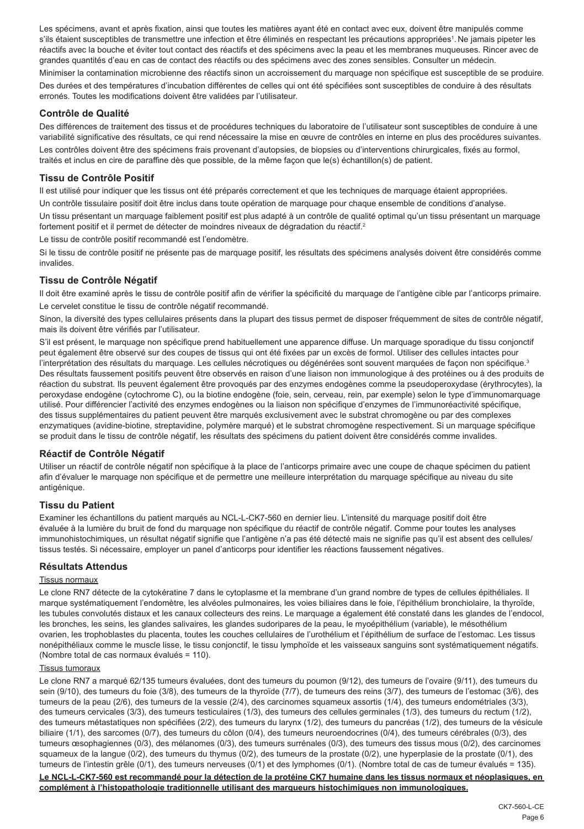Les spécimens, avant et après fixation, ainsi que toutes les matières ayant été en contact avec eux, doivent être manipulés comme s'ils étaient susceptibles de transmettre une infection et être éliminés en respectant les précautions appropriées'. Ne jamais pipeter les réactifs avec la bouche et éviter tout contact des réactifs et des spécimens avec la peau et les membranes muqueuses. Rincer avec de grandes quantités d'eau en cas de contact des réactifs ou des spécimens avec des zones sensibles. Consulter un médecin.

Minimiser la contamination microbienne des réactifs sinon un accroissement du marquage non spécifique est susceptible de se produire. Des durées et des températures d'incubation différentes de celles qui ont été spécifiées sont susceptibles de conduire à des résultats erronés. Toutes les modifications doivent être validées par l'utilisateur.

## **Contrôle de Qualité**

Des différences de traitement des tissus et de procédures techniques du laboratoire de l'utilisateur sont susceptibles de conduire à une variabilité significative des résultats, ce qui rend nécessaire la mise en œuvre de contrôles en interne en plus des procédures suivantes. Les contrôles doivent être des spécimens frais provenant d'autopsies, de biopsies ou d'interventions chirurgicales, fixés au formol, traités et inclus en cire de paraffine dès que possible, de la même façon que le(s) échantillon(s) de patient.

## **Tissu de Contrôle Positif**

Il est utilisé pour indiquer que les tissus ont été préparés correctement et que les techniques de marquage étaient appropriées. Un contrôle tissulaire positif doit être inclus dans toute opération de marquage pour chaque ensemble de conditions d'analyse.

Un tissu présentant un marquage faiblement positif est plus adapté à un contrôle de qualité optimal qu'un tissu présentant un marquage fortement positif et il permet de détecter de moindres niveaux de dégradation du réactif.<sup>2</sup>

Le tissu de contrôle positif recommandé est l'endomètre.

Si le tissu de contrôle positif ne présente pas de marquage positif, les résultats des spécimens analysés doivent être considérés comme invalides.

## **Tissu de Contrôle Négatif**

Il doit être examiné après le tissu de contrôle positif afin de vérifier la spécificité du marquage de l'antigène cible par l'anticorps primaire. Le cervelet constitue le tissu de contrôle négatif recommandé.

Sinon, la diversité des types cellulaires présents dans la plupart des tissus permet de disposer fréquemment de sites de contrôle négatif, mais ils doivent être vérifiés par l'utilisateur.

S'il est présent, le marquage non spécifique prend habituellement une apparence diffuse. Un marquage sporadique du tissu conjonctif peut également être observé sur des coupes de tissus qui ont été fixées par un excès de formol. Utiliser des cellules intactes pour l'interprétation des résultats du marquage. Les cellules nécrotiques ou dégénérées sont souvent marquées de façon non spécifique.3 Des résultats faussement positifs peuvent être observés en raison d'une liaison non immunologique à des protéines ou à des produits de réaction du substrat. Ils peuvent également être provoqués par des enzymes endogènes comme la pseudoperoxydase (érythrocytes), la peroxydase endogène (cytochrome C), ou la biotine endogène (foie, sein, cerveau, rein, par exemple) selon le type d'immunomarquage utilisé. Pour différencier l'activité des enzymes endogènes ou la liaison non spécifique d'enzymes de l'immunoréactivité spécifique, des tissus supplémentaires du patient peuvent être marqués exclusivement avec le substrat chromogène ou par des complexes enzymatiques (avidine-biotine, streptavidine, polymère marqué) et le substrat chromogène respectivement. Si un marquage spécifique se produit dans le tissu de contrôle négatif, les résultats des spécimens du patient doivent être considérés comme invalides.

## **Réactif de Contrôle Négatif**

Utiliser un réactif de contrôle négatif non spécifique à la place de l'anticorps primaire avec une coupe de chaque spécimen du patient afin d'évaluer le marquage non spécifique et de permettre une meilleure interprétation du marquage spécifique au niveau du site antigénique.

## **Tissu du Patient**

Examiner les échantillons du patient marqués au NCL-L-CK7-560 en dernier lieu. L'intensité du marquage positif doit être évaluée à la lumière du bruit de fond du marquage non spécifique du réactif de contrôle négatif. Comme pour toutes les analyses immunohistochimiques, un résultat négatif signifie que l'antigène n'a pas été détecté mais ne signifie pas qu'il est absent des cellules/ tissus testés. Si nécessaire, employer un panel d'anticorps pour identifier les réactions faussement négatives.

## **Résultats Attendus**

## Tissus normaux

Le clone RN7 détecte de la cytokératine 7 dans le cytoplasme et la membrane d'un grand nombre de types de cellules épithéliales. Il marque systématiquement l'endomètre, les alvéoles pulmonaires, les voies biliaires dans le foie, l'épithélium bronchiolaire, la thyroïde, les tubules convolutés distaux et les canaux collecteurs des reins. Le marquage a également été constaté dans les glandes de l'endocol, les bronches, les seins, les glandes salivaires, les glandes sudoripares de la peau, le myoépithélium (variable), le mésothélium ovarien, les trophoblastes du placenta, toutes les couches cellulaires de l'urothélium et l'épithélium de surface de l'estomac. Les tissus nonépithéliaux comme le muscle lisse, le tissu conjonctif, le tissu lymphoïde et les vaisseaux sanguins sont systématiquement négatifs. (Nombre total de cas normaux évalués = 110).

## Tissus tumoraux

Le clone RN7 a marqué 62/135 tumeurs évaluées, dont des tumeurs du poumon (9/12), des tumeurs de l'ovaire (9/11), des tumeurs du sein (9/10), des tumeurs du foie (3/8), des tumeurs de la thyroïde (7/7), de tumeurs des reins (3/7), des tumeurs de l'estomac (3/6), des tumeurs de la peau (2/6), des tumeurs de la vessie (2/4), des carcinomes squameux assortis (1/4), des tumeurs endométriales (3/3), des tumeurs cervicales (3/3), des tumeurs testiculaires (1/3), des tumeurs des cellules germinales (1/3), des tumeurs du rectum (1/2), des tumeurs métastatiques non spécifiées (2/2), des tumeurs du larynx (1/2), des tumeurs du pancréas (1/2), des tumeurs de la vésicule biliaire (1/1), des sarcomes (0/7), des tumeurs du côlon (0/4), des tumeurs neuroendocrines (0/4), des tumeurs cérébrales (0/3), des tumeurs œsophagiennes (0/3), des mélanomes (0/3), des tumeurs surrénales (0/3), des tumeurs des tissus mous (0/2), des carcinomes squameux de la langue (0/2), des tumeurs du thymus (0/2), des tumeurs de la prostate (0/2), une hyperplasie de la prostate (0/1), des tumeurs de l'intestin grêle (0/1), des tumeurs nerveuses (0/1) et des lymphomes (0/1). (Nombre total de cas de tumeur évalués = 135).

**Le NCL-L-CK7-560 est recommandé pour la détection de la protéine CK7 humaine dans les tissus normaux et néoplasiques, en complément à l'histopathologie traditionnelle utilisant des marqueurs histochimiques non immunologiques.**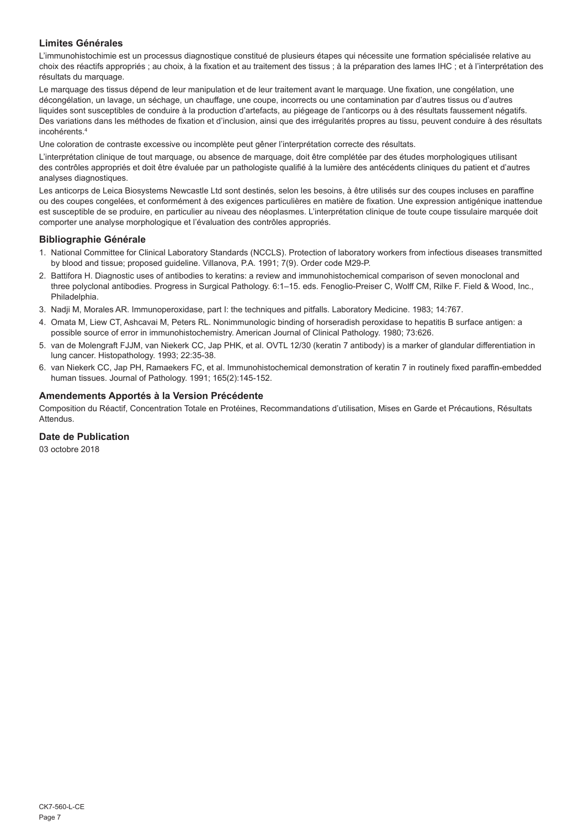## **Limites Générales**

L'immunohistochimie est un processus diagnostique constitué de plusieurs étapes qui nécessite une formation spécialisée relative au choix des réactifs appropriés ; au choix, à la fixation et au traitement des tissus ; à la préparation des lames IHC ; et à l'interprétation des résultats du marquage.

Le marquage des tissus dépend de leur manipulation et de leur traitement avant le marquage. Une fixation, une congélation, une décongélation, un lavage, un séchage, un chauffage, une coupe, incorrects ou une contamination par d'autres tissus ou d'autres liquides sont susceptibles de conduire à la production d'artefacts, au piégeage de l'anticorps ou à des résultats faussement négatifs. Des variations dans les méthodes de fixation et d'inclusion, ainsi que des irrégularités propres au tissu, peuvent conduire à des résultats incohérents<sup>4</sup>

Une coloration de contraste excessive ou incomplète peut gêner l'interprétation correcte des résultats.

L'interprétation clinique de tout marquage, ou absence de marquage, doit être complétée par des études morphologiques utilisant des contrôles appropriés et doit être évaluée par un pathologiste qualifié à la lumière des antécédents cliniques du patient et d'autres analyses diagnostiques.

Les anticorps de Leica Biosystems Newcastle Ltd sont destinés, selon les besoins, à être utilisés sur des coupes incluses en paraffine ou des coupes congelées, et conformément à des exigences particulières en matière de fixation. Une expression antigénique inattendue est susceptible de se produire, en particulier au niveau des néoplasmes. L'interprétation clinique de toute coupe tissulaire marquée doit comporter une analyse morphologique et l'évaluation des contrôles appropriés.

#### **Bibliographie Générale**

- 1. National Committee for Clinical Laboratory Standards (NCCLS). Protection of laboratory workers from infectious diseases transmitted by blood and tissue; proposed guideline. Villanova, P.A. 1991; 7(9). Order code M29-P.
- 2. Battifora H. Diagnostic uses of antibodies to keratins: a review and immunohistochemical comparison of seven monoclonal and three polyclonal antibodies. Progress in Surgical Pathology. 6:1–15. eds. Fenoglio-Preiser C, Wolff CM, Rilke F. Field & Wood, Inc., Philadelphia.
- 3. Nadji M, Morales AR. Immunoperoxidase, part I: the techniques and pitfalls. Laboratory Medicine. 1983; 14:767.
- 4. Omata M, Liew CT, Ashcavai M, Peters RL. Nonimmunologic binding of horseradish peroxidase to hepatitis B surface antigen: a possible source of error in immunohistochemistry. American Journal of Clinical Pathology. 1980; 73:626.
- 5. van de Molengraft FJJM, van Niekerk CC, Jap PHK, et al. OVTL 12/30 (keratin 7 antibody) is a marker of glandular differentiation in lung cancer. Histopathology. 1993; 22:35-38.
- 6. van Niekerk CC, Jap PH, Ramaekers FC, et al. Immunohistochemical demonstration of keratin 7 in routinely fixed paraffin-embedded human tissues. Journal of Pathology. 1991; 165(2):145-152.

#### **Amendements Apportés à la Version Précédente**

Composition du Réactif, Concentration Totale en Protéines, Recommandations d'utilisation, Mises en Garde et Précautions, Résultats **Attendue** 

## **Date de Publication**

03 octobre 2018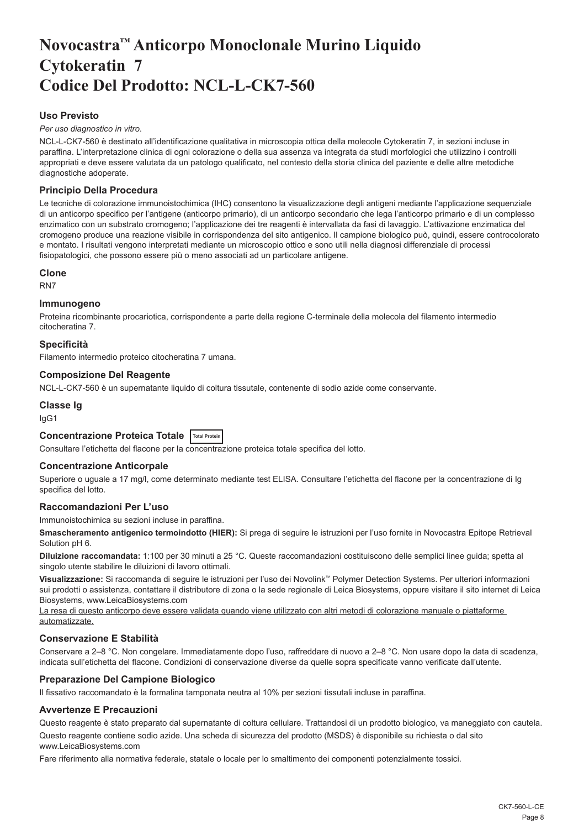## <span id="page-8-0"></span>**Novocastra™ Anticorpo Monoclonale Murino Liquido Cytokeratin 7 Codice Del Prodotto: NCL-L-CK7-560**

## **Uso Previsto**

#### *Per uso diagnostico in vitro*.

NCL-L-CK7-560 è destinato all'identificazione qualitativa in microscopia ottica della molecole Cytokeratin 7, in sezioni incluse in paraffina. L'interpretazione clinica di ogni colorazione o della sua assenza va integrata da studi morfologici che utilizzino i controlli appropriati e deve essere valutata da un patologo qualificato, nel contesto della storia clinica del paziente e delle altre metodiche diagnostiche adoperate.

## **Principio Della Procedura**

Le tecniche di colorazione immunoistochimica (IHC) consentono la visualizzazione degli antigeni mediante l'applicazione sequenziale di un anticorpo specifico per l'antigene (anticorpo primario), di un anticorpo secondario che lega l'anticorpo primario e di un complesso enzimatico con un substrato cromogeno; l'applicazione dei tre reagenti è intervallata da fasi di lavaggio. L'attivazione enzimatica del cromogeno produce una reazione visibile in corrispondenza del sito antigenico. Il campione biologico può, quindi, essere controcolorato e montato. I risultati vengono interpretati mediante un microscopio ottico e sono utili nella diagnosi differenziale di processi fisiopatologici, che possono essere più o meno associati ad un particolare antigene.

#### **Clone**

D<sub>N7</sub>

#### **Immunogeno**

Proteina ricombinante procariotica, corrispondente a parte della regione C-terminale della molecola del filamento intermedio citocheratina 7.

#### **Specificità**

Filamento intermedio proteico citocheratina 7 umana.

#### **Composizione Del Reagente**

NCL-L-CK7-560 è un supernatante liquido di coltura tissutale, contenente di sodio azide come conservante.

#### **Classe Ig**

IgG1

## **Concentrazione Proteica Totale Total Protein**

Consultare l'etichetta del flacone per la concentrazione proteica totale specifica del lotto.

#### **Concentrazione Anticorpale**

Superiore o uguale a 17 mg/l, come determinato mediante test ELISA. Consultare l'etichetta del flacone per la concentrazione di Ig specifica del lotto.

## **Raccomandazioni Per L'uso**

Immunoistochimica su sezioni incluse in paraffina.

**Smascheramento antigenico termoindotto (HIER):** Si prega di seguire le istruzioni per l'uso fornite in Novocastra Epitope Retrieval Solution pH 6.

**Diluizione raccomandata:** 1:100 per 30 minuti a 25 °C. Queste raccomandazioni costituiscono delle semplici linee guida; spetta al singolo utente stabilire le diluizioni di lavoro ottimali.

**Visualizzazione:** Si raccomanda di seguire le istruzioni per l'uso dei Novolink™ Polymer Detection Systems. Per ulteriori informazioni sui prodotti o assistenza, contattare il distributore di zona o la sede regionale di Leica Biosystems, oppure visitare il sito internet di Leica Biosystems, www.LeicaBiosystems.com

La resa di questo anticorpo deve essere validata quando viene utilizzato con altri metodi di colorazione manuale o piattaforme automatizzate.

#### **Conservazione E Stabilità**

Conservare a 2–8 °C. Non congelare. Immediatamente dopo l'uso, raffreddare di nuovo a 2–8 °C. Non usare dopo la data di scadenza, indicata sull'etichetta del flacone. Condizioni di conservazione diverse da quelle sopra specificate vanno verificate dall'utente.

## **Preparazione Del Campione Biologico**

Il fissativo raccomandato è la formalina tamponata neutra al 10% per sezioni tissutali incluse in paraffina.

#### **Avvertenze E Precauzioni**

Questo reagente è stato preparato dal supernatante di coltura cellulare. Trattandosi di un prodotto biologico, va maneggiato con cautela. Questo reagente contiene sodio azide. Una scheda di sicurezza del prodotto (MSDS) è disponibile su richiesta o dal sito www.LeicaBiosystems.com

Fare riferimento alla normativa federale, statale o locale per lo smaltimento dei componenti potenzialmente tossici.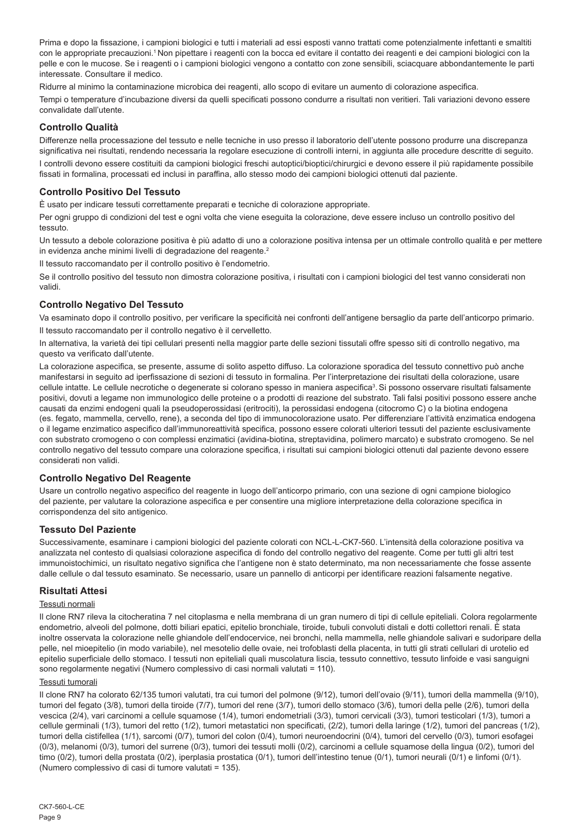Prima e dopo la fissazione, i campioni biologici e tutti i materiali ad essi esposti vanno trattati come potenzialmente infettanti e smaltiti con le appropriate precauzioni.<sup>1</sup> Non pipettare i reagenti con la bocca ed evitare il contatto dei reagenti e dei campioni biologici con la pelle e con le mucose. Se i reagenti o i campioni biologici vengono a contatto con zone sensibili, sciacquare abbondantemente le parti interessate. Consultare il medico.

Ridurre al minimo la contaminazione microbica dei reagenti, allo scopo di evitare un aumento di colorazione aspecifica.

Tempi o temperature d'incubazione diversi da quelli specificati possono condurre a risultati non veritieri. Tali variazioni devono essere convalidate dall'utente.

## **Controllo Qualità**

Differenze nella processazione del tessuto e nelle tecniche in uso presso il laboratorio dell'utente possono produrre una discrepanza significativa nei risultati, rendendo necessaria la regolare esecuzione di controlli interni, in aggiunta alle procedure descritte di seguito.

I controlli devono essere costituiti da campioni biologici freschi autoptici/bioptici/chirurgici e devono essere il più rapidamente possibile fissati in formalina, processati ed inclusi in paraffina, allo stesso modo dei campioni biologici ottenuti dal paziente.

## **Controllo Positivo Del Tessuto**

È usato per indicare tessuti correttamente preparati e tecniche di colorazione appropriate.

Per ogni gruppo di condizioni del test e ogni volta che viene eseguita la colorazione, deve essere incluso un controllo positivo del tessuto.

Un tessuto a debole colorazione positiva è più adatto di uno a colorazione positiva intensa per un ottimale controllo qualità e per mettere in evidenza anche minimi livelli di degradazione del reagente.<sup>2</sup>

Il tessuto raccomandato per il controllo positivo è l'endometrio.

Se il controllo positivo del tessuto non dimostra colorazione positiva, i risultati con i campioni biologici del test vanno considerati non validi.

## **Controllo Negativo Del Tessuto**

Va esaminato dopo il controllo positivo, per verificare la specificità nei confronti dell'antigene bersaglio da parte dell'anticorpo primario. Il tessuto raccomandato per il controllo negativo è il cervelletto.

In alternativa, la varietà dei tipi cellulari presenti nella maggior parte delle sezioni tissutali offre spesso siti di controllo negativo, ma questo va verificato dall'utente.

La colorazione aspecifica, se presente, assume di solito aspetto diffuso. La colorazione sporadica del tessuto connettivo può anche manifestarsi in seguito ad iperfissazione di sezioni di tessuto in formalina. Per l'interpretazione dei risultati della colorazione, usare cellule intatte. Le cellule necrotiche o degenerate si colorano spesso in maniera aspecifica<sup>3</sup>. Si possono osservare risultati falsamente positivi, dovuti a legame non immunologico delle proteine o a prodotti di reazione del substrato. Tali falsi positivi possono essere anche causati da enzimi endogeni quali la pseudoperossidasi (eritrociti), la perossidasi endogena (citocromo C) o la biotina endogena (es. fegato, mammella, cervello, rene), a seconda del tipo di immunocolorazione usato. Per differenziare l'attività enzimatica endogena o il legame enzimatico aspecifico dall'immunoreattività specifica, possono essere colorati ulteriori tessuti del paziente esclusivamente con substrato cromogeno o con complessi enzimatici (avidina-biotina, streptavidina, polimero marcato) e substrato cromogeno. Se nel controllo negativo del tessuto compare una colorazione specifica, i risultati sui campioni biologici ottenuti dal paziente devono essere considerati non validi.

## **Controllo Negativo Del Reagente**

Usare un controllo negativo aspecifico del reagente in luogo dell'anticorpo primario, con una sezione di ogni campione biologico del paziente, per valutare la colorazione aspecifica e per consentire una migliore interpretazione della colorazione specifica in corrispondenza del sito antigenico.

## **Tessuto Del Paziente**

Successivamente, esaminare i campioni biologici del paziente colorati con NCL-L-CK7-560. L'intensità della colorazione positiva va analizzata nel contesto di qualsiasi colorazione aspecifica di fondo del controllo negativo del reagente. Come per tutti gli altri test immunoistochimici, un risultato negativo significa che l'antigene non è stato determinato, ma non necessariamente che fosse assente dalle cellule o dal tessuto esaminato. Se necessario, usare un pannello di anticorpi per identificare reazioni falsamente negative.

#### **Risultati Attesi**

#### Tessuti normali

Il clone RN7 rileva la citocheratina 7 nel citoplasma e nella membrana di un gran numero di tipi di cellule epiteliali. Colora regolarmente endometrio, alveoli del polmone, dotti biliari epatici, epitelio bronchiale, tiroide, tubuli convoluti distali e dotti collettori renali. È stata inoltre osservata la colorazione nelle ghiandole dell'endocervice, nei bronchi, nella mammella, nelle ghiandole salivari e sudoripare della pelle, nel mioepitelio (in modo variabile), nel mesotelio delle ovaie, nei trofoblasti della placenta, in tutti gli strati cellulari di urotelio ed epitelio superficiale dello stomaco. I tessuti non epiteliali quali muscolatura liscia, tessuto connettivo, tessuto linfoide e vasi sanguigni sono regolarmente negativi (Numero complessivo di casi normali valutati = 110).

#### Tessuti tumorali

Il clone RN7 ha colorato 62/135 tumori valutati, tra cui tumori del polmone (9/12), tumori dell'ovaio (9/11), tumori della mammella (9/10), tumori del fegato (3/8), tumori della tiroide (7/7), tumori del rene (3/7), tumori dello stomaco (3/6), tumori della pelle (2/6), tumori della vescica (2/4), vari carcinomi a cellule squamose (1/4), tumori endometriali (3/3), tumori cervicali (3/3), tumori testicolari (1/3), tumori a cellule germinali (1/3), tumori del retto (1/2), tumori metastatici non specificati, (2/2), tumori della laringe (1/2), tumori del pancreas (1/2), tumori della cistifellea (1/1), sarcomi (0/7), tumori del colon (0/4), tumori neuroendocrini (0/4), tumori del cervello (0/3), tumori esofagei (0/3), melanomi (0/3), tumori del surrene (0/3), tumori dei tessuti molli (0/2), carcinomi a cellule squamose della lingua (0/2), tumori del timo (0/2), tumori della prostata (0/2), iperplasia prostatica (0/1), tumori dell'intestino tenue (0/1), tumori neurali (0/1) e linfomi (0/1). (Numero complessivo di casi di tumore valutati = 135).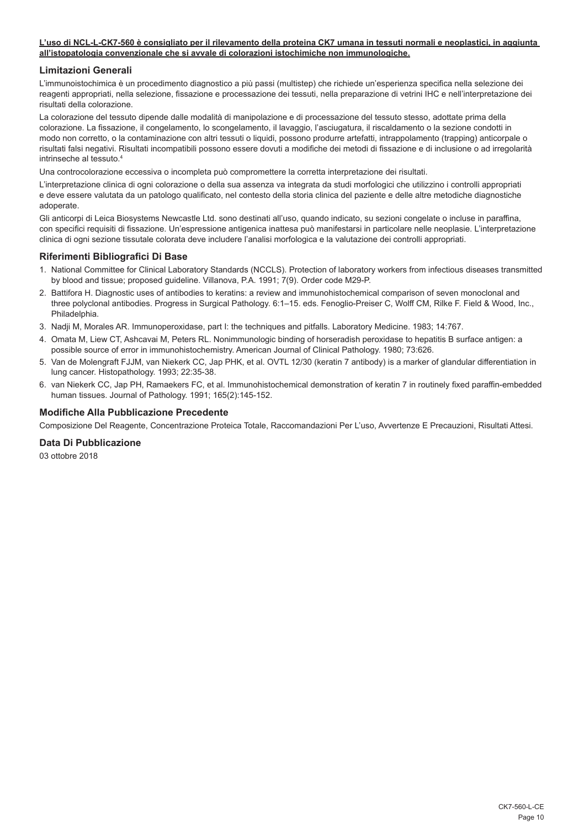#### **L'uso di NCL-L-CK7-560 è consigliato per il rilevamento della proteina CK7 umana in tessuti normali e neoplastici, in aggiunta all'istopatologia convenzionale che si avvale di colorazioni istochimiche non immunologiche.**

## **Limitazioni Generali**

L'immunoistochimica è un procedimento diagnostico a più passi (multistep) che richiede un'esperienza specifica nella selezione dei reagenti appropriati, nella selezione, fissazione e processazione dei tessuti, nella preparazione di vetrini IHC e nell'interpretazione dei risultati della colorazione.

La colorazione del tessuto dipende dalle modalità di manipolazione e di processazione del tessuto stesso, adottate prima della colorazione. La fissazione, il congelamento, lo scongelamento, il lavaggio, l'asciugatura, il riscaldamento o la sezione condotti in modo non corretto, o la contaminazione con altri tessuti o liquidi, possono produrre artefatti, intrappolamento (trapping) anticorpale o risultati falsi negativi. Risultati incompatibili possono essere dovuti a modifiche dei metodi di fissazione e di inclusione o ad irregolarità intrinseche al tessuto.4

Una controcolorazione eccessiva o incompleta può compromettere la corretta interpretazione dei risultati.

L'interpretazione clinica di ogni colorazione o della sua assenza va integrata da studi morfologici che utilizzino i controlli appropriati e deve essere valutata da un patologo qualificato, nel contesto della storia clinica del paziente e delle altre metodiche diagnostiche adoperate.

Gli anticorpi di Leica Biosystems Newcastle Ltd. sono destinati all'uso, quando indicato, su sezioni congelate o incluse in paraffina, con specifici requisiti di fissazione. Un'espressione antigenica inattesa può manifestarsi in particolare nelle neoplasie. L'interpretazione clinica di ogni sezione tissutale colorata deve includere l'analisi morfologica e la valutazione dei controlli appropriati.

#### **Riferimenti Bibliografici Di Base**

- 1. National Committee for Clinical Laboratory Standards (NCCLS). Protection of laboratory workers from infectious diseases transmitted by blood and tissue; proposed guideline. Villanova, P.A. 1991; 7(9). Order code M29-P.
- 2. Battifora H. Diagnostic uses of antibodies to keratins: a review and immunohistochemical comparison of seven monoclonal and three polyclonal antibodies. Progress in Surgical Pathology. 6:1–15. eds. Fenoglio-Preiser C, Wolff CM, Rilke F. Field & Wood, Inc., Philadelphia.
- 3. Nadji M, Morales AR. Immunoperoxidase, part I: the techniques and pitfalls. Laboratory Medicine. 1983; 14:767.
- 4. Omata M, Liew CT, Ashcavai M, Peters RL. Nonimmunologic binding of horseradish peroxidase to hepatitis B surface antigen: a possible source of error in immunohistochemistry. American Journal of Clinical Pathology. 1980; 73:626.
- 5. Van de Molengraft FJJM, van Niekerk CC, Jap PHK, et al. OVTL 12/30 (keratin 7 antibody) is a marker of glandular differentiation in lung cancer. Histopathology. 1993; 22:35-38.
- 6. van Niekerk CC, Jap PH, Ramaekers FC, et al. Immunohistochemical demonstration of keratin 7 in routinely fixed paraffin-embedded human tissues. Journal of Pathology. 1991; 165(2):145-152.

#### **Modifiche Alla Pubblicazione Precedente**

Composizione Del Reagente, Concentrazione Proteica Totale, Raccomandazioni Per L'uso, Avvertenze E Precauzioni, Risultati Attesi.

## **Data Di Pubblicazione**

03 ottobre 2018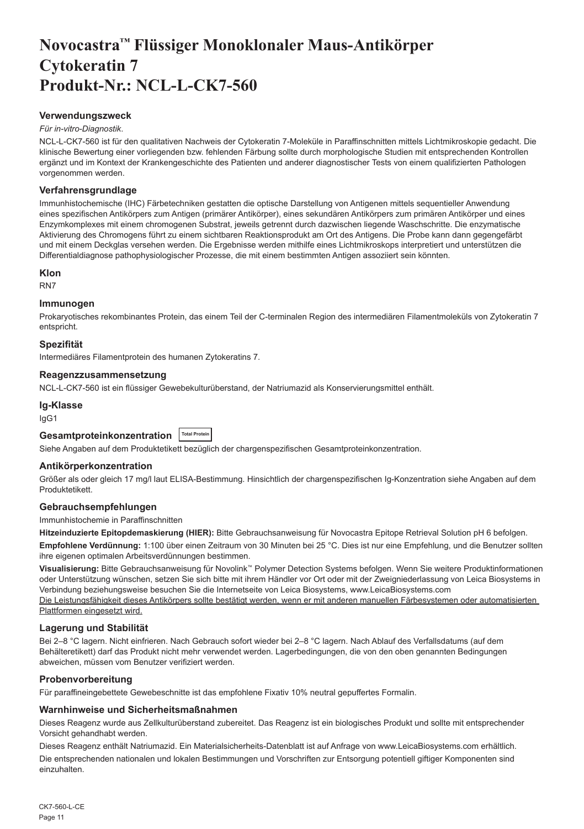## <span id="page-11-0"></span>**Novocastra™ Flüssiger Monoklonaler Maus-Antikörper Cytokeratin 7 Produkt-Nr.: NCL-L-CK7-560**

## **Verwendungszweck**

#### *Für in-vitro-Diagnostik*.

NCL-L-CK7-560 ist für den qualitativen Nachweis der Cytokeratin 7-Moleküle in Paraffinschnitten mittels Lichtmikroskopie gedacht. Die klinische Bewertung einer vorliegenden bzw. fehlenden Färbung sollte durch morphologische Studien mit entsprechenden Kontrollen ergänzt und im Kontext der Krankengeschichte des Patienten und anderer diagnostischer Tests von einem qualifizierten Pathologen vorgenommen werden.

#### **Verfahrensgrundlage**

Immunhistochemische (IHC) Färbetechniken gestatten die optische Darstellung von Antigenen mittels sequentieller Anwendung eines spezifischen Antikörpers zum Antigen (primärer Antikörper), eines sekundären Antikörpers zum primären Antikörper und eines Enzymkomplexes mit einem chromogenen Substrat, jeweils getrennt durch dazwischen liegende Waschschritte. Die enzymatische Aktivierung des Chromogens führt zu einem sichtbaren Reaktionsprodukt am Ort des Antigens. Die Probe kann dann gegengefärbt und mit einem Deckglas versehen werden. Die Ergebnisse werden mithilfe eines Lichtmikroskops interpretiert und unterstützen die Differentialdiagnose pathophysiologischer Prozesse, die mit einem bestimmten Antigen assoziiert sein könnten.

#### **Klon**

D<sub>N7</sub>

#### **Immunogen**

Prokaryotisches rekombinantes Protein, das einem Teil der C-terminalen Region des intermediären Filamentmoleküls von Zytokeratin 7 entspricht.

#### **Spezifität**

Intermediäres Filamentprotein des humanen Zytokeratins 7.

#### **Reagenzzusammensetzung**

NCL-L-CK7-560 ist ein flüssiger Gewebekulturüberstand, der Natriumazid als Konservierungsmittel enthält.

#### **Ig-Klasse**

IgG1

## **Gesamtproteinkonzentration Total Protein**

Siehe Angaben auf dem Produktetikett bezüglich der chargenspezifischen Gesamtproteinkonzentration.

#### **Antikörperkonzentration**

Größer als oder gleich 17 mg/l laut ELISA-Bestimmung. Hinsichtlich der chargenspezifischen Ig-Konzentration siehe Angaben auf dem Produktetikett.

#### **Gebrauchsempfehlungen**

Immunhistochemie in Paraffinschnitten

**Hitzeinduzierte Epitopdemaskierung (HIER):** Bitte Gebrauchsanweisung für Novocastra Epitope Retrieval Solution pH 6 befolgen.

**Empfohlene Verdünnung:** 1:100 über einen Zeitraum von 30 Minuten bei 25 °C. Dies ist nur eine Empfehlung, und die Benutzer sollten ihre eigenen optimalen Arbeitsverdünnungen bestimmen.

**Visualisierung:** Bitte Gebrauchsanweisung für Novolink™ Polymer Detection Systems befolgen. Wenn Sie weitere Produktinformationen oder Unterstützung wünschen, setzen Sie sich bitte mit ihrem Händler vor Ort oder mit der Zweigniederlassung von Leica Biosystems in Verbindung beziehungsweise besuchen Sie die Internetseite von Leica Biosystems, www.LeicaBiosystems.com

Die Leistungsfähigkeit dieses Antikörpers sollte bestätigt werden, wenn er mit anderen manuellen Färbesystemen oder automatisierten Plattformen eingesetzt wird.

## **Lagerung und Stabilität**

Bei 2–8 °C lagern. Nicht einfrieren. Nach Gebrauch sofort wieder bei 2–8 °C lagern. Nach Ablauf des Verfallsdatums (auf dem Behälteretikett) darf das Produkt nicht mehr verwendet werden. Lagerbedingungen, die von den oben genannten Bedingungen abweichen, müssen vom Benutzer verifiziert werden.

## **Probenvorbereitung**

Für paraffineingebettete Gewebeschnitte ist das empfohlene Fixativ 10% neutral gepuffertes Formalin.

#### **Warnhinweise und Sicherheitsmaßnahmen**

Dieses Reagenz wurde aus Zellkulturüberstand zubereitet. Das Reagenz ist ein biologisches Produkt und sollte mit entsprechender Vorsicht gehandhabt werden.

Dieses Reagenz enthält Natriumazid. Ein Materialsicherheits-Datenblatt ist auf Anfrage von www.LeicaBiosystems.com erhältlich.

Die entsprechenden nationalen und lokalen Bestimmungen und Vorschriften zur Entsorgung potentiell giftiger Komponenten sind einzuhalten.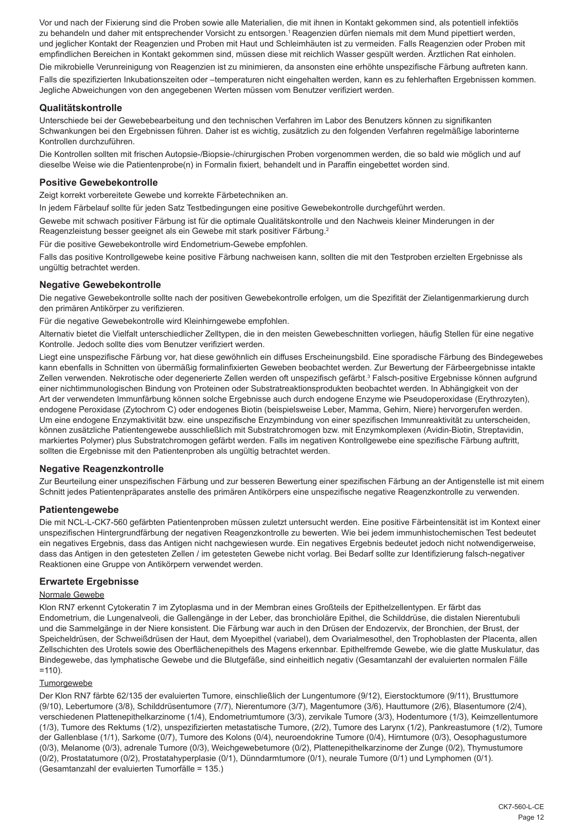Vor und nach der Fixierung sind die Proben sowie alle Materialien, die mit ihnen in Kontakt gekommen sind, als potentiell infektiös zu behandeln und daher mit entsprechender Vorsicht zu entsorgen.<sup>1</sup> Reagenzien dürfen niemals mit dem Mund pipettiert werden, und jeglicher Kontakt der Reagenzien und Proben mit Haut und Schleimhäuten ist zu vermeiden. Falls Reagenzien oder Proben mit empfindlichen Bereichen in Kontakt gekommen sind, müssen diese mit reichlich Wasser gespült werden. Ärztlichen Rat einholen.

Die mikrobielle Verunreinigung von Reagenzien ist zu minimieren, da ansonsten eine erhöhte unspezifische Färbung auftreten kann. Falls die spezifizierten Inkubationszeiten oder –temperaturen nicht eingehalten werden, kann es zu fehlerhaften Ergebnissen kommen. Jegliche Abweichungen von den angegebenen Werten müssen vom Benutzer verifiziert werden.

#### **Qualitätskontrolle**

Unterschiede bei der Gewebebearbeitung und den technischen Verfahren im Labor des Benutzers können zu signifikanten Schwankungen bei den Ergebnissen führen. Daher ist es wichtig, zusätzlich zu den folgenden Verfahren regelmäßige laborinterne Kontrollen durchzuführen.

Die Kontrollen sollten mit frischen Autopsie-/Biopsie-/chirurgischen Proben vorgenommen werden, die so bald wie möglich und auf dieselbe Weise wie die Patientenprobe(n) in Formalin fixiert, behandelt und in Paraffin eingebettet worden sind.

## **Positive Gewebekontrolle**

Zeigt korrekt vorbereitete Gewebe und korrekte Färbetechniken an.

In jedem Färbelauf sollte für jeden Satz Testbedingungen eine positive Gewebekontrolle durchgeführt werden.

Gewebe mit schwach positiver Färbung ist für die optimale Qualitätskontrolle und den Nachweis kleiner Minderungen in der Reagenzleistung besser geeignet als ein Gewebe mit stark positiver Färbung.<sup>2</sup>

Für die positive Gewebekontrolle wird Endometrium-Gewebe empfohlen.

Falls das positive Kontrollgewebe keine positive Färbung nachweisen kann, sollten die mit den Testproben erzielten Ergebnisse als ungültig betrachtet werden.

## **Negative Gewebekontrolle**

Die negative Gewebekontrolle sollte nach der positiven Gewebekontrolle erfolgen, um die Spezifität der Zielantigenmarkierung durch den primären Antikörper zu verifizieren.

Für die negative Gewebekontrolle wird Kleinhirngewebe empfohlen.

Alternativ bietet die Vielfalt unterschiedlicher Zelltypen, die in den meisten Gewebeschnitten vorliegen, häufig Stellen für eine negative Kontrolle. Jedoch sollte dies vom Benutzer verifiziert werden.

Liegt eine unspezifische Färbung vor, hat diese gewöhnlich ein diffuses Erscheinungsbild. Eine sporadische Färbung des Bindegewebes kann ebenfalls in Schnitten von übermäßig formalinfixierten Geweben beobachtet werden. Zur Bewertung der Färbeergebnisse intakte Zellen verwenden. Nekrotische oder degenerierte Zellen werden oft unspezifisch gefärbt.<sup>3</sup> Falsch-positive Ergebnisse können aufgrund einer nichtimmunologischen Bindung von Proteinen oder Substratreaktionsprodukten beobachtet werden. In Abhängigkeit von der Art der verwendeten Immunfärbung können solche Ergebnisse auch durch endogene Enzyme wie Pseudoperoxidase (Erythrozyten), endogene Peroxidase (Zytochrom C) oder endogenes Biotin (beispielsweise Leber, Mamma, Gehirn, Niere) hervorgerufen werden. Um eine endogene Enzymaktivität bzw. eine unspezifische Enzymbindung von einer spezifischen Immunreaktivität zu unterscheiden, können zusätzliche Patientengewebe ausschließlich mit Substratchromogen bzw. mit Enzymkomplexen (Avidin-Biotin, Streptavidin, markiertes Polymer) plus Substratchromogen gefärbt werden. Falls im negativen Kontrollgewebe eine spezifische Färbung auftritt, sollten die Ergebnisse mit den Patientenproben als ungültig betrachtet werden.

## **Negative Reagenzkontrolle**

Zur Beurteilung einer unspezifischen Färbung und zur besseren Bewertung einer spezifischen Färbung an der Antigenstelle ist mit einem Schnitt jedes Patientenpräparates anstelle des primären Antikörpers eine unspezifische negative Reagenzkontrolle zu verwenden.

## **Patientengewebe**

Die mit NCL-L-CK7-560 gefärbten Patientenproben müssen zuletzt untersucht werden. Eine positive Färbeintensität ist im Kontext einer unspezifischen Hintergrundfärbung der negativen Reagenzkontrolle zu bewerten. Wie bei jedem immunhistochemischen Test bedeutet ein negatives Ergebnis, dass das Antigen nicht nachgewiesen wurde. Ein negatives Ergebnis bedeutet jedoch nicht notwendigerweise, dass das Antigen in den getesteten Zellen / im getesteten Gewebe nicht vorlag. Bei Bedarf sollte zur Identifizierung falsch-negativer Reaktionen eine Gruppe von Antikörpern verwendet werden.

#### **Erwartete Ergebnisse**

## Normale Gewebe

Klon RN7 erkennt Cytokeratin 7 im Zytoplasma und in der Membran eines Großteils der Epithelzellentypen. Er färbt das Endometrium, die Lungenalveoli, die Gallengänge in der Leber, das bronchioläre Epithel, die Schilddrüse, die distalen Nierentubuli und die Sammelgänge in der Niere konsistent. Die Färbung war auch in den Drüsen der Endozervix, der Bronchien, der Brust, der Speicheldrüsen, der Schweißdrüsen der Haut, dem Myoepithel (variabel), dem Ovarialmesothel, den Trophoblasten der Placenta, allen Zellschichten des Urotels sowie des Oberflächenepithels des Magens erkennbar. Epithelfremde Gewebe, wie die glatte Muskulatur, das Bindegewebe, das lymphatische Gewebe und die Blutgefäße, sind einheitlich negativ (Gesamtanzahl der evaluierten normalen Fälle  $=110$ ).

#### **Tumorgewebe**

Der Klon RN7 färbte 62/135 der evaluierten Tumore, einschließlich der Lungentumore (9/12), Eierstocktumore (9/11), Brusttumore (9/10), Lebertumore (3/8), Schilddrüsentumore (7/7), Nierentumore (3/7), Magentumore (3/6), Hauttumore (2/6), Blasentumore (2/4), verschiedenen Plattenepithelkarzinome (1/4), Endometriumtumore (3/3), zervikale Tumore (3/3), Hodentumore (1/3), Keimzellentumore (1/3), Tumore des Rektums (1/2), unspezifizierten metastatische Tumore, (2/2), Tumore des Larynx (1/2), Pankreastumore (1/2), Tumore der Gallenblase (1/1), Sarkome (0/7), Tumore des Kolons (0/4), neuroendokrine Tumore (0/4), Hirntumore (0/3), Oesophagustumore (0/3), Melanome (0/3), adrenale Tumore (0/3), Weichgewebetumore (0/2), Plattenepithelkarzinome der Zunge (0/2), Thymustumore (0/2), Prostatatumore (0/2), Prostatahyperplasie (0/1), Dünndarmtumore (0/1), neurale Tumore (0/1) und Lymphomen (0/1). (Gesamtanzahl der evaluierten Tumorfälle = 135.)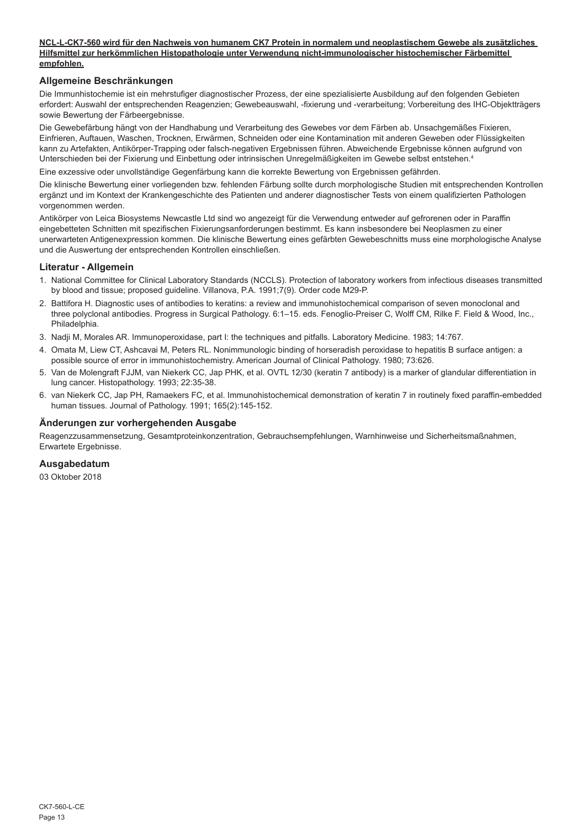**NCL-L-CK7-560 wird für den Nachweis von humanem CK7 Protein in normalem und neoplastischem Gewebe als zusätzliches Hilfsmittel zur herkömmlichen Histopathologie unter Verwendung nicht-immunologischer histochemischer Färbemittel empfohlen.**

## **Allgemeine Beschränkungen**

Die Immunhistochemie ist ein mehrstufiger diagnostischer Prozess, der eine spezialisierte Ausbildung auf den folgenden Gebieten erfordert: Auswahl der entsprechenden Reagenzien; Gewebeauswahl, -fixierung und -verarbeitung; Vorbereitung des IHC-Objektträgers sowie Bewertung der Färbeergebnisse.

Die Gewebefärbung hängt von der Handhabung und Verarbeitung des Gewebes vor dem Färben ab. Unsachgemäßes Fixieren, Einfrieren, Auftauen, Waschen, Trocknen, Erwärmen, Schneiden oder eine Kontamination mit anderen Geweben oder Flüssigkeiten kann zu Artefakten, Antikörper-Trapping oder falsch-negativen Ergebnissen führen. Abweichende Ergebnisse können aufgrund von Unterschieden bei der Fixierung und Einbettung oder intrinsischen Unregelmäßigkeiten im Gewebe selbst entstehen.4

Eine exzessive oder unvollständige Gegenfärbung kann die korrekte Bewertung von Ergebnissen gefährden.

Die klinische Bewertung einer vorliegenden bzw. fehlenden Färbung sollte durch morphologische Studien mit entsprechenden Kontrollen ergänzt und im Kontext der Krankengeschichte des Patienten und anderer diagnostischer Tests von einem qualifizierten Pathologen vorgenommen werden.

Antikörper von Leica Biosystems Newcastle Ltd sind wo angezeigt für die Verwendung entweder auf gefrorenen oder in Paraffin eingebetteten Schnitten mit spezifischen Fixierungsanforderungen bestimmt. Es kann insbesondere bei Neoplasmen zu einer unerwarteten Antigenexpression kommen. Die klinische Bewertung eines gefärbten Gewebeschnitts muss eine morphologische Analyse und die Auswertung der entsprechenden Kontrollen einschließen.

## **Literatur - Allgemein**

- 1. National Committee for Clinical Laboratory Standards (NCCLS). Protection of laboratory workers from infectious diseases transmitted by blood and tissue; proposed guideline. Villanova, P.A. 1991;7(9). Order code M29-P.
- 2. Battifora H. Diagnostic uses of antibodies to keratins: a review and immunohistochemical comparison of seven monoclonal and three polyclonal antibodies. Progress in Surgical Pathology. 6:1–15. eds. Fenoglio-Preiser C, Wolff CM, Rilke F. Field & Wood, Inc., Philadelphia.
- 3. Nadji M, Morales AR. Immunoperoxidase, part I: the techniques and pitfalls. Laboratory Medicine. 1983; 14:767.
- 4. Omata M, Liew CT, Ashcavai M, Peters RL. Nonimmunologic binding of horseradish peroxidase to hepatitis B surface antigen: a possible source of error in immunohistochemistry. American Journal of Clinical Pathology. 1980; 73:626.
- 5. Van de Molengraft FJJM, van Niekerk CC, Jap PHK, et al. OVTL 12/30 (keratin 7 antibody) is a marker of glandular differentiation in lung cancer. Histopathology. 1993; 22:35-38.
- 6. van Niekerk CC, Jap PH, Ramaekers FC, et al. Immunohistochemical demonstration of keratin 7 in routinely fixed paraffin-embedded human tissues. Journal of Pathology. 1991; 165(2):145-152.

#### **Änderungen zur vorhergehenden Ausgabe**

Reagenzzusammensetzung, Gesamtproteinkonzentration, Gebrauchsempfehlungen, Warnhinweise und Sicherheitsmaßnahmen, Erwartete Ergebnisse.

## **Ausgabedatum**

03 Oktober 2018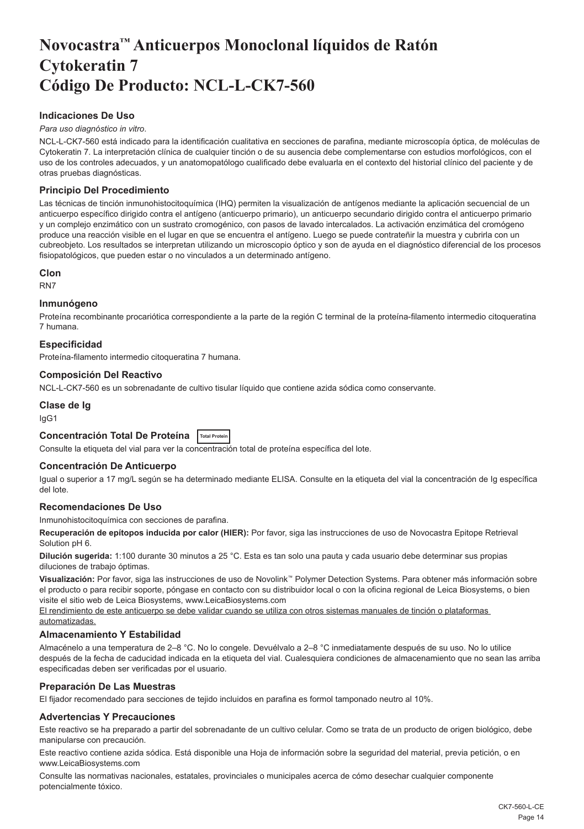## <span id="page-14-0"></span>**Novocastra™ Anticuerpos Monoclonal líquidos de Ratón Cytokeratin 7 Código De Producto: NCL-L-CK7-560**

## **Indicaciones De Uso**

#### *Para uso diagnóstico in vitro*.

NCL-L-CK7-560 está indicado para la identificación cualitativa en secciones de parafina, mediante microscopía óptica, de moléculas de Cytokeratin 7. La interpretación clínica de cualquier tinción o de su ausencia debe complementarse con estudios morfológicos, con el uso de los controles adecuados, y un anatomopatólogo cualificado debe evaluarla en el contexto del historial clínico del paciente y de otras pruebas diagnósticas.

## **Principio Del Procedimiento**

Las técnicas de tinción inmunohistocitoquímica (IHQ) permiten la visualización de antígenos mediante la aplicación secuencial de un anticuerpo específico dirigido contra el antígeno (anticuerpo primario), un anticuerpo secundario dirigido contra el anticuerpo primario y un complejo enzimático con un sustrato cromogénico, con pasos de lavado intercalados. La activación enzimática del cromógeno produce una reacción visible en el lugar en que se encuentra el antígeno. Luego se puede contrateñir la muestra y cubrirla con un cubreobjeto. Los resultados se interpretan utilizando un microscopio óptico y son de ayuda en el diagnóstico diferencial de los procesos fisiopatológicos, que pueden estar o no vinculados a un determinado antígeno.

#### **Clon**

D<sub>N7</sub>

#### **Inmunógeno**

Proteína recombinante procariótica correspondiente a la parte de la región C terminal de la proteína-filamento intermedio citoqueratina 7 humana.

#### **Especificidad**

Proteína-filamento intermedio citoqueratina 7 humana.

## **Composición Del Reactivo**

NCL-L-CK7-560 es un sobrenadante de cultivo tisular líquido que contiene azida sódica como conservante.

#### **Clase de Ig**

IgG1

## **Concentración Total De Proteína Total Protein**

Consulte la etiqueta del vial para ver la concentración total de proteína específica del lote.

#### **Concentración De Anticuerpo**

Igual o superior a 17 mg/L según se ha determinado mediante ELISA. Consulte en la etiqueta del vial la concentración de Ig específica del lote.

## **Recomendaciones De Uso**

Inmunohistocitoquímica con secciones de parafina.

**Recuperación de epítopos inducida por calor (HIER):** Por favor, siga las instrucciones de uso de Novocastra Epitope Retrieval Solution pH 6.

**Dilución sugerida:** 1:100 durante 30 minutos a 25 °C. Esta es tan solo una pauta y cada usuario debe determinar sus propias diluciones de trabajo óptimas.

**Visualización:** Por favor, siga las instrucciones de uso de Novolink™ Polymer Detection Systems. Para obtener más información sobre el producto o para recibir soporte, póngase en contacto con su distribuidor local o con la oficina regional de Leica Biosystems, o bien visite el sitio web de Leica Biosystems, www.LeicaBiosystems.com

El rendimiento de este anticuerpo se debe validar cuando se utiliza con otros sistemas manuales de tinción o plataformas automatizadas.

#### **Almacenamiento Y Estabilidad**

Almacénelo a una temperatura de 2–8 °C. No lo congele. Devuélvalo a 2–8 °C inmediatamente después de su uso. No lo utilice después de la fecha de caducidad indicada en la etiqueta del vial. Cualesquiera condiciones de almacenamiento que no sean las arriba especificadas deben ser verificadas por el usuario.

## **Preparación De Las Muestras**

El fijador recomendado para secciones de tejido incluidos en parafina es formol tamponado neutro al 10%.

## **Advertencias Y Precauciones**

Este reactivo se ha preparado a partir del sobrenadante de un cultivo celular. Como se trata de un producto de origen biológico, debe manipularse con precaución.

Este reactivo contiene azida sódica. Está disponible una Hoja de información sobre la seguridad del material, previa petición, o en www.LeicaBiosystems.com

Consulte las normativas nacionales, estatales, provinciales o municipales acerca de cómo desechar cualquier componente potencialmente tóxico.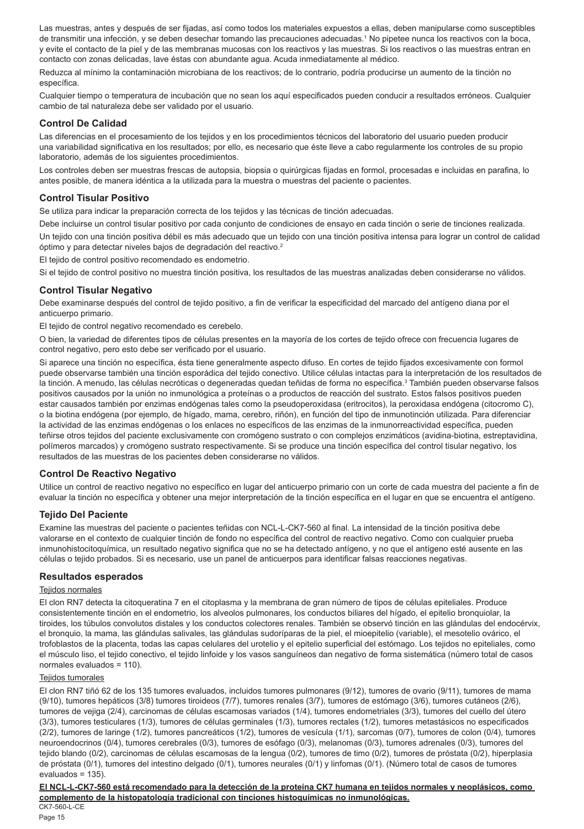Las muestras, antes y después de ser fijadas, así como todos los materiales expuestos a ellas, deben manipularse como susceptibles de transmitir una infección, y se deben desechar tomando las precauciones adecuadas.<sup>1</sup> No pipetee nunca los reactivos con la boca, y evite el contacto de la piel y de las membranas mucosas con los reactivos y las muestras. Si los reactivos o las muestras entran en contacto con zonas delicadas, lave éstas con abundante agua. Acuda inmediatamente al médico.

Reduzca al mínimo la contaminación microbiana de los reactivos; de lo contrario, podría producirse un aumento de la tinción no específica.

Cualquier tiempo o temperatura de incubación que no sean los aquí especificados pueden conducir a resultados erróneos. Cualquier cambio de tal naturaleza debe ser validado por el usuario.

#### **Control De Calidad**

Las diferencias en el procesamiento de los tejidos y en los procedimientos técnicos del laboratorio del usuario pueden producir una variabilidad significativa en los resultados; por ello, es necesario que éste lleve a cabo regularmente los controles de su propio laboratorio, además de los siguientes procedimientos.

Los controles deben ser muestras frescas de autopsia, biopsia o quirúrgicas fijadas en formol, procesadas e incluidas en parafina, lo antes posible, de manera idéntica a la utilizada para la muestra o muestras del paciente o pacientes.

#### **Control Tisular Positivo**

Se utiliza para indicar la preparación correcta de los tejidos y las técnicas de tinción adecuadas.

Debe incluirse un control tisular positivo por cada conjunto de condiciones de ensayo en cada tinción o serie de tinciones realizada. Un tejido con una tinción positiva débil es más adecuado que un tejido con una tinción positiva intensa para lograr un control de calidad óptimo y para detectar niveles bajos de degradación del reactivo.<sup>2</sup>

El tejido de control positivo recomendado es endometrio.

Si el tejido de control positivo no muestra tinción positiva, los resultados de las muestras analizadas deben considerarse no válidos.

## **Control Tisular Negativo**

Debe examinarse después del control de tejido positivo, a fin de verificar la especificidad del marcado del antígeno diana por el anticuerpo primario.

El tejido de control negativo recomendado es cerebelo.

O bien, la variedad de diferentes tipos de células presentes en la mayoría de los cortes de tejido ofrece con frecuencia lugares de control negativo, pero esto debe ser verificado por el usuario.

Si aparece una tinción no específica, ésta tiene generalmente aspecto difuso. En cortes de tejido fijados excesivamente con formol puede observarse también una tinción esporádica del tejido conectivo. Utilice células intactas para la interpretación de los resultados de la tinción. A menudo, las células necróticas o degeneradas quedan teñidas de forma no específica.<sup>3</sup> También pueden observarse falsos positivos causados por la unión no inmunológica a proteínas o a productos de reacción del sustrato. Estos falsos positivos pueden estar causados también por enzimas endógenas tales como la pseudoperoxidasa (eritrocitos), la peroxidasa endógena (citocromo C), o la biotina endógena (por ejemplo, de hígado, mama, cerebro, riñón), en función del tipo de inmunotinción utilizada. Para diferenciar la actividad de las enzimas endógenas o los enlaces no específicos de las enzimas de la inmunorreactividad específica, pueden teñirse otros tejidos del paciente exclusivamente con cromógeno sustrato o con complejos enzimáticos (avidina-biotina, estreptavidina, polímeros marcados) y cromógeno sustrato respectivamente. Si se produce una tinción específica del control tisular negativo, los resultados de las muestras de los pacientes deben considerarse no válidos.

## **Control De Reactivo Negativo**

Utilice un control de reactivo negativo no específico en lugar del anticuerpo primario con un corte de cada muestra del paciente a fin de evaluar la tinción no específica y obtener una mejor interpretación de la tinción específica en el lugar en que se encuentra el antígeno.

## **Tejido Del Paciente**

Examine las muestras del paciente o pacientes teñidas con NCL-L-CK7-560 al final. La intensidad de la tinción positiva debe valorarse en el contexto de cualquier tinción de fondo no específica del control de reactivo negativo. Como con cualquier prueba inmunohistocitoquímica, un resultado negativo significa que no se ha detectado antígeno, y no que el antígeno esté ausente en las células o tejido probados. Si es necesario, use un panel de anticuerpos para identificar falsas reacciones negativas.

#### **Resultados esperados**

#### Tejidos normales

El clon RN7 detecta la citoqueratina 7 en el citoplasma y la membrana de gran número de tipos de células epiteliales. Produce consistentemente tinción en el endometrio, los alveolos pulmonares, los conductos biliares del hígado, el epitelio bronquiolar, la tiroides, los túbulos convolutos distales y los conductos colectores renales. También se observó tinción en las glándulas del endocérvix, el bronquio, la mama, las glándulas salivales, las glándulas sudoríparas de la piel, el mioepitelio (variable), el mesotelio ovárico, el trofoblastos de la placenta, todas las capas celulares del urotelio y el epitelio superficial del estómago. Los tejidos no epiteliales, como el músculo liso, el tejido conectivo, el tejido linfoide y los vasos sanguíneos dan negativo de forma sistemática (número total de casos normales evaluados = 110).

#### Tejidos tumorales

El clon RN7 tiñó 62 de los 135 tumores evaluados, incluidos tumores pulmonares (9/12), tumores de ovario (9/11), tumores de mama (9/10), tumores hepáticos (3/8) tumores tiroideos (7/7), tumores renales (3/7), tumores de estómago (3/6), tumores cutáneos (2/6), tumores de vejiga (2/4), carcinomas de células escamosas variados (1/4), tumores endometriales (3/3), tumores del cuello del útero (3/3), tumores testiculares (1/3), tumores de células germinales (1/3), tumores rectales (1/2), tumores metastásicos no especificados (2/2), tumores de laringe (1/2), tumores pancreáticos (1/2), tumores de vesícula (1/1), sarcomas (0/7), tumores de colon (0/4), tumores neuroendocrinos (0/4), tumores cerebrales (0/3), tumores de esófago (0/3), melanomas (0/3), tumores adrenales (0/3), tumores del tejido blando (0/2), carcinomas de células escamosas de la lengua (0/2), tumores de timo (0/2), tumores de próstata (0/2), hiperplasia de próstata (0/1), tumores del intestino delgado (0/1), tumores neurales (0/1) y linfomas (0/1). (Número total de casos de tumores  $evaluados = 135$ ).

CK7-560-L-CE **El NCL-L-CK7-560 está recomendado para la detección de la proteína CK7 humana en tejidos normales y neoplásicos, como complemento de la histopatología tradicional con tinciones histoquímicas no inmunológicas.**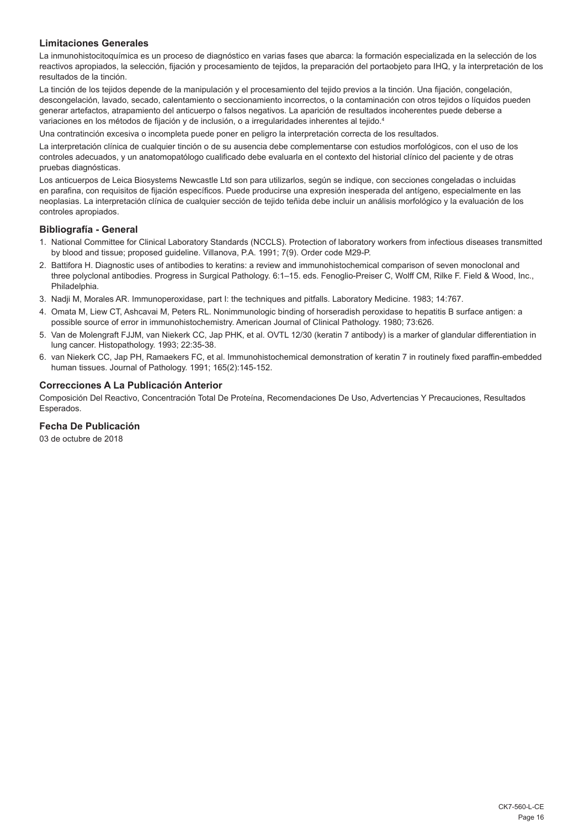## **Limitaciones Generales**

La inmunohistocitoquímica es un proceso de diagnóstico en varias fases que abarca: la formación especializada en la selección de los reactivos apropiados, la selección, fijación y procesamiento de tejidos, la preparación del portaobjeto para IHQ, y la interpretación de los resultados de la tinción.

La tinción de los tejidos depende de la manipulación y el procesamiento del tejido previos a la tinción. Una fijación, congelación, descongelación, lavado, secado, calentamiento o seccionamiento incorrectos, o la contaminación con otros tejidos o líquidos pueden generar artefactos, atrapamiento del anticuerpo o falsos negativos. La aparición de resultados incoherentes puede deberse a variaciones en los métodos de fijación y de inclusión, o a irregularidades inherentes al tejido.4

Una contratinción excesiva o incompleta puede poner en peligro la interpretación correcta de los resultados.

La interpretación clínica de cualquier tinción o de su ausencia debe complementarse con estudios morfológicos, con el uso de los controles adecuados, y un anatomopatólogo cualificado debe evaluarla en el contexto del historial clínico del paciente y de otras pruebas diagnósticas.

Los anticuerpos de Leica Biosystems Newcastle Ltd son para utilizarlos, según se indique, con secciones congeladas o incluidas en parafina, con requisitos de fijación específicos. Puede producirse una expresión inesperada del antígeno, especialmente en las neoplasias. La interpretación clínica de cualquier sección de tejido teñida debe incluir un análisis morfológico y la evaluación de los controles apropiados.

#### **Bibliografía - General**

- 1. National Committee for Clinical Laboratory Standards (NCCLS). Protection of laboratory workers from infectious diseases transmitted by blood and tissue; proposed guideline. Villanova, P.A. 1991; 7(9). Order code M29-P.
- 2. Battifora H. Diagnostic uses of antibodies to keratins: a review and immunohistochemical comparison of seven monoclonal and three polyclonal antibodies. Progress in Surgical Pathology. 6:1–15. eds. Fenoglio-Preiser C, Wolff CM, Rilke F. Field & Wood, Inc., Philadelphia.
- 3. Nadji M, Morales AR. Immunoperoxidase, part I: the techniques and pitfalls. Laboratory Medicine. 1983; 14:767.
- 4. Omata M, Liew CT, Ashcavai M, Peters RL. Nonimmunologic binding of horseradish peroxidase to hepatitis B surface antigen: a possible source of error in immunohistochemistry. American Journal of Clinical Pathology. 1980; 73:626.
- 5. Van de Molengraft FJJM, van Niekerk CC, Jap PHK, et al. OVTL 12/30 (keratin 7 antibody) is a marker of glandular differentiation in lung cancer. Histopathology. 1993; 22:35-38.
- 6. van Niekerk CC, Jap PH, Ramaekers FC, et al. Immunohistochemical demonstration of keratin 7 in routinely fixed paraffin-embedded human tissues. Journal of Pathology. 1991; 165(2):145-152.

## **Correcciones A La Publicación Anterior**

Composición Del Reactivo, Concentración Total De Proteína, Recomendaciones De Uso, Advertencias Y Precauciones, Resultados Esperados.

## **Fecha De Publicación**

03 de octubre de 2018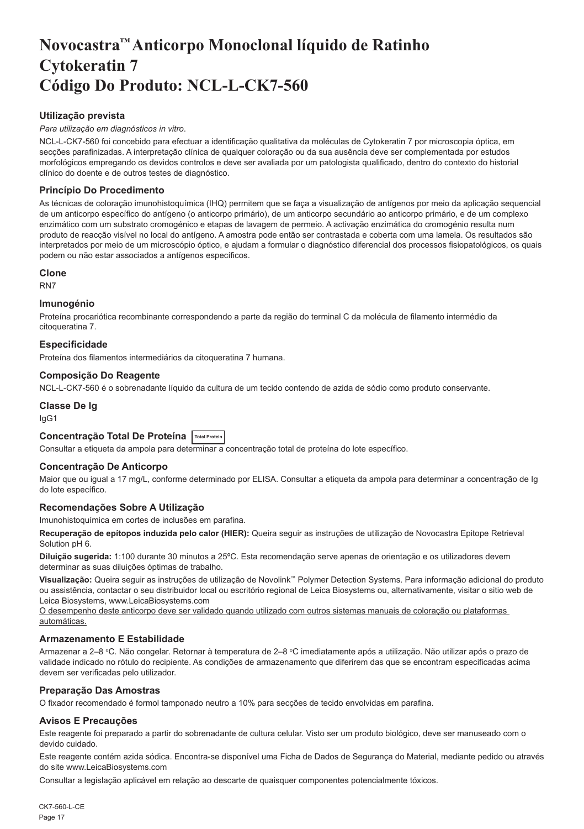## <span id="page-17-0"></span>**Novocastra™ Anticorpo Monoclonal líquido de Ratinho Cytokeratin 7 Código Do Produto: NCL-L-CK7-560**

## **Utilização prevista**

#### *Para utilização em diagnósticos in vitro*.

NCL-L-CK7-560 foi concebido para efectuar a identificação qualitativa da moléculas de Cytokeratin 7 por microscopia óptica, em secções parafinizadas. A interpretação clínica de qualquer coloração ou da sua ausência deve ser complementada por estudos morfológicos empregando os devidos controlos e deve ser avaliada por um patologista qualificado, dentro do contexto do historial clínico do doente e de outros testes de diagnóstico.

## **Princípio Do Procedimento**

As técnicas de coloração imunohistoquímica (IHQ) permitem que se faça a visualização de antígenos por meio da aplicação sequencial de um anticorpo específico do antígeno (o anticorpo primário), de um anticorpo secundário ao anticorpo primário, e de um complexo enzimático com um substrato cromogénico e etapas de lavagem de permeio. A activação enzimática do cromogénio resulta num produto de reacção visível no local do antígeno. A amostra pode então ser contrastada e coberta com uma lamela. Os resultados são interpretados por meio de um microscópio óptico, e ajudam a formular o diagnóstico diferencial dos processos fisiopatológicos, os quais podem ou não estar associados a antígenos específicos.

#### **Clone**

D<sub>N7</sub>

#### **Imunogénio**

Proteína procariótica recombinante correspondendo a parte da região do terminal C da molécula de filamento intermédio da citoqueratina 7.

#### **Especificidade**

Proteína dos filamentos intermediários da citoqueratina 7 humana.

## **Composição Do Reagente**

NCL-L-CK7-560 é o sobrenadante líquido da cultura de um tecido contendo de azida de sódio como produto conservante.

#### **Classe De Ig**

IgG1

## **Concentração Total De Proteína Total Protein**

Consultar a etiqueta da ampola para determinar a concentração total de proteína do lote específico.

#### **Concentração De Anticorpo**

Maior que ou igual a 17 mg/L, conforme determinado por ELISA. Consultar a etiqueta da ampola para determinar a concentração de Ig do lote específico.

## **Recomendações Sobre A Utilização**

Imunohistoquímica em cortes de inclusões em parafina.

**Recuperação de epítopos induzida pelo calor (HIER):** Queira seguir as instruções de utilização de Novocastra Epitope Retrieval Solution pH 6.

**Diluição sugerida:** 1:100 durante 30 minutos a 25ºC. Esta recomendação serve apenas de orientação e os utilizadores devem determinar as suas diluições óptimas de trabalho.

**Visualização:** Queira seguir as instruções de utilização de Novolink™ Polymer Detection Systems. Para informação adicional do produto ou assistência, contactar o seu distribuidor local ou escritório regional de Leica Biosystems ou, alternativamente, visitar o sitio web de Leica Biosystems, www.LeicaBiosystems.com

O desempenho deste anticorpo deve ser validado quando utilizado com outros sistemas manuais de coloração ou plataformas automáticas.

#### **Armazenamento E Estabilidade**

Armazenar a 2–8 °C. Não congelar. Retornar à temperatura de 2–8 °C imediatamente após a utilização. Não utilizar após o prazo de validade indicado no rótulo do recipiente. As condições de armazenamento que diferirem das que se encontram especificadas acima devem ser verificadas pelo utilizador.

#### **Preparação Das Amostras**

O fixador recomendado é formol tamponado neutro a 10% para secções de tecido envolvidas em parafina.

#### **Avisos E Precauções**

Este reagente foi preparado a partir do sobrenadante de cultura celular. Visto ser um produto biológico, deve ser manuseado com o devido cuidado.

Este reagente contém azida sódica. Encontra-se disponível uma Ficha de Dados de Segurança do Material, mediante pedido ou através do site www.LeicaBiosystems.com

Consultar a legislação aplicável em relação ao descarte de quaisquer componentes potencialmente tóxicos.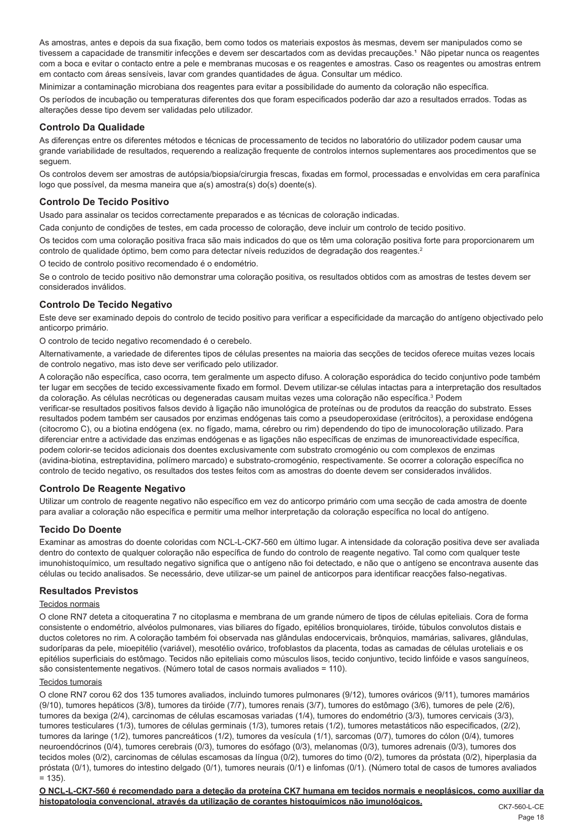As amostras, antes e depois da sua fixação, bem como todos os materiais expostos às mesmas, devem ser manipulados como se tivessem a capacidade de transmitir infecções e devem ser descartados com as devidas precauções.<sup>1</sup> Não pipetar nunca os reagentes com a boca e evitar o contacto entre a pele e membranas mucosas e os reagentes e amostras. Caso os reagentes ou amostras entrem em contacto com áreas sensíveis, lavar com grandes quantidades de água. Consultar um médico.

Minimizar a contaminação microbiana dos reagentes para evitar a possibilidade do aumento da coloração não específica.

Os períodos de incubação ou temperaturas diferentes dos que foram especificados poderão dar azo a resultados errados. Todas as alterações desse tipo devem ser validadas pelo utilizador.

## **Controlo Da Qualidade**

As diferenças entre os diferentes métodos e técnicas de processamento de tecidos no laboratório do utilizador podem causar uma grande variabilidade de resultados, requerendo a realização frequente de controlos internos suplementares aos procedimentos que se seguem.

Os controlos devem ser amostras de autópsia/biopsia/cirurgia frescas, fixadas em formol, processadas e envolvidas em cera parafínica logo que possível, da mesma maneira que a(s) amostra(s) do(s) doente(s).

#### **Controlo De Tecido Positivo**

Usado para assinalar os tecidos correctamente preparados e as técnicas de coloração indicadas.

Cada conjunto de condições de testes, em cada processo de coloração, deve incluir um controlo de tecido positivo.

Os tecidos com uma coloração positiva fraca são mais indicados do que os têm uma coloração positiva forte para proporcionarem um controlo de qualidade óptimo, bem como para detectar níveis reduzidos de degradação dos reagentes.<sup>2</sup>

O tecido de controlo positivo recomendado é o endométrio.

Se o controlo de tecido positivo não demonstrar uma coloração positiva, os resultados obtidos com as amostras de testes devem ser considerados inválidos.

## **Controlo De Tecido Negativo**

Este deve ser examinado depois do controlo de tecido positivo para verificar a especificidade da marcação do antígeno objectivado pelo anticorpo primário.

O controlo de tecido negativo recomendado é o cerebelo.

Alternativamente, a variedade de diferentes tipos de células presentes na maioria das secções de tecidos oferece muitas vezes locais de controlo negativo, mas isto deve ser verificado pelo utilizador.

A coloração não específica, caso ocorra, tem geralmente um aspecto difuso. A coloração esporádica do tecido conjuntivo pode também ter lugar em secções de tecido excessivamente fixado em formol. Devem utilizar-se células intactas para a interpretação dos resultados da coloração. As células necróticas ou degeneradas causam muitas vezes uma coloração não específica.<sup>3</sup> Podem

verificar-se resultados positivos falsos devido à ligação não imunológica de proteínas ou de produtos da reacção do substrato. Esses resultados podem também ser causados por enzimas endógenas tais como a pseudoperoxidase (eritrócitos), a peroxidase endógena (citocromo C), ou a biotina endógena (ex. no fígado, mama, cérebro ou rim) dependendo do tipo de imunocoloração utilizado. Para diferenciar entre a actividade das enzimas endógenas e as ligações não específicas de enzimas de imunoreactividade específica, podem colorir-se tecidos adicionais dos doentes exclusivamente com substrato cromogénio ou com complexos de enzimas (avidina-biotina, estreptavidina, polímero marcado) e substrato-cromogénio, respectivamente. Se ocorrer a coloração específica no controlo de tecido negativo, os resultados dos testes feitos com as amostras do doente devem ser considerados inválidos.

## **Controlo De Reagente Negativo**

Utilizar um controlo de reagente negativo não específico em vez do anticorpo primário com uma secção de cada amostra de doente para avaliar a coloração não específica e permitir uma melhor interpretação da coloração específica no local do antígeno.

## **Tecido Do Doente**

Examinar as amostras do doente coloridas com NCL-L-CK7-560 em último lugar. A intensidade da coloração positiva deve ser avaliada dentro do contexto de qualquer coloração não específica de fundo do controlo de reagente negativo. Tal como com qualquer teste imunohistoquímico, um resultado negativo significa que o antígeno não foi detectado, e não que o antígeno se encontrava ausente das células ou tecido analisados. Se necessário, deve utilizar-se um painel de anticorpos para identificar reacções falso-negativas.

#### **Resultados Previstos**

#### Tecidos normais

O clone RN7 deteta a citoqueratina 7 no citoplasma e membrana de um grande número de tipos de células epiteliais. Cora de forma consistente o endométrio, alvéolos pulmonares, vias biliares do fígado, epitélios bronquiolares, tiróide, túbulos convolutos distais e ductos coletores no rim. A coloração também foi observada nas glândulas endocervicais, brônquios, mamárias, salivares, glândulas, sudoríparas da pele, mioepitélio (variável), mesotélio ovárico, trofoblastos da placenta, todas as camadas de células uroteliais e os epitélios superficiais do estômago. Tecidos não epiteliais como músculos lisos, tecido conjuntivo, tecido linfóide e vasos sanguíneos, são consistentemente negativos. (Número total de casos normais avaliados = 110).

#### Tecidos tumorais

O clone RN7 corou 62 dos 135 tumores avaliados, incluindo tumores pulmonares (9/12), tumores ováricos (9/11), tumores mamários (9/10), tumores hepáticos (3/8), tumores da tiróide (7/7), tumores renais (3/7), tumores do estômago (3/6), tumores de pele (2/6), tumores da bexiga (2/4), carcinomas de células escamosas variadas (1/4), tumores do endométrio (3/3), tumores cervicais (3/3), tumores testiculares (1/3), tumores de células germinais (1/3), tumores retais (1/2), tumores metastáticos não especificados, (2/2), tumores da laringe (1/2), tumores pancreáticos (1/2), tumores da vesícula (1/1), sarcomas (0/7), tumores do cólon (0/4), tumores neuroendócrinos (0/4), tumores cerebrais (0/3), tumores do esófago (0/3), melanomas (0/3), tumores adrenais (0/3), tumores dos tecidos moles (0/2), carcinomas de células escamosas da língua (0/2), tumores do timo (0/2), tumores da próstata (0/2), hiperplasia da próstata (0/1), tumores do intestino delgado (0/1), tumores neurais (0/1) e linfomas (0/1). (Número total de casos de tumores avaliados  $= 135$ ).

CK7-560-L-CE **O NCL-L-CK7-560 é recomendado para a deteção da proteína CK7 humana em tecidos normais e neoplásicos, como auxiliar da histopatologia convencional, através da utilização de corantes histoquímicos não imunológicos.**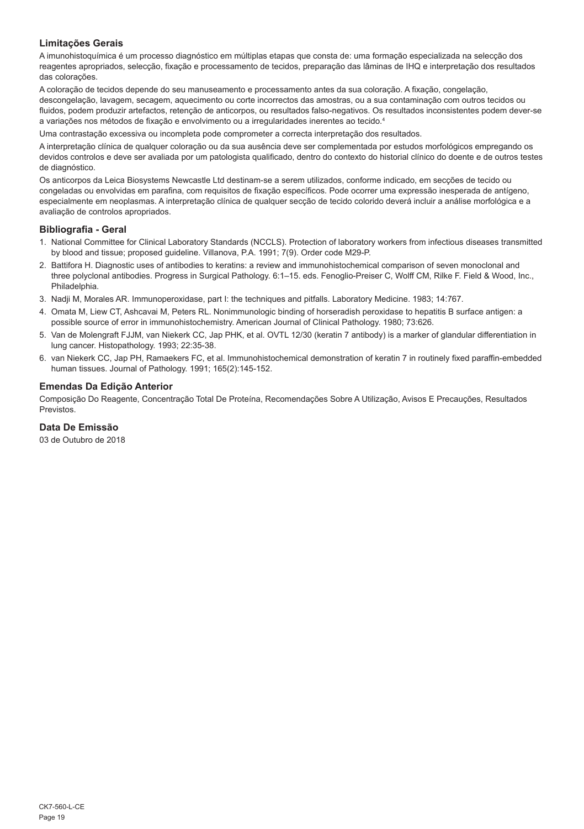## **Limitações Gerais**

A imunohistoquímica é um processo diagnóstico em múltiplas etapas que consta de: uma formação especializada na selecção dos reagentes apropriados, selecção, fixação e processamento de tecidos, preparação das lâminas de IHQ e interpretação dos resultados das colorações.

A coloração de tecidos depende do seu manuseamento e processamento antes da sua coloração. A fixação, congelação, descongelação, lavagem, secagem, aquecimento ou corte incorrectos das amostras, ou a sua contaminação com outros tecidos ou fluidos, podem produzir artefactos, retenção de anticorpos, ou resultados falso-negativos. Os resultados inconsistentes podem dever-se a variações nos métodos de fixação e envolvimento ou a irregularidades inerentes ao tecido.4

Uma contrastação excessiva ou incompleta pode comprometer a correcta interpretação dos resultados.

A interpretação clínica de qualquer coloração ou da sua ausência deve ser complementada por estudos morfológicos empregando os devidos controlos e deve ser avaliada por um patologista qualificado, dentro do contexto do historial clínico do doente e de outros testes de diagnóstico.

Os anticorpos da Leica Biosystems Newcastle Ltd destinam-se a serem utilizados, conforme indicado, em secções de tecido ou congeladas ou envolvidas em parafina, com requisitos de fixação específicos. Pode ocorrer uma expressão inesperada de antígeno, especialmente em neoplasmas. A interpretação clínica de qualquer secção de tecido colorido deverá incluir a análise morfológica e a avaliação de controlos apropriados.

#### **Bibliografia - Geral**

- 1. National Committee for Clinical Laboratory Standards (NCCLS). Protection of laboratory workers from infectious diseases transmitted by blood and tissue; proposed guideline. Villanova, P.A. 1991; 7(9). Order code M29-P.
- 2. Battifora H. Diagnostic uses of antibodies to keratins: a review and immunohistochemical comparison of seven monoclonal and three polyclonal antibodies. Progress in Surgical Pathology. 6:1–15. eds. Fenoglio-Preiser C, Wolff CM, Rilke F. Field & Wood, Inc., Philadelphia.
- 3. Nadji M, Morales AR. Immunoperoxidase, part I: the techniques and pitfalls. Laboratory Medicine. 1983; 14:767.
- 4. Omata M, Liew CT, Ashcavai M, Peters RL. Nonimmunologic binding of horseradish peroxidase to hepatitis B surface antigen: a possible source of error in immunohistochemistry. American Journal of Clinical Pathology. 1980; 73:626.
- 5. Van de Molengraft FJJM, van Niekerk CC, Jap PHK, et al. OVTL 12/30 (keratin 7 antibody) is a marker of glandular differentiation in lung cancer. Histopathology. 1993; 22:35-38.
- 6. van Niekerk CC, Jap PH, Ramaekers FC, et al. Immunohistochemical demonstration of keratin 7 in routinely fixed paraffin-embedded human tissues. Journal of Pathology. 1991; 165(2):145-152.

## **Emendas Da Edição Anterior**

Composição Do Reagente, Concentração Total De Proteína, Recomendações Sobre A Utilização, Avisos E Precauções, Resultados Previstos.

**Data De Emissão**

03 de Outubro de 2018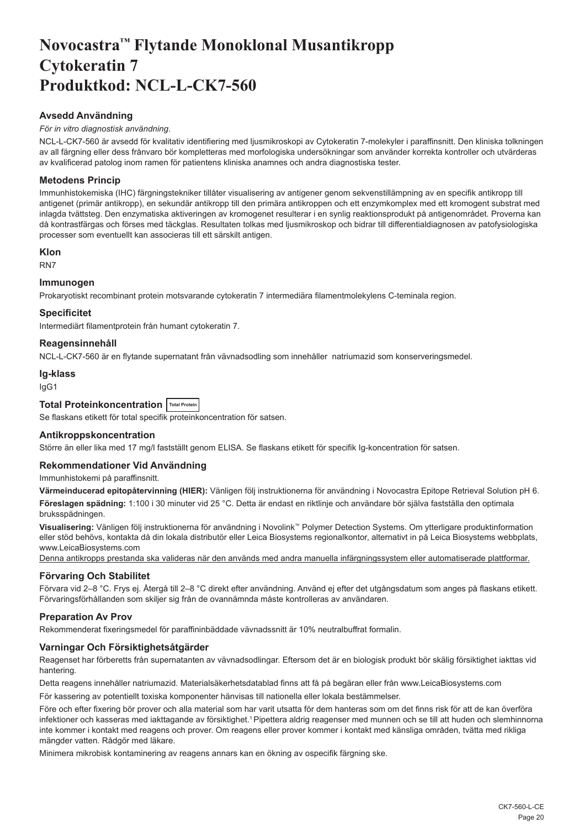## <span id="page-20-0"></span>**Novocastra™ Flytande Monoklonal Musantikropp Cytokeratin 7 Produktkod: NCL-L-CK7-560**

## **Avsedd Användning**

#### *För in vitro diagnostisk användning*.

NCL-L-CK7-560 är avsedd för kvalitativ identifiering med ljusmikroskopi av Cytokeratin 7-molekyler i paraffinsnitt. Den kliniska tolkningen av all färgning eller dess frånvaro bör kompletteras med morfologiska undersökningar som använder korrekta kontroller och utvärderas av kvalificerad patolog inom ramen för patientens kliniska anamnes och andra diagnostiska tester.

## **Metodens Princip**

Immunhistokemiska (IHC) färgningstekniker tillåter visualisering av antigener genom sekvenstillämpning av en specifik antikropp till antigenet (primär antikropp), en sekundär antikropp till den primära antikroppen och ett enzymkomplex med ett kromogent substrat med inlagda tvättsteg. Den enzymatiska aktiveringen av kromogenet resulterar i en synlig reaktionsprodukt på antigenområdet. Proverna kan då kontrastfärgas och förses med täckglas. Resultaten tolkas med ljusmikroskop och bidrar till differentialdiagnosen av patofysiologiska processer som eventuellt kan associeras till ett särskilt antigen.

## **Klon**

RN7

## **Immunogen**

Prokaryotiskt recombinant protein motsvarande cytokeratin 7 intermediära filamentmolekylens C-teminala region.

## **Specificitet**

Intermediärt filamentprotein från humant cytokeratin 7.

## **Reagensinnehåll**

NCL-L-CK7-560 är en flytande supernatant från vävnadsodling som innehåller natriumazid som konserveringsmedel.

#### **Ig-klass**

IgG1

## **Total Proteinkoncentration Total Protein**

Se flaskans etikett för total specifik proteinkoncentration för satsen.

#### **Antikroppskoncentration**

Större än eller lika med 17 mg/l fastställt genom ELISA. Se flaskans etikett för specifik Ig-koncentration för satsen.

#### **Rekommendationer Vid Användning**

Immunhistokemi på paraffinsnitt.

**Värmeinducerad epitopåtervinning (HIER):** Vänligen följ instruktionerna för användning i Novocastra Epitope Retrieval Solution pH 6. **Föreslagen spädning:** 1:100 i 30 minuter vid 25 °C. Detta är endast en riktlinje och användare bör själva fastställa den optimala bruksspädningen.

**Visualisering:** Vänligen följ instruktionerna för användning i Novolink™ Polymer Detection Systems. Om ytterligare produktinformation eller stöd behövs, kontakta då din lokala distributör eller Leica Biosystems regionalkontor, alternativt in på Leica Biosystems webbplats, www.LeicaBiosystems.com

Denna antikropps prestanda ska valideras när den används med andra manuella infärgningssystem eller automatiserade plattformar.

## **Förvaring Och Stabilitet**

Förvara vid 2–8 °C. Frys ej. Återgå till 2–8 °C direkt efter användning. Använd ej efter det utgångsdatum som anges på flaskans etikett. Förvaringsförhållanden som skiljer sig från de ovannämnda måste kontrolleras av användaren.

## **Preparation Av Prov**

Rekommenderat fixeringsmedel för paraffininbäddade vävnadssnitt är 10% neutralbuffrat formalin.

## **Varningar Och Försiktighetsåtgärder**

Reagenset har förberetts från supernatanten av vävnadsodlingar. Eftersom det är en biologisk produkt bör skälig försiktighet iakttas vid hantering.

Detta reagens innehåller natriumazid. Materialsäkerhetsdatablad finns att få på begäran eller från www.LeicaBiosystems.com

För kassering av potentiellt toxiska komponenter hänvisas till nationella eller lokala bestämmelser.

Före och efter fixering bör prover och alla material som har varit utsatta för dem hanteras som om det finns risk för att de kan överföra infektioner och kasseras med iakttagande av försiktighet.<sup>1</sup> Pipettera aldrig reagenser med munnen och se till att huden och slemhinnorna inte kommer i kontakt med reagens och prover. Om reagens eller prover kommer i kontakt med känsliga områden, tvätta med rikliga mängder vatten. Rådgör med läkare.

Minimera mikrobisk kontaminering av reagens annars kan en ökning av ospecifik färgning ske.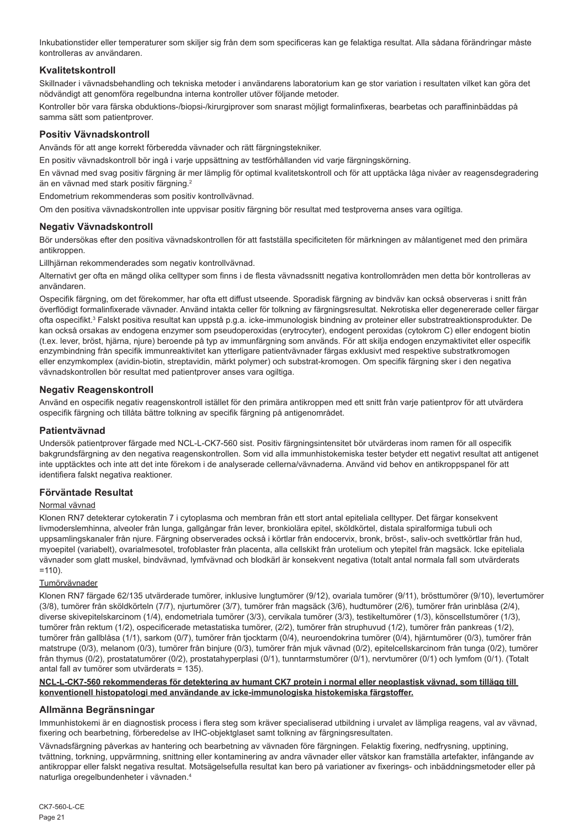Inkubationstider eller temperaturer som skiljer sig från dem som specificeras kan ge felaktiga resultat. Alla sådana förändringar måste kontrolleras av användaren.

## **Kvalitetskontroll**

Skillnader i vävnadsbehandling och tekniska metoder i användarens laboratorium kan ge stor variation i resultaten vilket kan göra det nödvändigt att genomföra regelbundna interna kontroller utöver följande metoder.

Kontroller bör vara färska obduktions-/biopsi-/kirurgiprover som snarast möjligt formalinfixeras, bearbetas och paraffininbäddas på samma sätt som patientprover.

## **Positiv Vävnadskontroll**

Används för att ange korrekt förberedda vävnader och rätt färgningstekniker.

En positiv vävnadskontroll bör ingå i varje uppsättning av testförhållanden vid varje färgningskörning.

En vävnad med svag positiv färgning är mer lämplig för optimal kvalitetskontroll och för att upptäcka låga nivåer av reagensdegradering än en vävnad med stark positiv färgning.<sup>2</sup>

Endometrium rekommenderas som positiv kontrollvävnad.

Om den positiva vävnadskontrollen inte uppvisar positiv färgning bör resultat med testproverna anses vara ogiltiga.

## **Negativ Vävnadskontroll**

Bör undersökas efter den positiva vävnadskontrollen för att fastställa specificiteten för märkningen av målantigenet med den primära antikroppen

Lillhjärnan rekommenderades som negativ kontrollvävnad.

Alternativt ger ofta en mängd olika celltyper som finns i de flesta vävnadssnitt negativa kontrollområden men detta bör kontrolleras av användaren.

Ospecifik färgning, om det förekommer, har ofta ett diffust utseende. Sporadisk färgning av bindväv kan också observeras i snitt från överflödigt formalinfixerade vävnader. Använd intakta celler för tolkning av färgningsresultat. Nekrotiska eller degenererade celler färgar ofta ospecifikt.<sup>s</sup> Falskt positiva resultat kan uppstå p.g.a. icke-immunologisk bindning av proteiner eller substratreaktionsprodukter. De kan också orsakas av endogena enzymer som pseudoperoxidas (erytrocyter), endogent peroxidas (cytokrom C) eller endogent biotin (t.ex. lever, bröst, hjärna, njure) beroende på typ av immunfärgning som används. För att skilja endogen enzymaktivitet eller ospecifik enzymbindning från specifik immunreaktivitet kan ytterligare patientvävnader färgas exklusivt med respektive substratkromogen eller enzymkomplex (avidin-biotin, streptavidin, märkt polymer) och substrat-kromogen. Om specifik färgning sker i den negativa vävnadskontrollen bör resultat med patientprover anses vara ogiltiga.

## **Negativ Reagenskontroll**

Använd en ospecifik negativ reagenskontroll istället för den primära antikroppen med ett snitt från varje patientprov för att utvärdera ospecifik färgning och tillåta bättre tolkning av specifik färgning på antigenområdet.

#### **Patientvävnad**

Undersök patientprover färgade med NCL-L-CK7-560 sist. Positiv färgningsintensitet bör utvärderas inom ramen för all ospecifik bakgrundsfärgning av den negativa reagenskontrollen. Som vid alla immunhistokemiska tester betyder ett negativt resultat att antigenet inte upptäcktes och inte att det inte förekom i de analyserade cellerna/vävnaderna. Använd vid behov en antikroppspanel för att identifiera falskt negativa reaktioner.

## **Förväntade Resultat**

#### Normal vävnad

Klonen RN7 detekterar cytokeratin 7 i cytoplasma och membran från ett stort antal epiteliala celltyper. Det färgar konsekvent livmoderslemhinna, alveoler från lunga, gallgångar från lever, bronkiolära epitel, sköldkörtel, distala spiralformiga tubuli och uppsamlingskanaler från njure. Färgning observerades också i körtlar från endocervix, bronk, bröst-, saliv-och svettkörtlar från hud, myoepitel (variabelt), ovarialmesotel, trofoblaster från placenta, alla cellskikt från urotelium och ytepitel från magsäck. Icke epiteliala vävnader som glatt muskel, bindvävnad, lymfvävnad och blodkärl är konsekvent negativa (totalt antal normala fall som utvärderats  $=110$ ).

#### Tumörvävnader

Klonen RN7 färgade 62/135 utvärderade tumörer, inklusive lungtumörer (9/12), ovariala tumörer (9/11), brösttumörer (9/10), levertumörer (3/8), tumörer från sköldkörteln (7/7), njurtumörer (3/7), tumörer från magsäck (3/6), hudtumörer (2/6), tumörer från urinblåsa (2/4), diverse skivepitelskarcinom (1/4), endometriala tumörer (3/3), cervikala tumörer (3/3), testikeltumörer (1/3), könscellstumörer (1/3), tumörer från rektum (1/2), ospecificerade metastatiska tumörer, (2/2), tumörer från struphuvud (1/2), tumörer från pankreas (1/2), tumörer från gallblåsa (1/1), sarkom (0/7), tumörer från tjocktarm (0/4), neuroendokrina tumörer (0/4), hjärntumörer (0/3), tumörer från matstrupe (0/3), melanom (0/3), tumörer från binjure (0/3), tumörer från mjuk vävnad (0/2), epitelcellskarcinom från tunga (0/2), tumörer från thymus (0/2), prostatatumörer (0/2), prostatahyperplasi (0/1), tunntarmstumörer (0/1), nervtumörer (0/1) och lymfom (0/1). (Totalt antal fall av tumörer som utvärderats = 135).

#### **NCL-L-CK7-560 rekommenderas för detektering av humant CK7 protein i normal eller neoplastisk vävnad, som tillägg till konventionell histopatologi med användande av icke-immunologiska histokemiska färgstoffer.**

#### **Allmänna Begränsningar**

Immunhistokemi är en diagnostisk process i flera steg som kräver specialiserad utbildning i urvalet av lämpliga reagens, val av vävnad, fixering och bearbetning, förberedelse av IHC-objektglaset samt tolkning av färgningsresultaten.

Vävnadsfärgning påverkas av hantering och bearbetning av vävnaden före färgningen. Felaktig fixering, nedfrysning, upptining, tvättning, torkning, uppvärmning, snittning eller kontaminering av andra vävnader eller vätskor kan framställa artefakter, infångande av antikroppar eller falskt negativa resultat. Motsägelsefulla resultat kan bero på variationer av fixerings- och inbäddningsmetoder eller på naturliga oregelbundenheter i vävnaden.4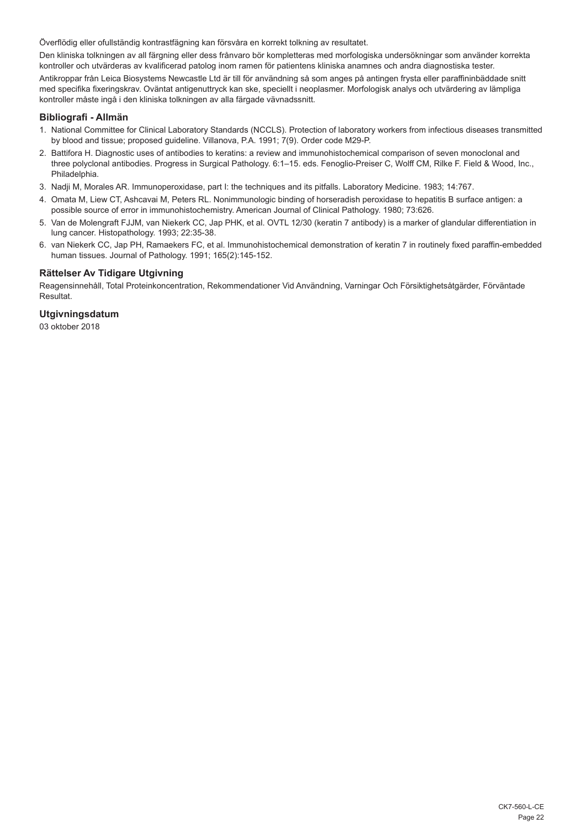Överflödig eller ofullständig kontrastfägning kan försvåra en korrekt tolkning av resultatet.

Den kliniska tolkningen av all färgning eller dess frånvaro bör kompletteras med morfologiska undersökningar som använder korrekta kontroller och utvärderas av kvalificerad patolog inom ramen för patientens kliniska anamnes och andra diagnostiska tester.

Antikroppar från Leica Biosystems Newcastle Ltd är till för användning så som anges på antingen frysta eller paraffininbäddade snitt med specifika fixeringskrav. Oväntat antigenuttryck kan ske, speciellt i neoplasmer. Morfologisk analys och utvärdering av lämpliga kontroller måste ingå i den kliniska tolkningen av alla färgade vävnadssnitt.

#### **Bibliografi - Allmän**

- 1. National Committee for Clinical Laboratory Standards (NCCLS). Protection of laboratory workers from infectious diseases transmitted by blood and tissue; proposed guideline. Villanova, P.A. 1991; 7(9). Order code M29-P.
- 2. Battifora H. Diagnostic uses of antibodies to keratins: a review and immunohistochemical comparison of seven monoclonal and three polyclonal antibodies. Progress in Surgical Pathology. 6:1–15. eds. Fenoglio-Preiser C, Wolff CM, Rilke F. Field & Wood, Inc., Philadelphia.
- 3. Nadji M, Morales AR. Immunoperoxidase, part I: the techniques and its pitfalls. Laboratory Medicine. 1983; 14:767.
- 4. Omata M, Liew CT, Ashcavai M, Peters RL. Nonimmunologic binding of horseradish peroxidase to hepatitis B surface antigen: a possible source of error in immunohistochemistry. American Journal of Clinical Pathology. 1980; 73:626.
- 5. Van de Molengraft FJJM, van Niekerk CC, Jap PHK, et al. OVTL 12/30 (keratin 7 antibody) is a marker of glandular differentiation in lung cancer. Histopathology. 1993; 22:35-38.
- 6. van Niekerk CC, Jap PH, Ramaekers FC, et al. Immunohistochemical demonstration of keratin 7 in routinely fixed paraffin-embedded human tissues. Journal of Pathology. 1991; 165(2):145-152.

## **Rättelser Av Tidigare Utgivning**

Reagensinnehåll, Total Proteinkoncentration, Rekommendationer Vid Användning, Varningar Och Försiktighetsåtgärder, Förväntade Resultat.

## **Utgivningsdatum**

03 oktober 2018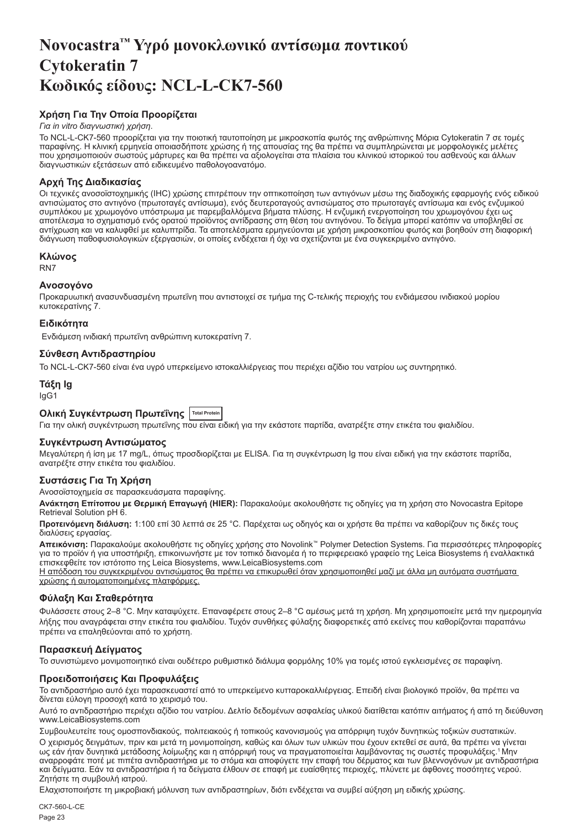## <span id="page-23-0"></span>**Novocastra™ Υγρό μονοκλωνικό αντίσωμα ποντικού Cytokeratin 7 Κωδικός είδους: NCL-L-CK7-560**

## **Χρήση Για Την Οποία Προορίζεται**

#### *Για in vitro διαγνωστική χρήση*.

Το NCL-L-CK7-560 προορίζεται για την ποιοτική ταυτοποίηση με μικροσκοπία φωτός της ανθρώπινης Μόρια Cytokeratin 7 σε τομές παραφίνης. Η κλινική ερμηνεία οποιασδήποτε χρώσης ή της απουσίας της θα πρέπει να συμπληρώνεται με μορφολογικές μελέτες που χρησιμοποιούν σωστούς μάρτυρες και θα πρέπει να αξιολογείται στα πλαίσια του κλινικού ιστορικού του ασθενούς και άλλων διαγνωστικών εξετάσεων από ειδικευμένο παθολογοανατόμο.

## **Αρχή Της Διαδικασίας**

Οι τεχνικές ανοσοϊστοχημικής (IHC) χρώσης επιτρέπουν την οπτικοποίηση των αντιγόνων μέσω της διαδοχικής εφαρμογής ενός ειδικού αντισώματος στο αντιγόνο (πρωτοταγές αντίσωμα), ενός δευτεροταγούς αντισώματος στο πρωτοταγές αντίσωμα και ενός ενζυμικού συμπλόκου με χρωμογόνο υπόστρωμα με παρεμβαλλόμενα βήματα πλύσης. Η ενζυμική ενεργοποίηση του χρωμογόνου έχει ως αποτέλεσμα το σχηματισμό ενός ορατού προϊόντος αντίδρασης στη θέση του αντιγόνου. Το δείγμα μπορεί κατόπιν να υποβληθεί σε αντίχρωση και να καλυφθεί με καλυπτρίδα. Τα αποτελέσματα ερμηνεύονται με χρήση μικροσκοπίου φωτός και βοηθούν στη διαφορική διάγνωση παθοφυσιολογικών εξεργασιών, οι οποίες ενδέχεται ή όχι να σχετίζονται με ένα συγκεκριμένο αντιγόνο.

#### **Κλώνος**

RN7

## **Ανοσογόνο**

Προκαρυωτική ανασυνδυασμένη πρωτεΐνη που αντιστοιχεί σε τμήμα της C-τελικής περιοχής του ενδιάμεσου ινιδιακού μορίου κυτοκερατίνης 7.

#### **Ειδικότητα**

Ενδιάμεση ινιδιακή πρωτεΐνη ανθρώπινη κυτοκερατίνη 7.

#### **Σύνθεση Αντιδραστηρίου**

Το NCL-L-CK7-560 είναι ένα υγρό υπερκείμενο ιστοκαλλιέργειας που περιέχει αζίδιο του νατρίου ως συντηρητικό.

#### **Τάξη Ig** IgG1

## **Ολική Συγκέντρωση Πρωτεΐνης Total Protein**

Για την ολική συγκέντρωση πρωτεΐνης που είναι ειδική για την εκάστοτε παρτίδα, ανατρέξτε στην ετικέτα του φιαλιδίου.

## **Συγκέντρωση Αντισώματος**

Μεγαλύτερη ή ίση με 17 mg/L, όπως προσδιορίζεται με ELISA. Για τη συγκέντρωση Ig που είναι ειδική για την εκάστοτε παρτίδα, ανατρέξτε στην ετικέτα του φιαλιδίου.

## **Συστάσεις Για Τη Χρήση**

Ανοσοϊστοχημεία σε παρασκευάσματα παραφίνης.

**Ανάκτηση Επίτοπου με Θερμική Επαγωγή (HIER):** Παρακαλούμε ακολουθήστε τις οδηγίες για τη χρήση στο Novocastra Epitope Retrieval Solution pH 6.

**Προτεινόμενη διάλυση:** 1:100 επί 30 λεπτά σε 25 °C. Παρέχεται ως οδηγός και οι χρήστε θα πρέπει να καθορίζουν τις δικές τους διαλύσεις εργασίας.

**Απεικόνιση:** Παρακαλούμε ακολουθήστε τις οδηγίες χρήσης στο Novolink™ Polymer Detection Systems. Για περισσότερες πληροφορίες για το προϊόν ή για υποστήριξη, επικοινωνήστε με τον τοπικό διανομέα ή το περιφερειακό γραφείο της Leica Biosystems ή εναλλακτικά επισκεφθείτε τον ιστότοπο της Leica Biosystems, www.LeicaBiosystems.com

Η απόδοση του συγκεκριμένου αντισώματος θα πρέπει να επικυρωθεί όταν χρησιμοποιηθεί μαζί με άλλα μη αυτόματα συστήματα χρώσης ή αυτοματοποιημένες πλατφόρμες.

## **Φύλαξη Και Σταθερότητα**

Φυλάσσετε στους 2–8 °C. Μην καταψύχετε. Επαναφέρετε στους 2–8 °C αμέσως μετά τη χρήση. Μη χρησιμοποιείτε μετά την ημερομηνία λήξης που αναγράφεται στην ετικέτα του φιαλιδίου. Τυχόν συνθήκες φύλαξης διαφορετικές από εκείνες που καθορίζονται παραπάνω πρέπει να επαληθεύονται από το χρήστη.

## **Παρασκευή Δείγματος**

Το συνιστώμενο μονιμοποιητικό είναι ουδέτερο ρυθμιστικό διάλυμα φορμόλης 10% για τομές ιστού εγκλεισμένες σε παραφίνη.

## **Προειδοποιήσεις Και Προφυλάξεις**

Το αντιδραστήριο αυτό έχει παρασκευαστεί από το υπερκείμενο κυτταροκαλλιέργειας. Επειδή είναι βιολογικό προϊόν, θα πρέπει να δίνεται εύλογη προσοχή κατά το χειρισμό του.

Αυτό το αντιδραστήριο περιέχει αζίδιο του νατρίου. Δελτίο δεδομένων ασφαλείας υλικού διατίθεται κατόπιν αιτήματος ή από τη διεύθυνση www.LeicaBiosystems.com

Συμβουλευτείτε τους ομοσπονδιακούς, πολιτειακούς ή τοπικούς κανονισμούς για απόρριψη τυχόν δυνητικώς τοξικών συστατικών.

Ο χειρισμός δειγμάτων, πριν και μετά τη μονιμοποίηση, καθώς και όλων των υλικών που έχουν εκτεθεί σε αυτά, θα πρέπει να γίνεται ως εάν ήταν δυνητικά μετάδοσης λοίμωξης και η απόρριψή τους να πραγματοποιείται λαμβάνοντας τις σωστές προφυλάξεις.' Μην<br>αναρροφάτε ποτέ με πιπέτα αντιδραστήρια με το στόμα και αποφύγετε την επαφή του δέρματος και των βλε και δείγματα. Εάν τα αντιδραστήρια ή τα δείγματα έλθουν σε επαφή με ευαίσθητες περιοχές, πλύνετε με άφθονες ποσότητες νερού. Ζητήστε τη συμβουλή ιατρού.

Ελαχιστοποιήστε τη μικροβιακή μόλυνση των αντιδραστηρίων, διότι ενδέχεται να συμβεί αύξηση μη ειδικής χρώσης.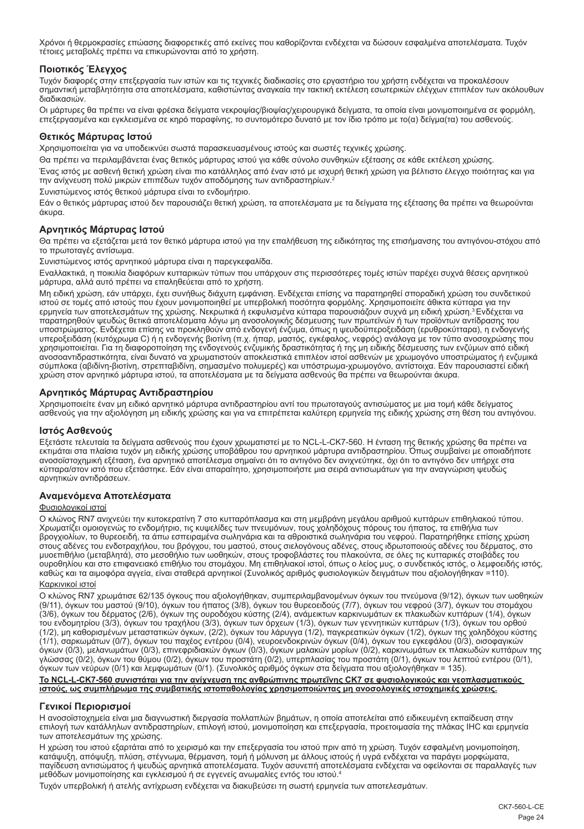Χρόνοι ή θερμοκρασίες επώασης διαφορετικές από εκείνες που καθορίζονται ενδέχεται να δώσουν εσφαλμένα αποτελέσματα. Τυχόν τέτοιες μεταβολές πρέπει να επικυρώνονται από το χρήστη.

## **Ποιοτικός Έλεγχος**

Τυχόν διαφορές στην επεξεργασία των ιστών και τις τεχνικές διαδικασίες στο εργαστήριο του χρήστη ενδέχεται να προκαλέσουν σημαντική μεταβλητότητα στα αποτελέσματα, καθιστώντας αναγκαία την τακτική εκτέλεση εσωτερικών ελέγχων επιπλέον των ακόλουθων διαδικασιών.

Οι μάρτυρες θα πρέπει να είναι φρέσκα δείγματα νεκροψίας/βιοψίας/χειρουργικά δείγματα, τα οποία είναι μονιμοποιημένα σε φορμόλη, επεξεργασμένα και εγκλεισμένα σε κηρό παραφίνης, το συντομότερο δυνατό με τον ίδιο τρόπο με το(α) δείγμα(τα) του ασθενούς.

#### **Θετικός Μάρτυρας Ιστού**

Χρησιμοποιείται για να υποδεικνύει σωστά παρασκευασμένους ιστούς και σωστές τεχνικές χρώσης.

Θα πρέπει να περιλαμβάνεται ένας θετικός μάρτυρας ιστού για κάθε σύνολο συνθηκών εξέτασης σε κάθε εκτέλεση χρώσης.

Ένας ιστός με ασθενή θετική χρώση είναι πιο κατάλληλος από έναν ιστό με ισχυρή θετική χρώση για βέλτιστο έλεγχο ποιότητας και για την ανίχνευση πολύ μικρών επιπέδων τυχόν αποδόμησης των αντιδραστηρίων.<sup>2</sup>

Συνιστώμενος ιστός θετικού μάρτυρα είναι το ενδομήτριο.

Εάν ο θετικός μάρτυρας ιστού δεν παρουσιάζει θετική χρώση, τα αποτελέσματα με τα δείγματα της εξέτασης θα πρέπει να θεωρούνται άκυρα.

## **Αρνητικός Μάρτυρας Ιστού**

Θα πρέπει να εξετάζεται μετά τον θετικό μάρτυρα ιστού για την επαλήθευση της ειδικότητας της επισήμανσης του αντιγόνου-στόχου από το πρωτοταγές αντίσωμα.

Συνιστώμενος ιστός αρνητικού μάρτυρα είναι η παρεγκεφαλίδα.

Εναλλακτικά, η ποικιλία διαφόρων κυτταρικών τύπων που υπάρχουν στις περισσότερες τομές ιστών παρέχει συχνά θέσεις αρνητικού μάρτυρα, αλλά αυτό πρέπει να επαληθεύεται από το χρήστη.

Μη ειδική χρώση, εάν υπάρχει, έχει συνήθως διάχυτη εμφάνιση. Ενδέχεται επίσης να παρατηρηθεί σποραδική χρώση του συνδετικού ιστού σε τομές από ιστούς που έχουν μονιμοποιηθεί με υπερβολική ποσότητα φορμόλης. Χρησιμοποιείτε άθικτα κύτταρα για την<br>ερμηνεία των αποτελεσμάτων της χρώσης. Νεκρωτικά ή εκφυλισμένα κύτταρα παρουσιάζουν συχνά μη ειδική παρατηρηθούν ψευδώς θετικά αποτελέσματα λόγω μη ανοσολογικής δέσμευσης των πρωτεϊνών ή των προϊόντων αντίδρασης του υποστρώματος. Ενδέχεται επίσης να προκληθούν από ενδογενή ένζυμα, όπως η ψευδοϋπεροξειδάση (ερυθροκύτταρα), η ενδογενής<br>υπεροξειδάση (κυτόχρωμα C) ή η ενδογενής βιοτίνη (π.χ. ήπαρ, μαστός, εγκέφαλος, νεφρός) ανάλογα με το χρησιμοποιείται. Για τη διαφοροποίηση της ενδογενούς ενζυμικής δραστικότητας ή της μη ειδικής δέσμευσης των ενζύμων από ειδική ανοσοαντιδραστικότητα, είναι δυνατό να χρωματιστούν αποκλειστικά επιπλέον ιστοί ασθενών με χρωμογόνο υποστρώματος ή ενζυμικά σύμπλοκα (αβιδίνη-βιοτίνη, στρεπταβιδίνη, σημασμένο πολυμερές) και υπόστρωμα-χρωμογόνο, αντίστοιχα. Εάν παρουσιαστεί ειδική χρώση στον αρνητικό μάρτυρα ιστού, τα αποτελέσματα με τα δείγματα ασθενούς θα πρέπει να θεωρούνται άκυρα.

## **Αρνητικός Μάρτυρας Αντιδραστηρίου**

Χρησιμοποιείτε έναν μη ειδικό αρνητικό μάρτυρα αντιδραστηρίου αντί του πρωτοταγούς αντισώματος με μια τομή κάθε δείγματος ασθενούς για την αξιολόγηση μη ειδικής χρώσης και για να επιτρέπεται καλύτερη ερμηνεία της ειδικής χρώσης στη θέση του αντιγόνου.

## **Ιστός Ασθενούς**

Εξετάστε τελευταία τα δείγματα ασθενούς που έχουν χρωματιστεί με το NCL-L-CK7-560. Η ένταση της θετικής χρώσης θα πρέπει να εκτιμάται στα πλαίσια τυχόν μη ειδικής χρώσης υποβάθρου του αρνητικού μάρτυρα αντιδραστηρίου. Όπως συμβαίνει με οποιαδήποτε ανοσοϊστοχημική εξέταση, ένα αρνητικό αποτέλεσμα σημαίνει ότι το αντιγόνο δεν ανιχνεύτηκε, όχι ότι το αντιγόνο δεν υπήρχε στα κύτταρα/στον ιστό που εξετάστηκε. Εάν είναι απαραίτητο, χρησιμοποιήστε μια σειρά αντισωμάτων για την αναγνώριση ψευδώς αρνητικών αντιδράσεων.

## **Αναμενόμενα Αποτελέσματα**

#### Φυσιολογικοί ιστοί

Ο κλώνος RN7 ανιχνεύει την κυτοκερατίνη 7 στο κυτταρόπλασμα και στη μεμβράνη μεγάλου αριθμού κυττάρων επιθηλιακού τύπου. Χρωματίζει ομοιογενώς το ενδομήτριο, τις κυψελίδες των πνευμόνων, τους χοληδόχους πόρους του ήπατος, τα επιθήλια των βρογχιολίων, το θυρεοειδή, τα άπω εσπειραμένα σωληνάρια και τα αθροιστικά σωληνάρια του νεφρού. Παρατηρήθηκε επίσης χρώση στους αδένες του ενδοτραχήλου, του βρόγχου, του μαστού, στους σιελογόνους αδένες, στους ιδρωτοποιούς αδένες του δέρματος, στο μυοεπιθήλιο (μεταβλητά), στο μεσοθήλιο των ωοθηκών, στους τροφοβλάστες του πλακούντα, σε όλες τις κυτταρικές στοιβάδες του ουροθηλίου και στο επιφανειακό επιθήλιο του στομάχου. Μη επιθηλιακοί ιστοί, όπως ο λείος μυς, ο συνδετικός ιστός, ο λεμφοειδής ιστός, καθώς και τα αιμοφόρα αγγεία, είναι σταθερά αρνητικοί (Συνολικός αριθμός φυσιολογικών δειγμάτων που αξιολογήθηκαν =110). Καρκινικοί ιστοί

Ο κλώνος RN7 χρωμάτισε 62/135 όγκους που αξιολογήθηκαν, συμπεριλαμβανομένων όγκων του πνεύμονα (9/12), όγκων των ωοθηκών (9/11), όγκων του μαστού (9/10), όγκων του ήπατος (3/8), όγκων του θυρεοειδούς (7/7), όγκων του νεφρού (3/7), όγκων του στομάχου (3/6), όγκων του δέρματος (2/6), όγκων της ουροδόχου κύστης (2/4), ανάμεικτων καρκινωμάτων εκ πλακωδών κυττάρων (1/4), όγκων του ενδομητρίου (3/3), όγκων του τραχήλου (3/3), όγκων των όρχεων (1/3), όγκων των γεννητικών κυττάρων (1/3), όγκων του ορθού (1/2), μη καθορισμένων μεταστατικών όγκων, (2/2), όγκων του λάρυγγα (1/2), παγκρεατικών όγκων (1/2), όγκων της χοληδόχου κύστης (1/1), σαρκωμάτων (0/7), όγκων του παχέος εντέρου (0/4), νευροενδοκρινών όγκων (0/4), όγκων του εγκεφάλου (0/3), οισοφαγικών όγκων (0/3), μελανωμάτων (0/3), επινεφριδιακών όγκων (0/3), όγκων μαλακών μορίων (0/2), καρκινωμάτων εκ πλακωδών κυττάρων της γλώσσας (0/2), όγκων του θύμου (0/2), όγκων του προστάτη (0/2), υπερπλασίας του προστάτη (0/1), όγκων του λεπτού εντέρου (0/1), όγκων των νεύρων (0/1) και λεμφωμάτων (0/1). (Συνολικός αριθμός όγκων στα δείγματα που αξιολογήθηκαν = 135).

#### **Το NCL-L-CK7-560 συνιστάται για την ανίχνευση της ανθρώπινης πρωτεΐνης CK7 σε φυσιολογικούς και νεοπλασματικούς ιστούς, ως συμπλήρωμα της συμβατικής ιστοπαθολογίας χρησιμοποιώντας μη ανοσολογικές ιστοχημικές χρώσεις.**

## **Γενικοί Περιορισμοί**

Η ανοσοϊστοχημεία είναι μια διαγνωστική διεργασία πολλαπλών βημάτων, η οποία αποτελείται από ειδικευμένη εκπαίδευση στην επιλογή των κατάλληλων αντιδραστηρίων, επιλογή ιστού, μονιμοποίηση και επεξεργασία, προετοιμασία της πλάκας IHC και ερμηνεία των αποτελεσμάτων της χρώσης.

Η χρώση του ιστού εξαρτάται από το χειρισμό και την επεξεργασία του ιστού πριν από τη χρώση. Τυχόν εσφαλμένη μονιμοποίηση,<br>κατάψυξη, απόψυξη, πλύση, στέγνωμα, θέρμανση, τομή ή μόλυνση με άλλους ιστούς ή υγρά ενδέχεται να παγίδευση αντισώματος ή ψευδώς αρνητικά αποτελέσματα. Τυχόν ασυνεπή αποτελέσματα ενδέχεται να οφείλονται σε παραλλαγές των μεθόδων μονιμοποίησης και εγκλεισμού ή σε εγγενείς ανωμαλίες εντός του ιστού.4

Τυχόν υπερβολική ή ατελής αντίχρωση ενδέχεται να διακυβεύσει τη σωστή ερμηνεία των αποτελεσμάτων.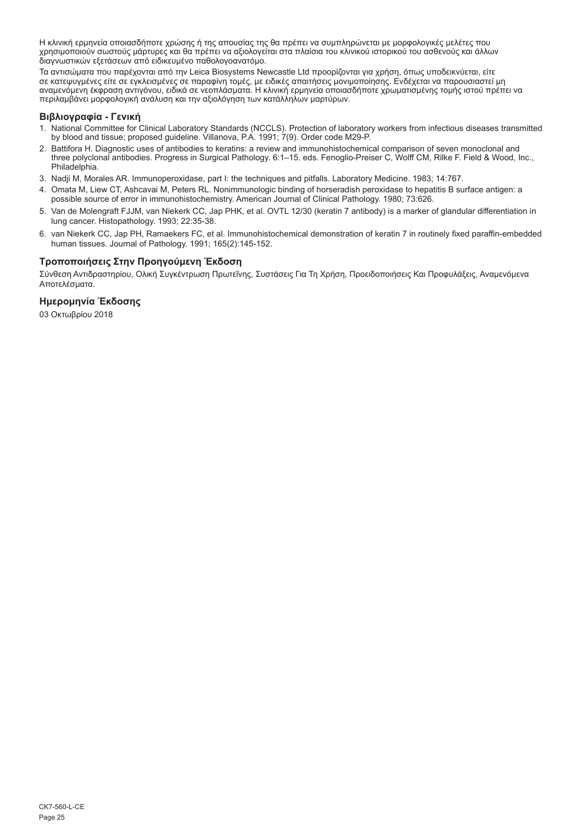Η κλινική ερμηνεία οποιασδήποτε χρώσης ή της απουσίας της θα πρέπει να συμπληρώνεται με μορφολογικές μελέτες που χρησιμοποιούν σωστούς μάρτυρες και θα πρέπει να αξιολογείται στα πλαίσια του κλινικού ιστορικού του ασθενούς και άλλων διαγνωστικών εξετάσεων από ειδικευμένο παθολογοανατόμο.

Τα αντισώματα που παρέχονται από την Leica Biosystems Newcastle Ltd προορίζονται για χρήση, όπως υποδεικνύεται, είτε σε κατεψυγμένες είτε σε εγκλεισμένες σε παραφίνη τομές, με ειδικές απαιτήσεις μονιμοποίησης. Ενδέχεται να παρουσιαστεί μη<br>αναμενόμενη έκφραση αντιγόνου, ειδικά σε νεοπλάσματα. Η κλινική ερμηνεία οποιασδήποτε χρωματισμένης περιλαμβάνει μορφολογική ανάλυση και την αξιολόγηση των κατάλληλων μαρτύρων.

## **Βιβλιογραφία - Γενική**

- 1. National Committee for Clinical Laboratory Standards (NCCLS). Protection of laboratory workers from infectious diseases transmitted by blood and tissue; proposed guideline. Villanova, P.A. 1991; 7(9). Order code M29-P.
- 2. Battifora H. Diagnostic uses of antibodies to keratins: a review and immunohistochemical comparison of seven monoclonal and three polyclonal antibodies. Progress in Surgical Pathology. 6:1–15. eds. Fenoglio-Preiser C, Wolff CM, Rilke F. Field & Wood, Inc., Philadelphia.
- 3. Nadji M, Morales AR. Immunoperoxidase, part I: the techniques and pitfalls. Laboratory Medicine. 1983; 14:767.
- 4. Omata M, Liew CT, Ashcavai M, Peters RL. Nonimmunologic binding of horseradish peroxidase to hepatitis B surface antigen: a possible source of error in immunohistochemistry. American Journal of Clinical Pathology. 1980; 73:626.
- 5. Van de Molengraft FJJM, van Niekerk CC, Jap PHK, et al. OVTL 12/30 (keratin 7 antibody) is a marker of glandular differentiation in lung cancer. Histopathology. 1993; 22:35-38.
- 6. van Niekerk CC, Jap PH, Ramaekers FC, et al. Immunohistochemical demonstration of keratin 7 in routinely fixed paraffin-embedded human tissues. Journal of Pathology. 1991; 165(2):145-152.

## **Τροποποιήσεις Στην Προηγούμενη Έκδοση**

Σύνθεση Αντιδραστηρίου, Ολική Συγκέντρωση Πρωτεΐνης, Συστάσεις Για Τη Χρήση, Προειδοποιήσεις Και Προφυλάξεις, Αναμενόμενα Αποτελέσματα.

## **Ημερομηνία Έκδοσης**

03 Οκτωβρίου 2018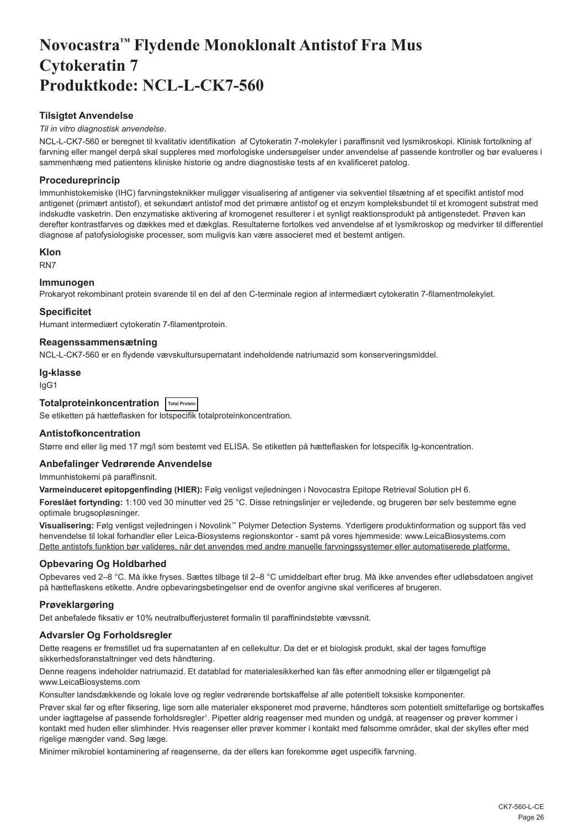## <span id="page-26-0"></span>**Novocastra™ Flydende Monoklonalt Antistof Fra Mus Cytokeratin 7 Produktkode: NCL-L-CK7-560**

## **Tilsigtet Anvendelse**

#### *Til in vitro diagnostisk anvendelse*.

NCL-L-CK7-560 er beregnet til kvalitativ identifikation af Cytokeratin 7-molekyler i paraffinsnit ved lysmikroskopi. Klinisk fortolkning af farvning eller mangel derpå skal suppleres med morfologiske undersøgelser under anvendelse af passende kontroller og bør evalueres i sammenhæng med patientens kliniske historie og andre diagnostiske tests af en kvalificeret patolog.

## **Procedureprincip**

Immunhistokemiske (IHC) farvningsteknikker muliggør visualisering af antigener via sekventiel tilsætning af et specifikt antistof mod antigenet (primært antistof), et sekundært antistof mod det primære antistof og et enzym kompleksbundet til et kromogent substrat med indskudte vasketrin. Den enzymatiske aktivering af kromogenet resulterer i et synligt reaktionsprodukt på antigenstedet. Prøven kan derefter kontrastfarves og dækkes med et dækglas. Resultaterne fortolkes ved anvendelse af et lysmikroskop og medvirker til differentiel diagnose af patofysiologiske processer, som muligvis kan være associeret med et bestemt antigen.

## **Klon**

RN7

## **Immunogen**

Prokaryot rekombinant protein svarende til en del af den C-terminale region af intermediært cytokeratin 7-filamentmolekylet.

#### **Specificitet**

Humant intermediært cytokeratin 7-filamentprotein.

## **Reagenssammensætning**

NCL-L-CK7-560 er en flydende vævskultursupernatant indeholdende natriumazid som konserveringsmiddel.

#### **Ig-klasse**

IgG1

## **Totalproteinkoncentration Total Protein**

Se etiketten på hætteflasken for lotspecifik totalproteinkoncentration.

#### **Antistofkoncentration**

Større end eller lig med 17 mg/l som bestemt ved ELISA. Se etiketten på hætteflasken for lotspecifik Ig-koncentration.

## **Anbefalinger Vedrørende Anvendelse**

Immunhistokemi på paraffinsnit.

**Varmeinduceret epitopgenfinding (HIER):** Følg venligst vejledningen i Novocastra Epitope Retrieval Solution pH 6.

**Foreslået fortynding:** 1:100 ved 30 minutter ved 25 °C. Disse retningslinjer er vejledende, og brugeren bør selv bestemme egne optimale brugsopløsninger.

**Visualisering:** Følg venligst vejledningen i Novolink™ Polymer Detection Systems. Yderligere produktinformation og support fås ved henvendelse til lokal forhandler eller Leica-Biosystems regionskontor - samt på vores hjemmeside: www.LeicaBiosystems.com Dette antistofs funktion bør valideres, når det anvendes med andre manuelle farvningssystemer eller automatiserede platforme.

## **Opbevaring Og Holdbarhed**

Opbevares ved 2–8 °C. Må ikke fryses. Sættes tilbage til 2–8 °C umiddelbart efter brug. Må ikke anvendes efter udløbsdatoen angivet på hætteflaskens etikette. Andre opbevaringsbetingelser end de ovenfor angivne skal verificeres af brugeren.

## **Prøveklargøring**

Det anbefalede fiksativ er 10% neutralbufferjusteret formalin til paraffinindstøbte vævssnit.

## **Advarsler Og Forholdsregler**

Dette reagens er fremstillet ud fra supernatanten af en cellekultur. Da det er et biologisk produkt, skal der tages fornuftige sikkerhedsforanstaltninger ved dets håndtering.

Denne reagens indeholder natriumazid. Et datablad for materialesikkerhed kan fås efter anmodning eller er tilgængeligt på www.LeicaBiosystems.com

Konsulter landsdækkende og lokale love og regler vedrørende bortskaffelse af alle potentielt toksiske komponenter.

Prøver skal før og efter fiksering, lige som alle materialer eksponeret mod prøverne, håndteres som potentielt smittefarlige og bortskaffes under iagttagelse af passende forholdsregler<sup>ı</sup>. Pipetter aldrig reagenser med munden og undgå, at reagenser og prøver kommer i kontakt med huden eller slimhinder. Hvis reagenser eller prøver kommer i kontakt med følsomme områder, skal der skylles efter med rigelige mængder vand. Søg læge.

Minimer mikrobiel kontaminering af reagenserne, da der ellers kan forekomme øget uspecifik farvning.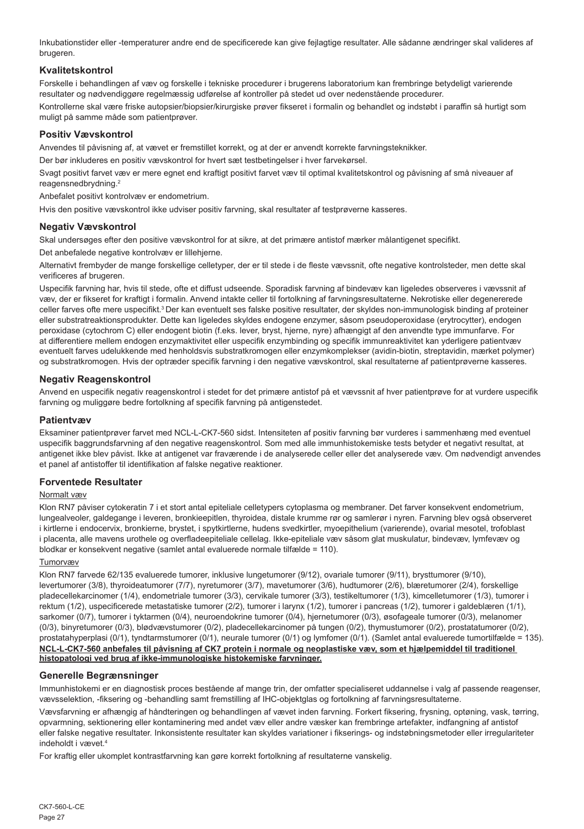Inkubationstider eller -temperaturer andre end de specificerede kan give fejlagtige resultater. Alle sådanne ændringer skal valideres af brugeren.

## **Kvalitetskontrol**

Forskelle i behandlingen af væv og forskelle i tekniske procedurer i brugerens laboratorium kan frembringe betydeligt varierende resultater og nødvendiggøre regelmæssig udførelse af kontroller på stedet ud over nedenstående procedurer.

Kontrollerne skal være friske autopsier/biopsier/kirurgiske prøver fikseret i formalin og behandlet og indstøbt i paraffin så hurtigt som muligt på samme måde som patientprøver.

#### **Positiv Vævskontrol**

Anvendes til påvisning af, at vævet er fremstillet korrekt, og at der er anvendt korrekte farvningsteknikker.

Der bør inkluderes en positiv vævskontrol for hvert sæt testbetingelser i hver farvekørsel.

Svagt positivt farvet væv er mere egnet end kraftigt positivt farvet væv til optimal kvalitetskontrol og påvisning af små niveauer af reagensnedbrydning.<sup>2</sup>

Anbefalet positivt kontrolvæv er endometrium.

Hvis den positive vævskontrol ikke udviser positiv farvning, skal resultater af testprøverne kasseres.

## **Negativ Vævskontrol**

Skal undersøges efter den positive vævskontrol for at sikre, at det primære antistof mærker målantigenet specifikt.

Det anbefalede negative kontrolvæv er lillehjerne.

Alternativt frembyder de mange forskellige celletyper, der er til stede i de fleste vævssnit, ofte negative kontrolsteder, men dette skal verificeres af brugeren.

Uspecifik farvning har, hvis til stede, ofte et diffust udseende. Sporadisk farvning af bindevæv kan ligeledes observeres i vævssnit af væv, der er fikseret for kraftigt i formalin. Anvend intakte celler til fortolkning af farvningsresultaterne. Nekrotiske eller degenererede celler farves ofte mere uspecifikt.<sup>3</sup>Der kan eventuelt ses falske positive resultater, der skyldes non-immunologisk binding af proteiner eller substratreaktionsprodukter. Dette kan ligeledes skyldes endogene enzymer, såsom pseudoperoxidase (erytrocytter), endogen peroxidase (cytochrom C) eller endogent biotin (f.eks. lever, bryst, hjerne, nyre) afhængigt af den anvendte type immunfarve. For at differentiere mellem endogen enzymaktivitet eller uspecifik enzymbinding og specifik immunreaktivitet kan yderligere patientvæv eventuelt farves udelukkende med henholdsvis substratkromogen eller enzymkomplekser (avidin-biotin, streptavidin, mærket polymer) og substratkromogen. Hvis der optræder specifik farvning i den negative vævskontrol, skal resultaterne af patientprøverne kasseres.

#### **Negativ Reagenskontrol**

Anvend en uspecifik negativ reagenskontrol i stedet for det primære antistof på et vævssnit af hver patientprøve for at vurdere uspecifik farvning og muliggøre bedre fortolkning af specifik farvning på antigenstedet.

#### **Patientvæv**

Eksaminer patientprøver farvet med NCL-L-CK7-560 sidst. Intensiteten af positiv farvning bør vurderes i sammenhæng med eventuel uspecifik baggrundsfarvning af den negative reagenskontrol. Som med alle immunhistokemiske tests betyder et negativt resultat, at antigenet ikke blev påvist. Ikke at antigenet var fraværende i de analyserede celler eller det analyserede væv. Om nødvendigt anvendes et panel af antistoffer til identifikation af falske negative reaktioner.

#### **Forventede Resultater**

## Normalt væv

Klon RN7 påviser cytokeratin 7 i et stort antal epiteliale celletypers cytoplasma og membraner. Det farver konsekvent endometrium, lungealveoler, galdegange i leveren, bronkieepitlen, thyroidea, distale krumme rør og samlerør i nyren. Farvning blev også observeret i kirtlerne i endocervix, bronkierne, brystet, i spytkirtlerne, hudens svedkirtler, myoepithelium (varierende), ovarial mesotel, trofoblast i placenta, alle mavens urothele og overfladeepiteliale cellelag. Ikke-epiteliale væv såsom glat muskulatur, bindevæv, lymfevæv og blodkar er konsekvent negative (samlet antal evaluerede normale tilfælde = 110).

#### Tumorvæv

Klon RN7 farvede 62/135 evaluerede tumorer, inklusive lungetumorer (9/12), ovariale tumorer (9/11), brysttumorer (9/10), levertumorer (3/8), thyroideatumorer (7/7), nyretumorer (3/7), mavetumorer (3/6), hudtumorer (2/6), blæretumorer (2/4), forskellige pladecellekarcinomer (1/4), endometriale tumorer (3/3), cervikale tumorer (3/3), testikeltumorer (1/3), kimcelletumorer (1/3), tumorer i rektum (1/2), uspecificerede metastatiske tumorer (2/2), tumorer i larynx (1/2), tumorer i pancreas (1/2), tumorer i galdeblæren (1/1), sarkomer (0/7), tumorer i tyktarmen (0/4), neuroendokrine tumorer (0/4), hjernetumorer (0/3), øsofageale tumorer (0/3), melanomer (0/3), binyretumorer (0/3), blødvævstumorer (0/2), pladecellekarcinomer på tungen (0/2), thymustumorer (0/2), prostatatumorer (0/2), prostatahyperplasi (0/1), tyndtarmstumorer (0/1), neurale tumorer (0/1) og lymfomer (0/1). (Samlet antal evaluerede tumortilfælde = 135). **NCL-L-CK7-560 anbefales til påvisning af CK7 protein i normale og neoplastiske væv, som et hjælpemiddel til traditionel histopatologi ved brug af ikke-immunologiske histokemiske farvninger.**

#### **Generelle Begrænsninger**

Immunhistokemi er en diagnostisk proces bestående af mange trin, der omfatter specialiseret uddannelse i valg af passende reagenser, vævsselektion, -fiksering og -behandling samt fremstilling af IHC-objektglas og fortolkning af farvningsresultaterne.

Vævsfarvning er afhængig af håndteringen og behandlingen af vævet inden farvning. Forkert fiksering, frysning, optøning, vask, tørring, opvarmning, sektionering eller kontaminering med andet væv eller andre væsker kan frembringe artefakter, indfangning af antistof eller falske negative resultater. Inkonsistente resultater kan skyldes variationer i fikserings- og indstøbningsmetoder eller irregulariteter indeholdt i vævet.4

For kraftig eller ukomplet kontrastfarvning kan gøre korrekt fortolkning af resultaterne vanskelig.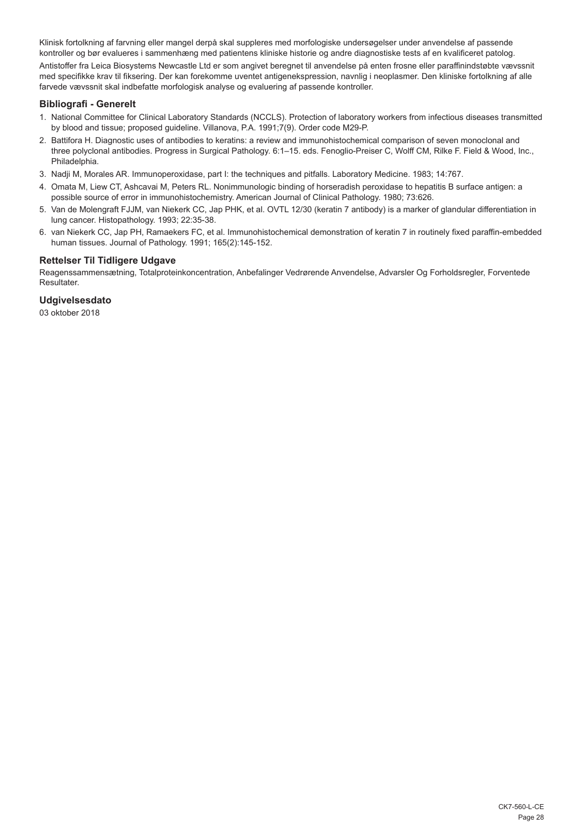Klinisk fortolkning af farvning eller mangel derpå skal suppleres med morfologiske undersøgelser under anvendelse af passende kontroller og bør evalueres i sammenhæng med patientens kliniske historie og andre diagnostiske tests af en kvalificeret patolog.

Antistoffer fra Leica Biosystems Newcastle Ltd er som angivet beregnet til anvendelse på enten frosne eller paraffinindstøbte vævssnit med specifikke krav til fiksering. Der kan forekomme uventet antigenekspression, navnlig i neoplasmer. Den kliniske fortolkning af alle farvede vævssnit skal indbefatte morfologisk analyse og evaluering af passende kontroller.

#### **Bibliografi - Generelt**

- 1. National Committee for Clinical Laboratory Standards (NCCLS). Protection of laboratory workers from infectious diseases transmitted by blood and tissue; proposed guideline. Villanova, P.A. 1991;7(9). Order code M29-P.
- 2. Battifora H. Diagnostic uses of antibodies to keratins: a review and immunohistochemical comparison of seven monoclonal and three polyclonal antibodies. Progress in Surgical Pathology. 6:1–15. eds. Fenoglio-Preiser C, Wolff CM, Rilke F. Field & Wood, Inc., Philadelphia.
- 3. Nadji M, Morales AR. Immunoperoxidase, part I: the techniques and pitfalls. Laboratory Medicine. 1983; 14:767.
- 4. Omata M, Liew CT, Ashcavai M, Peters RL. Nonimmunologic binding of horseradish peroxidase to hepatitis B surface antigen: a possible source of error in immunohistochemistry. American Journal of Clinical Pathology. 1980; 73:626.
- 5. Van de Molengraft FJJM, van Niekerk CC, Jap PHK, et al. OVTL 12/30 (keratin 7 antibody) is a marker of glandular differentiation in lung cancer. Histopathology. 1993; 22:35-38.
- 6. van Niekerk CC, Jap PH, Ramaekers FC, et al. Immunohistochemical demonstration of keratin 7 in routinely fixed paraffin-embedded human tissues. Journal of Pathology. 1991; 165(2):145-152.

## **Rettelser Til Tidligere Udgave**

Reagenssammensætning, Totalproteinkoncentration, Anbefalinger Vedrørende Anvendelse, Advarsler Og Forholdsregler, Forventede Resultater.

#### **Udgivelsesdato**

03 oktober 2018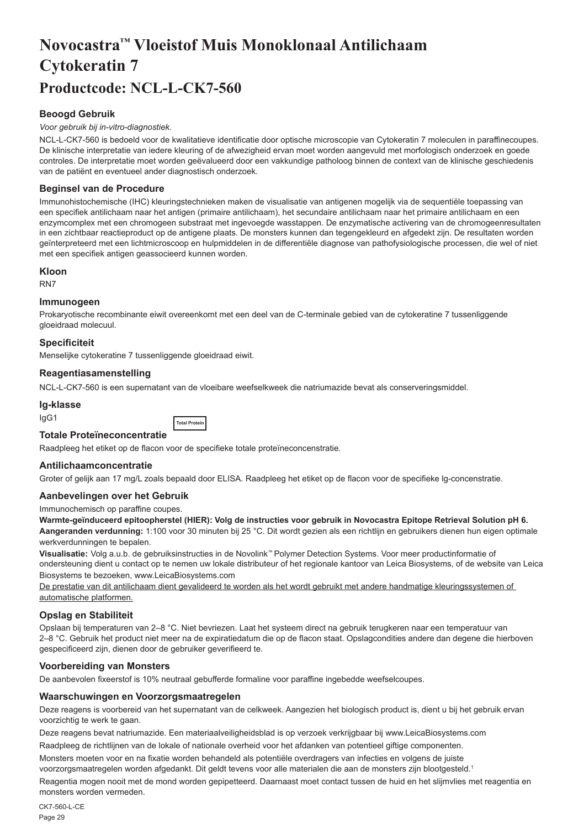## <span id="page-29-0"></span>**Novocastra™ Vloeistof Muis Monoklonaal Antilichaam Cytokeratin 7 Productcode: NCL-L-CK7-560**

## **Beoogd Gebruik**

#### *Voor gebruik bij in-vitro-diagnostiek.*

NCL-L-CK7-560 is bedoeld voor de kwalitatieve identificatie door optische microscopie van Cytokeratin 7 moleculen in paraffinecoupes. De klinische interpretatie van iedere kleuring of de afwezigheid ervan moet worden aangevuld met morfologisch onderzoek en goede controles. De interpretatie moet worden geëvalueerd door een vakkundige patholoog binnen de context van de klinische geschiedenis van de patiënt en eventueel ander diagnostisch onderzoek.

## **Beginsel van de Procedure**

Immunohistochemische (IHC) kleuringstechnieken maken de visualisatie van antigenen mogelijk via de sequentiële toepassing van een specifiek antilichaam naar het antigen (primaire antilichaam), het secundaire antilichaam naar het primaire antilichaam en een enzymcomplex met een chromogeen substraat met ingevoegde wasstappen. De enzymatische activering van de chromogeenresultaten in een zichtbaar reactieproduct op de antigene plaats. De monsters kunnen dan tegengekleurd en afgedekt zijn. De resultaten worden geïnterpreteerd met een lichtmicroscoop en hulpmiddelen in de differentiële diagnose van pathofysiologische processen, die wel of niet met een specifiek antigen geassocieerd kunnen worden.

#### **Kloon**

RN7

#### **Immunogeen**

Prokaryotische recombinante eiwit overeenkomt met een deel van de C-terminale gebied van de cytokeratine 7 tussenliggende gloeidraad molecuul.

#### **Specificiteit**

Menselijke cytokeratine 7 tussenliggende gloeidraad eiwit.

## **Reagentiasamenstelling**

NCL-L-CK7-560 is een supernatant van de vloeibare weefselkweek die natriumazide bevat als conserveringsmiddel.

#### **Ig-klasse**

IgG1



## **Totale Proteïneconcentratie**

Raadpleeg het etiket op de flacon voor de specifieke totale proteïneconcenstratie.

## **Antilichaamconcentratie**

Groter of gelijk aan 17 mg/L zoals bepaald door ELISA. Raadpleeg het etiket op de flacon voor de specifieke lg-concenstratie.

#### **Aanbevelingen over het Gebruik**

Immunochemisch op paraffine coupes.

**Warmte-geïnduceerd epitoopherstel (HIER): Volg de instructies voor gebruik in Novocastra Epitope Retrieval Solution pH 6.**

**Aangeranden verdunning:** 1:100 voor 30 minuten bij 25 °C. Dit wordt gezien als een richtlijn en gebruikers dienen hun eigen optimale werkverdunningen te bepalen.

**Visualisatie:** Volg a.u.b. de gebruiksinstructies in de Novolink™ Polymer Detection Systems. Voor meer productinformatie of ondersteuning dient u contact op te nemen uw lokale distributeur of het regionale kantoor van Leica Biosystems, of de website van Leica Biosystems te bezoeken, www.LeicaBiosystems.com

De prestatie van dit antilichaam dient gevalideerd te worden als het wordt gebruikt met andere handmatige kleuringssystemen of automatische platformen.

## **Opslag en Stabiliteit**

Opslaan bij temperaturen van 2–8 °C. Niet bevriezen. Laat het systeem direct na gebruik terugkeren naar een temperatuur van 2–8 °C. Gebruik het product niet meer na de expiratiedatum die op de flacon staat. Opslagcondities andere dan degene die hierboven gespecificeerd zijn, dienen door de gebruiker geverifieerd te.

## **Voorbereiding van Monsters**

De aanbevolen fixeerstof is 10% neutraal gebufferde formaline voor paraffine ingebedde weefselcoupes.

#### **Waarschuwingen en Voorzorgsmaatregelen**

Deze reagens is voorbereid van het supernatant van de celkweek. Aangezien het biologisch product is, dient u bij het gebruik ervan voorzichtig te werk te gaan.

Deze reagens bevat natriumazide. Een materiaalveiligheidsblad is op verzoek verkrijgbaar bij www.LeicaBiosystems.com

Raadpleeg de richtlijnen van de lokale of nationale overheid voor het afdanken van potentieel giftige componenten.

Monsters moeten voor en na fixatie worden behandeld als potentiële overdragers van infecties en volgens de juiste

voorzorgsmaatregelen worden afgedankt. Dit geldt tevens voor alle materialen die aan de monsters zijn blootgesteld.<sup>1</sup>

Reagentia mogen nooit met de mond worden gepipetteerd. Daarnaast moet contact tussen de huid en het slijmvlies met reagentia en monsters worden vermeden.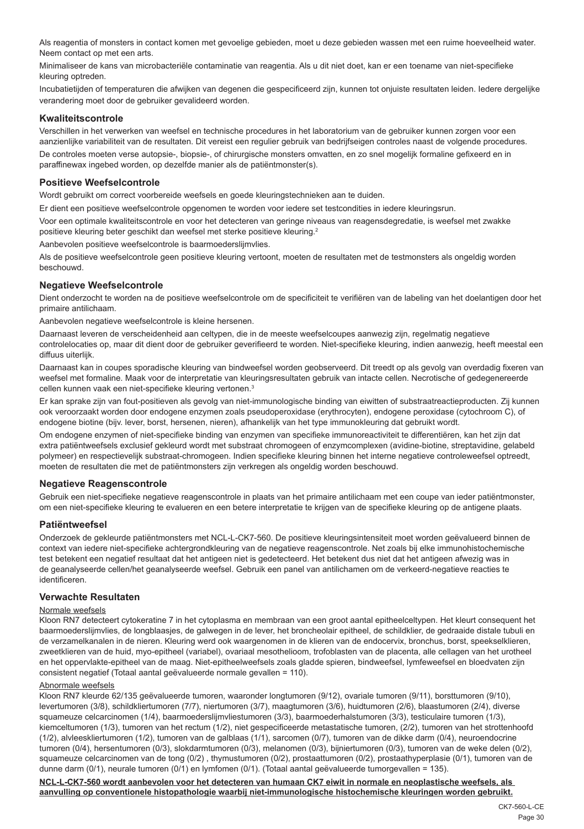Als reagentia of monsters in contact komen met gevoelige gebieden, moet u deze gebieden wassen met een ruime hoeveelheid water. Neem contact op met een arts.

Minimaliseer de kans van microbacteriële contaminatie van reagentia. Als u dit niet doet, kan er een toename van niet-specifieke kleuring optreden.

Incubatietijden of temperaturen die afwijken van degenen die gespecificeerd zijn, kunnen tot onjuiste resultaten leiden. Iedere dergelijke verandering moet door de gebruiker gevalideerd worden.

## **Kwaliteitscontrole**

Verschillen in het verwerken van weefsel en technische procedures in het laboratorium van de gebruiker kunnen zorgen voor een aanzienlijke variabiliteit van de resultaten. Dit vereist een regulier gebruik van bedrijfseigen controles naast de volgende procedures. De controles moeten verse autopsie-, biopsie-, of chirurgische monsters omvatten, en zo snel mogelijk formaline gefixeerd en in paraffinewax ingebed worden, op dezelfde manier als de patiëntmonster(s).

## **Positieve Weefselcontrole**

Wordt gebruikt om correct voorbereide weefsels en goede kleuringstechnieken aan te duiden.

Er dient een positieve weefselcontrole opgenomen te worden voor iedere set testcondities in iedere kleuringsrun.

Voor een optimale kwaliteitscontrole en voor het detecteren van geringe niveaus van reagensdegredatie, is weefsel met zwakke positieve kleuring beter geschikt dan weefsel met sterke positieve kleuring.<sup>2</sup>

Aanbevolen positieve weefselcontrole is baarmoederslijmvlies.

Als de positieve weefselcontrole geen positieve kleuring vertoont, moeten de resultaten met de testmonsters als ongeldig worden beschouwd.

## **Negatieve Weefselcontrole**

Dient onderzocht te worden na de positieve weefselcontrole om de specificiteit te verifiëren van de labeling van het doelantigen door het primaire antilichaam.

Aanbevolen negatieve weefselcontrole is kleine hersenen.

Daarnaast leveren de verscheidenheid aan celtypen, die in de meeste weefselcoupes aanwezig zijn, regelmatig negatieve controlelocaties op, maar dit dient door de gebruiker geverifieerd te worden. Niet-specifieke kleuring, indien aanwezig, heeft meestal een diffuus uiterlijk.

Daarnaast kan in coupes sporadische kleuring van bindweefsel worden geobserveerd. Dit treedt op als gevolg van overdadig fixeren van weefsel met formaline. Maak voor de interpretatie van kleuringsresultaten gebruik van intacte cellen. Necrotische of gedegenereerde cellen kunnen vaak een niet-specifieke kleuring vertonen.<sup>3</sup>

Er kan sprake zijn van fout-positieven als gevolg van niet-immunologische binding van eiwitten of substraatreactieproducten. Zij kunnen ook veroorzaakt worden door endogene enzymen zoals pseudoperoxidase (erythrocyten), endogene peroxidase (cytochroom C), of endogene biotine (bijv. lever, borst, hersenen, nieren), afhankelijk van het type immunokleuring dat gebruikt wordt.

Om endogene enzymen of niet-specifieke binding van enzymen van specifieke immunoreactiviteit te differentiëren, kan het zijn dat extra patiëntweefsels exclusief gekleurd wordt met substraat chromogeen of enzymcomplexen (avidine-biotine, streptavidine, gelabeld polymeer) en respectievelijk substraat-chromogeen. Indien specifieke kleuring binnen het interne negatieve controleweefsel optreedt, moeten de resultaten die met de patiëntmonsters zijn verkregen als ongeldig worden beschouwd.

## **Negatieve Reagenscontrole**

Gebruik een niet-specifieke negatieve reagenscontrole in plaats van het primaire antilichaam met een coupe van ieder patiëntmonster, om een niet-specifieke kleuring te evalueren en een betere interpretatie te krijgen van de specifieke kleuring op de antigene plaats.

## **Patiëntweefsel**

Onderzoek de gekleurde patiëntmonsters met NCL-L-CK7-560. De positieve kleuringsintensiteit moet worden geëvalueerd binnen de context van iedere niet-specifieke achtergrondkleuring van de negatieve reagenscontrole. Net zoals bij elke immunohistochemische test betekent een negatief resultaat dat het antigeen niet is gedetecteerd. Het betekent dus niet dat het antigeen afwezig was in de geanalyseerde cellen/het geanalyseerde weefsel. Gebruik een panel van antilichamen om de verkeerd-negatieve reacties te identificeren.

## **Verwachte Resultaten**

#### Normale weefsels

Kloon RN7 detecteert cytokeratine 7 in het cytoplasma en membraan van een groot aantal epitheelceltypen. Het kleurt consequent het baarmoederslijmvlies, de longblaasjes, de galwegen in de lever, het broncheolair epitheel, de schildklier, de gedraaide distale tubuli en de verzamelkanalen in de nieren. Kleuring werd ook waargenomen in de klieren van de endocervix, bronchus, borst, speekselklieren, zweetklieren van de huid, myo-epitheel (variabel), ovariaal mesothelioom, trofoblasten van de placenta, alle cellagen van het urotheel en het oppervlakte-epitheel van de maag. Niet-epitheelweefsels zoals gladde spieren, bindweefsel, lymfeweefsel en bloedvaten zijn consistent negatief (Totaal aantal geëvalueerde normale gevallen = 110).

#### Abnormale weefsels

Kloon RN7 kleurde 62/135 geëvalueerde tumoren, waaronder longtumoren (9/12), ovariale tumoren (9/11), borsttumoren (9/10), levertumoren (3/8), schildkliertumoren (7/7), niertumoren (3/7), maagtumoren (3/6), huidtumoren (2/6), blaastumoren (2/4), diverse squameuze celcarcinomen (1/4), baarmoederslijmvliestumoren (3/3), baarmoederhalstumoren (3/3), testiculaire tumoren (1/3), kiemceltumoren (1/3), tumoren van het rectum (1/2), niet gespecificeerde metastatische tumoren, (2/2), tumoren van het strottenhoofd (1/2), alvleeskliertumoren (1/2), tumoren van de galblaas (1/1), sarcomen (0/7), tumoren van de dikke darm (0/4), neuroendocrine tumoren (0/4), hersentumoren (0/3), slokdarmtumoren (0/3), melanomen (0/3), bijniertumoren (0/3), tumoren van de weke delen (0/2), squameuze celcarcinomen van de tong (0/2) , thymustumoren (0/2), prostaattumoren (0/2), prostaathyperplasie (0/1), tumoren van de dunne darm (0/1), neurale tumoren (0/1) en lymfomen (0/1). (Totaal aantal geëvalueerde tumorgevallen = 135).

**NCL-L-CK7-560 wordt aanbevolen voor het detecteren van humaan CK7 eiwit in normale en neoplastische weefsels, als aanvulling op conventionele histopathologie waarbij niet-immunologische histochemische kleuringen worden gebruikt.**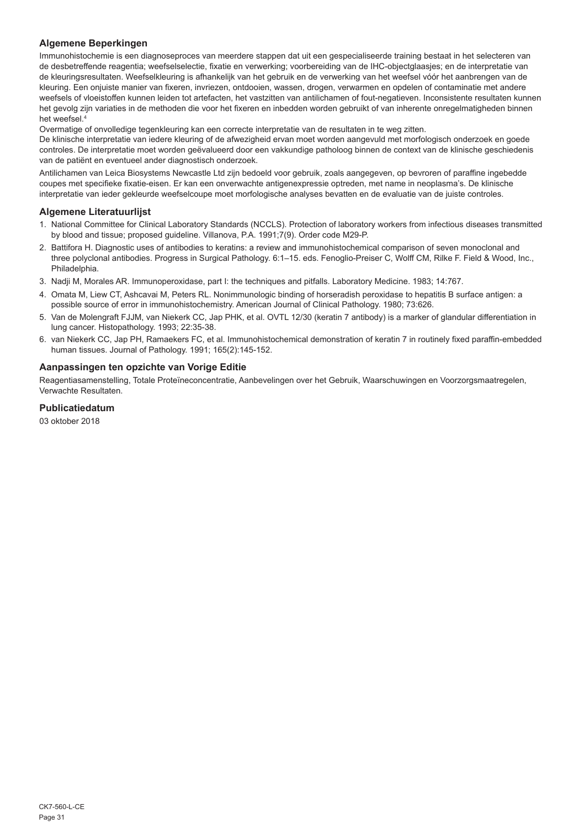## **Algemene Beperkingen**

Immunohistochemie is een diagnoseproces van meerdere stappen dat uit een gespecialiseerde training bestaat in het selecteren van de desbetreffende reagentia; weefselselectie, fixatie en verwerking; voorbereiding van de IHC-objectglaasjes; en de interpretatie van de kleuringsresultaten. Weefselkleuring is afhankelijk van het gebruik en de verwerking van het weefsel vóór het aanbrengen van de kleuring. Een onjuiste manier van fixeren, invriezen, ontdooien, wassen, drogen, verwarmen en opdelen of contaminatie met andere weefsels of vloeistoffen kunnen leiden tot artefacten, het vastzitten van antilichamen of fout-negatieven. Inconsistente resultaten kunnen het gevolg zijn variaties in de methoden die voor het fixeren en inbedden worden gebruikt of van inherente onregelmatigheden binnen het weefsel.4

Overmatige of onvolledige tegenkleuring kan een correcte interpretatie van de resultaten in te weg zitten.

De klinische interpretatie van iedere kleuring of de afwezigheid ervan moet worden aangevuld met morfologisch onderzoek en goede controles. De interpretatie moet worden geëvalueerd door een vakkundige patholoog binnen de context van de klinische geschiedenis van de patiënt en eventueel ander diagnostisch onderzoek.

Antilichamen van Leica Biosystems Newcastle Ltd zijn bedoeld voor gebruik, zoals aangegeven, op bevroren of paraffine ingebedde coupes met specifieke fixatie-eisen. Er kan een onverwachte antigenexpressie optreden, met name in neoplasma's. De klinische interpretatie van ieder gekleurde weefselcoupe moet morfologische analyses bevatten en de evaluatie van de juiste controles.

## **Algemene Literatuurlijst**

- 1. National Committee for Clinical Laboratory Standards (NCCLS). Protection of laboratory workers from infectious diseases transmitted by blood and tissue; proposed guideline. Villanova, P.A. 1991;7(9). Order code M29-P.
- 2. Battifora H. Diagnostic uses of antibodies to keratins: a review and immunohistochemical comparison of seven monoclonal and three polyclonal antibodies. Progress in Surgical Pathology. 6:1–15. eds. Fenoglio-Preiser C, Wolff CM, Rilke F. Field & Wood, Inc., Philadelphia
- 3. Nadji M, Morales AR. Immunoperoxidase, part I: the techniques and pitfalls. Laboratory Medicine. 1983; 14:767.
- 4. Omata M, Liew CT, Ashcavai M, Peters RL. Nonimmunologic binding of horseradish peroxidase to hepatitis B surface antigen: a possible source of error in immunohistochemistry. American Journal of Clinical Pathology. 1980; 73:626.
- 5. Van de Molengraft FJJM, van Niekerk CC, Jap PHK, et al. OVTL 12/30 (keratin 7 antibody) is a marker of glandular differentiation in lung cancer. Histopathology. 1993; 22:35-38.
- 6. van Niekerk CC, Jap PH, Ramaekers FC, et al. Immunohistochemical demonstration of keratin 7 in routinely fixed paraffin-embedded human tissues. Journal of Pathology. 1991; 165(2):145-152.

#### **Aanpassingen ten opzichte van Vorige Editie**

Reagentiasamenstelling, Totale Proteïneconcentratie, Aanbevelingen over het Gebruik, Waarschuwingen en Voorzorgsmaatregelen, Verwachte Resultaten.

## **Publicatiedatum**

03 oktober 2018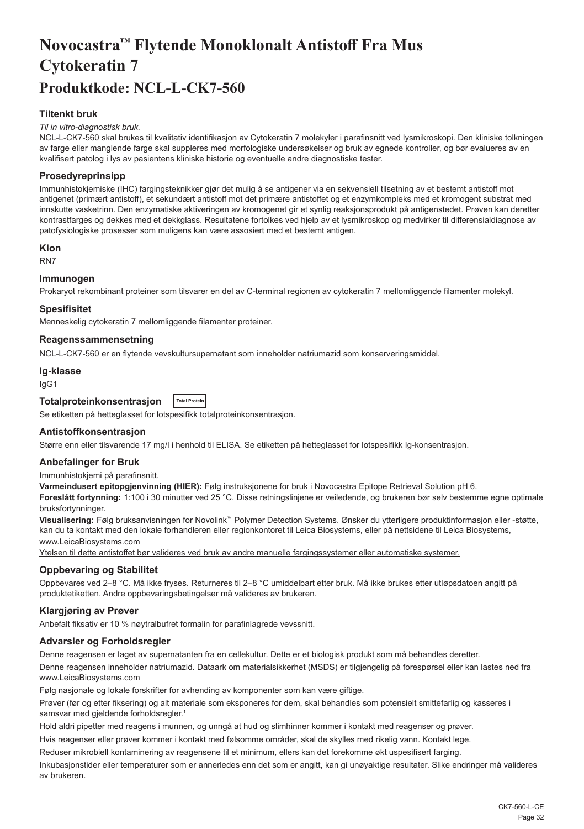## <span id="page-32-0"></span>**Novocastra™ Flytende Monoklonalt Antistoff Fra Mus Cytokeratin 7 Produktkode: NCL-L-CK7-560**

## **Tiltenkt bruk**

#### *Til in vitro-diagnostisk bruk.*

NCL-L-CK7-560 skal brukes til kvalitativ identifikasjon av Cytokeratin 7 molekyler i parafinsnitt ved lysmikroskopi. Den kliniske tolkningen av farge eller manglende farge skal suppleres med morfologiske undersøkelser og bruk av egnede kontroller, og bør evalueres av en kvalifisert patolog i lys av pasientens kliniske historie og eventuelle andre diagnostiske tester.

#### **Prosedyreprinsipp**

Immunhistokjemiske (IHC) fargingsteknikker gjør det mulig å se antigener via en sekvensiell tilsetning av et bestemt antistoff mot antigenet (primært antistoff), et sekundært antistoff mot det primære antistoffet og et enzymkompleks med et kromogent substrat med innskutte vasketrinn. Den enzymatiske aktiveringen av kromogenet gir et synlig reaksjonsprodukt på antigenstedet. Prøven kan deretter kontrastfarges og dekkes med et dekkglass. Resultatene fortolkes ved hjelp av et lysmikroskop og medvirker til differensialdiagnose av patofysiologiske prosesser som muligens kan være assosiert med et bestemt antigen.

#### **Klon**

RN7

#### **Immunogen**

Prokaryot rekombinant proteiner som tilsvarer en del av C-terminal regionen av cytokeratin 7 mellomliggende filamenter molekyl.

#### **Spesifisitet**

Menneskelig cytokeratin 7 mellomliggende filamenter proteiner.

#### **Reagenssammensetning**

NCL-L-CK7-560 er en flytende vevskultursupernatant som inneholder natriumazid som konserveringsmiddel.

#### **Ig-klasse**

IgG1

#### **Totalproteinkonsentrasjon Total Protein**

Se etiketten på hetteglasset for lotspesifikk totalproteinkonsentrasjon.

#### **Antistoffkonsentrasjon**

Større enn eller tilsvarende 17 mg/l i henhold til ELISA. Se etiketten på hetteglasset for lotspesifikk Ig-konsentrasjon.

#### **Anbefalinger for Bruk**

Immunhistokjemi på parafinsnitt.

**Varmeindusert epitopgjenvinning (HIER):** Følg instruksjonene for bruk i Novocastra Epitope Retrieval Solution pH 6.

**Foreslått fortynning:** 1:100 i 30 minutter ved 25 °C. Disse retningslinjene er veiledende, og brukeren bør selv bestemme egne optimale bruksfortynninger.

**Visualisering:** Følg bruksanvisningen for Novolink™ Polymer Detection Systems. Ønsker du ytterligere produktinformasjon eller -støtte, kan du ta kontakt med den lokale forhandleren eller regionkontoret til Leica Biosystems, eller på nettsidene til Leica Biosystems, www.LeicaBiosystems.com

Ytelsen til dette antistoffet bør valideres ved bruk av andre manuelle fargingssystemer eller automatiske systemer.

## **Oppbevaring og Stabilitet**

Oppbevares ved 2–8 °C. Må ikke fryses. Returneres til 2–8 °C umiddelbart etter bruk. Må ikke brukes etter utløpsdatoen angitt på produktetiketten. Andre oppbevaringsbetingelser må valideres av brukeren.

#### **Klargjøring av Prøver**

Anbefalt fiksativ er 10 % nøytralbufret formalin for parafinlagrede vevssnitt.

## **Advarsler og Forholdsregler**

Denne reagensen er laget av supernatanten fra en cellekultur. Dette er et biologisk produkt som må behandles deretter. Denne reagensen inneholder natriumazid. Dataark om materialsikkerhet (MSDS) er tilgjengelig på forespørsel eller kan lastes ned fra www.LeicaBiosystems.com

Følg nasjonale og lokale forskrifter for avhending av komponenter som kan være giftige.

Prøver (før og etter fiksering) og alt materiale som eksponeres for dem, skal behandles som potensielt smittefarlig og kasseres i samsvar med gjeldende forholdsregler.<sup>1</sup>

Hold aldri pipetter med reagens i munnen, og unngå at hud og slimhinner kommer i kontakt med reagenser og prøver.

Hvis reagenser eller prøver kommer i kontakt med følsomme områder, skal de skylles med rikelig vann. Kontakt lege.

Reduser mikrobiell kontaminering av reagensene til et minimum, ellers kan det forekomme økt uspesifisert farging.

Inkubasjonstider eller temperaturer som er annerledes enn det som er angitt, kan gi unøyaktige resultater. Slike endringer må valideres av brukeren.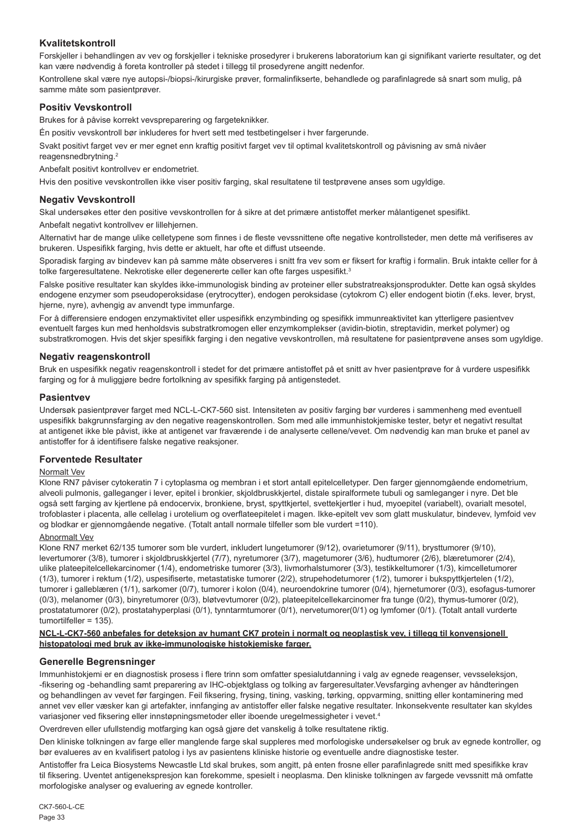## **Kvalitetskontroll**

Forskjeller i behandlingen av vev og forskjeller i tekniske prosedyrer i brukerens laboratorium kan gi signifikant varierte resultater, og det kan være nødvendig å foreta kontroller på stedet i tillegg til prosedyrene angitt nedenfor.

Kontrollene skal være nye autopsi-/biopsi-/kirurgiske prøver, formalinfikserte, behandlede og parafinlagrede så snart som mulig, på samme måte som pasientprøver.

## **Positiv Vevskontroll**

Brukes for å påvise korrekt vevspreparering og fargeteknikker.

Én positiv vevskontroll bør inkluderes for hvert sett med testbetingelser i hver fargerunde.

Svakt positivt farget vev er mer egnet enn kraftig positivt farget vev til optimal kvalitetskontroll og påvisning av små nivåer reagensnedbrytning.<sup>2</sup>

Anbefalt positivt kontrollvev er endometriet.

Hvis den positive vevskontrollen ikke viser positiv farging, skal resultatene til testprøvene anses som ugyldige.

#### **Negativ Vevskontroll**

Skal undersøkes etter den positive vevskontrollen for å sikre at det primære antistoffet merker målantigenet spesifikt.

Anbefalt negativt kontrollvev er lillehjernen.

Alternativt har de mange ulike celletypene som finnes i de fleste vevssnittene ofte negative kontrollsteder, men dette må verifiseres av brukeren. Uspesifikk farging, hvis dette er aktuelt, har ofte et diffust utseende.

Sporadisk farging av bindevev kan på samme måte observeres i snitt fra vev som er fiksert for kraftig i formalin. Bruk intakte celler for å tolke fargeresultatene. Nekrotiske eller degenererte celler kan ofte farges uspesifikt.<sup>3</sup>

Falske positive resultater kan skyldes ikke-immunologisk binding av proteiner eller substratreaksjonsprodukter. Dette kan også skyldes endogene enzymer som pseudoperoksidase (erytrocytter), endogen peroksidase (cytokrom C) eller endogent biotin (f.eks. lever, bryst, hjerne, nyre), avhengig av anvendt type immunfarge.

For å differensiere endogen enzymaktivitet eller uspesifikk enzymbinding og spesifikk immunreaktivitet kan ytterligere pasientvev eventuelt farges kun med henholdsvis substratkromogen eller enzymkomplekser (avidin-biotin, streptavidin, merket polymer) og substratkromogen. Hvis det skjer spesifikk farging i den negative vevskontrollen, må resultatene for pasientprøvene anses som ugyldige.

#### **Negativ reagenskontroll**

Bruk en uspesifikk negativ reagenskontroll i stedet for det primære antistoffet på et snitt av hver pasientprøve for å vurdere uspesifikk farging og for å muliggjøre bedre fortolkning av spesifikk farging på antigenstedet.

#### **Pasientvev**

Undersøk pasientprøver farget med NCL-L-CK7-560 sist. Intensiteten av positiv farging bør vurderes i sammenheng med eventuell uspesifikk bakgrunnsfarging av den negative reagenskontrollen. Som med alle immunhistokjemiske tester, betyr et negativt resultat at antigenet ikke ble påvist, ikke at antigenet var fraværende i de analyserte cellene/vevet. Om nødvendig kan man bruke et panel av antistoffer for å identifisere falske negative reaksjoner.

#### **Forventede Resultater**

#### Normalt Vev

Klone RN7 påviser cytokeratin 7 i cytoplasma og membran i et stort antall epitelcelletyper. Den farger gjennomgående endometrium, alveoli pulmonis, galleganger i lever, epitel i bronkier, skjoldbruskkjertel, distale spiralformete tubuli og samleganger i nyre. Det ble også sett farging av kjertlene på endocervix, bronkiene, bryst, spyttkjertel, svettekjertler i hud, myoepitel (variabelt), ovarialt mesotel, trofoblaster i placenta, alle cellelag i urotelium og overflateepitelet i magen. Ikke-epitelt vev som glatt muskulatur, bindevev, lymfoid vev og blodkar er gjennomgående negative. (Totalt antall normale tilfeller som ble vurdert =110).

## Abnormalt Vev

Klone RN7 merket 62/135 tumorer som ble vurdert, inkludert lungetumorer (9/12), ovarietumorer (9/11), brysttumorer (9/10), levertumorer (3/8), tumorer i skjoldbruskkjertel (7/7), nyretumorer (3/7), magetumorer (3/6), hudtumorer (2/6), blæretumorer (2/4), ulike plateepitelcellekarcinomer (1/4), endometriske tumorer (3/3), livmorhalstumorer (3/3), testikkeltumorer (1/3), kimcelletumorer (1/3), tumorer i rektum (1/2), uspesifiserte, metastatiske tumorer (2/2), strupehodetumorer (1/2), tumorer i bukspyttkjertelen (1/2), tumorer i galleblæren (1/1), sarkomer (0/7), tumorer i kolon (0/4), neuroendokrine tumorer (0/4), hjernetumorer (0/3), esofagus-tumorer (0/3), melanomer (0/3), binyretumorer (0/3), bløtvevtumorer (0/2), plateepitelcellekarcinomer fra tunge (0/2), thymus-tumorer (0/2), prostatatumorer (0/2), prostatahyperplasi (0/1), tynntarmtumorer (0/1), nervetumorer(0/1) og lymfomer (0/1). (Totalt antall vurderte tumortilfeller = 135).

#### **NCL-L-CK7-560 anbefales for deteksjon av humant CK7 protein i normalt og neoplastisk vev, i tillegg til konvensjonell histopatologi med bruk av ikke-immunologiske histokjemiske farger.**

#### **Generelle Begrensninger**

Immunhistokjemi er en diagnostisk prosess i flere trinn som omfatter spesialutdanning i valg av egnede reagenser, vevsseleksjon, -fiksering og -behandling samt preparering av IHC-objektglass og tolking av fargeresultater.Vevsfarging avhenger av håndteringen og behandlingen av vevet før fargingen. Feil fiksering, frysing, tining, vasking, tørking, oppvarming, snitting eller kontaminering med annet vev eller væsker kan gi artefakter, innfanging av antistoffer eller falske negative resultater. Inkonsekvente resultater kan skyldes variasjoner ved fiksering eller innstøpningsmetoder eller iboende uregelmessigheter i vevet.4

Overdreven eller ufullstendig motfarging kan også gjøre det vanskelig å tolke resultatene riktig.

Den kliniske tolkningen av farge eller manglende farge skal suppleres med morfologiske undersøkelser og bruk av egnede kontroller, og bør evalueres av en kvalifisert patolog i lys av pasientens kliniske historie og eventuelle andre diagnostiske tester.

Antistoffer fra Leica Biosystems Newcastle Ltd skal brukes, som angitt, på enten frosne eller parafinlagrede snitt med spesifikke krav til fiksering. Uventet antigenekspresjon kan forekomme, spesielt i neoplasma. Den kliniske tolkningen av fargede vevssnitt må omfatte morfologiske analyser og evaluering av egnede kontroller.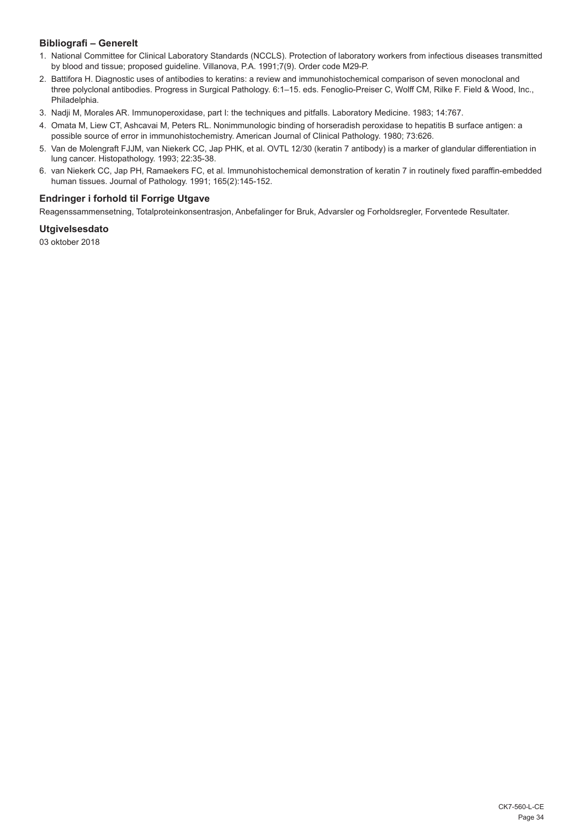## **Bibliografi – Generelt**

- 1. National Committee for Clinical Laboratory Standards (NCCLS). Protection of laboratory workers from infectious diseases transmitted by blood and tissue; proposed guideline. Villanova, P.A. 1991;7(9). Order code M29-P.
- 2. Battifora H. Diagnostic uses of antibodies to keratins: a review and immunohistochemical comparison of seven monoclonal and three polyclonal antibodies. Progress in Surgical Pathology. 6:1–15. eds. Fenoglio-Preiser C, Wolff CM, Rilke F. Field & Wood, Inc., Philadelphia.
- 3. Nadji M, Morales AR. Immunoperoxidase, part I: the techniques and pitfalls. Laboratory Medicine. 1983; 14:767.
- 4. Omata M, Liew CT, Ashcavai M, Peters RL. Nonimmunologic binding of horseradish peroxidase to hepatitis B surface antigen: a possible source of error in immunohistochemistry. American Journal of Clinical Pathology. 1980; 73:626.
- 5. Van de Molengraft FJJM, van Niekerk CC, Jap PHK, et al. OVTL 12/30 (keratin 7 antibody) is a marker of glandular differentiation in lung cancer. Histopathology. 1993; 22:35-38.
- 6. van Niekerk CC, Jap PH, Ramaekers FC, et al. Immunohistochemical demonstration of keratin 7 in routinely fixed paraffin-embedded human tissues. Journal of Pathology. 1991; 165(2):145-152.

## **Endringer i forhold til Forrige Utgave**

Reagenssammensetning, Totalproteinkonsentrasjon, Anbefalinger for Bruk, Advarsler og Forholdsregler, Forventede Resultater.

## **Utgivelsesdato**

03 oktober 2018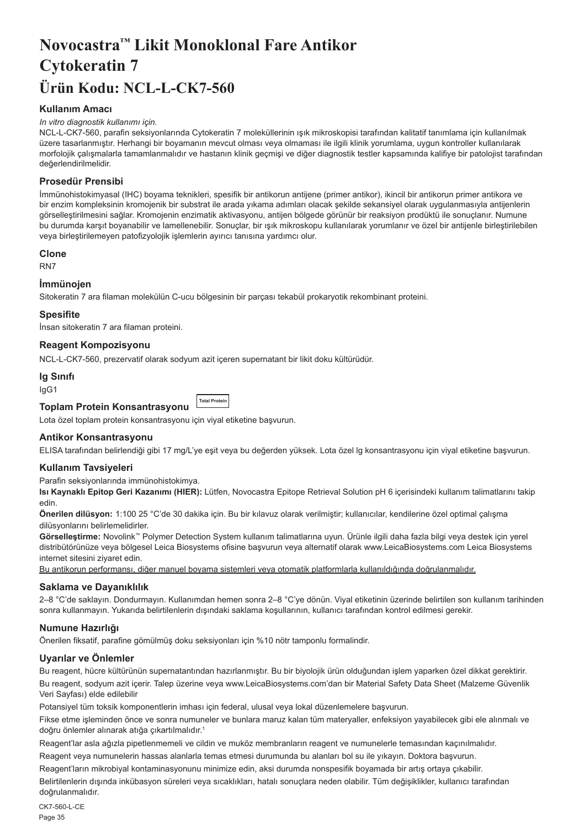## <span id="page-35-0"></span>**Novocastra™ Likit Monoklonal Fare Antikor Cytokeratin 7 Ürün Kodu: NCL-L-CK7-560**

## **Kullanım Amacı**

#### *In vitro diagnostik kullanımı için.*

NCL-L-CK7-560, parafin seksiyonlarında Cytokeratin 7 moleküllerinin ışık mikroskopisi tarafından kalitatif tanımlama için kullanılmak üzere tasarlanmıştır. Herhangi bir boyamanın mevcut olması veya olmaması ile ilgili klinik yorumlama, uygun kontroller kullanılarak morfolojik çalışmalarla tamamlanmalıdır ve hastanın klinik geçmişi ve diğer diagnostik testler kapsamında kalifiye bir patolojist tarafından değerlendirilmelidir.

## **Prosedür Prensibi**

İmmünohistokimyasal (IHC) boyama teknikleri, spesifik bir antikorun antijene (primer antikor), ikincil bir antikorun primer antikora ve bir enzim kompleksinin kromojenik bir substrat ile arada yıkama adımları olacak şekilde sekansiyel olarak uygulanmasıyla antijenlerin görselleştirilmesini sağlar. Kromojenin enzimatik aktivasyonu, antijen bölgede görünür bir reaksiyon prodüktü ile sonuçlanır. Numune bu durumda karşıt boyanabilir ve lamellenebilir. Sonuçlar, bir ışık mikroskopu kullanılarak yorumlanır ve özel bir antijenle birleştirilebilen veya birleştirilemeyen patofizyolojik işlemlerin ayırıcı tanısına yardımcı olur.

#### **Clone**

RN7

## **İmmünojen**

Sitokeratin 7 ara filaman molekülün C-ucu bölgesinin bir parçası tekabül prokaryotik rekombinant proteini.

#### **Spesifite**

İnsan sitokeratin 7 ara filaman proteini.

## **Reagent Kompozisyonu**

NCL-L-CK7-560, prezervatif olarak sodyum azit içeren supernatant bir likit doku kültürüdür.

#### **Ig Sınıfı**

IgG1

#### **Toplam Protein Konsantrasyonu Total Protein**

Lota özel toplam protein konsantrasyonu için viyal etiketine başvurun.

## **Antikor Konsantrasyonu**

ELISA tarafından belirlendiği gibi 17 mg/L'ye eşit veya bu değerden yüksek. Lota özel lg konsantrasyonu için viyal etiketine başvurun.

## **Kullanım Tavsiyeleri**

Parafin seksiyonlarında immünohistokimya.

**Isı Kaynaklı Epitop Geri Kazanımı (HIER):** Lütfen, Novocastra Epitope Retrieval Solution pH 6 içerisindeki kullanım talimatlarını takip edin.

**Önerilen dilüsyon:** 1:100 25 °C'de 30 dakika için. Bu bir kılavuz olarak verilmiştir; kullanıcılar, kendilerine özel optimal çalışma dilüsyonlarını belirlemelidirler.

**Görselleştirme:** Novolink™ Polymer Detection System kullanım talimatlarına uyun. Ürünle ilgili daha fazla bilgi veya destek için yerel distribütörünüze veya bölgesel Leica Biosystems ofisine başvurun veya alternatif olarak www.LeicaBiosystems.com Leica Biosystems internet sitesini ziyaret edin.

Bu antikorun performansı, diğer manuel boyama sistemleri veya otomatik platformlarla kullanıldığında doğrulanmalıdır.

#### **Saklama ve Dayanıklılık**

2–8 °C'de saklayın. Dondurmayın. Kullanımdan hemen sonra 2–8 °C'ye dönün. Viyal etiketinin üzerinde belirtilen son kullanım tarihinden sonra kullanmayın. Yukarıda belirtilenlerin dışındaki saklama koşullarının, kullanıcı tarafından kontrol edilmesi gerekir.

## **Numune Hazırlığı**

Önerilen fiksatif, parafine gömülmüş doku seksiyonları için %10 nötr tamponlu formalindir.

## **Uyarılar ve Önlemler**

Bu reagent, hücre kültürünün supernatantından hazırlanmıştır. Bu bir biyolojik ürün olduğundan işlem yaparken özel dikkat gerektirir. Bu reagent, sodyum azit içerir. Talep üzerine veya www.LeicaBiosystems.com'dan bir Material Safety Data Sheet (Malzeme Güvenlik Veri Sayfası) elde edilebilir

Potansiyel tüm toksik komponentlerin imhası için federal, ulusal veya lokal düzenlemelere başvurun.

Fikse etme işleminden önce ve sonra numuneler ve bunlara maruz kalan tüm materyaller, enfeksiyon yayabilecek gibi ele alınmalı ve doğru önlemler alınarak atığa çıkartılmalıdır.<sup>1</sup>

Reagent'lar asla ağızla pipetlenmemeli ve cildin ve muköz membranların reagent ve numunelerle temasından kaçınılmalıdır. Reagent veya numunelerin hassas alanlarla temas etmesi durumunda bu alanları bol su ile yıkayın. Doktora başvurun.

Reagent'ların mikrobiyal kontaminasyonunu minimize edin, aksi durumda nonspesifik boyamada bir artış ortaya çıkabilir.

Belirtilenlerin dışında inkübasyon süreleri veya sıcaklıkları, hatalı sonuçlara neden olabilir. Tüm değişiklikler, kullanıcı tarafından doğrulanmalıdır.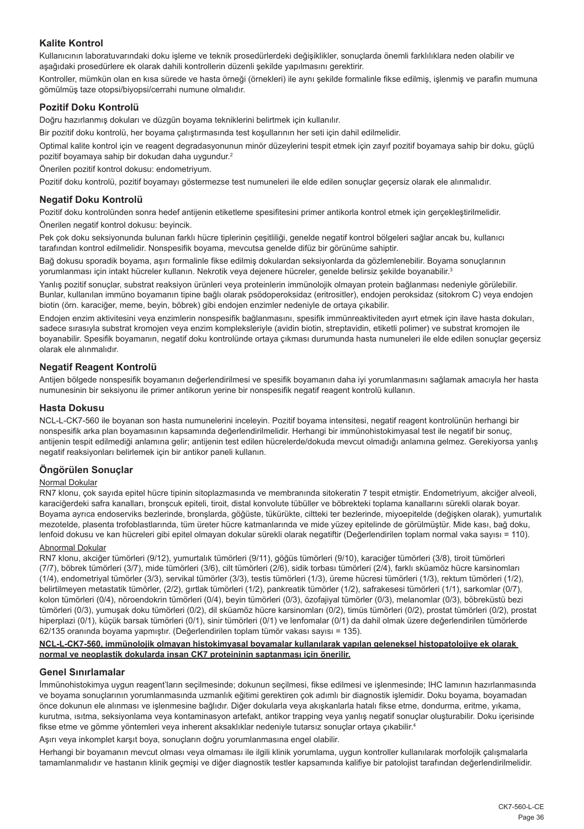## **Kalite Kontrol**

Kullanıcının laboratuvarındaki doku işleme ve teknik prosedürlerdeki değişiklikler, sonuçlarda önemli farklılıklara neden olabilir ve aşağıdaki prosedürlere ek olarak dahili kontrollerin düzenli şekilde yapılmasını gerektirir.

Kontroller, mümkün olan en kısa sürede ve hasta örneği (örnekleri) ile aynı şekilde formalinle fikse edilmiş, işlenmiş ve parafin mumuna gömülmüş taze otopsi/biyopsi/cerrahi numune olmalıdır.

## **Pozitif Doku Kontrolü**

Doğru hazırlanmış dokuları ve düzgün boyama tekniklerini belirtmek için kullanılır.

Bir pozitif doku kontrolü, her boyama çalıştırmasında test koşullarının her seti için dahil edilmelidir.

Optimal kalite kontrol için ve reagent degradasyonunun minör düzeylerini tespit etmek için zayıf pozitif boyamaya sahip bir doku, güçlü pozitif boyamaya sahip bir dokudan daha uygundur.<sup>2</sup>

Önerilen pozitif kontrol dokusu: endometriyum.

Pozitif doku kontrolü, pozitif boyamayı göstermezse test numuneleri ile elde edilen sonuçlar geçersiz olarak ele alınmalıdır.

#### **Negatif Doku Kontrolü**

Pozitif doku kontrolünden sonra hedef antijenin etiketleme spesifitesini primer antikorla kontrol etmek için gerçekleştirilmelidir. Önerilen negatif kontrol dokusu: beyincik.

Pek çok doku seksiyonunda bulunan farklı hücre tiplerinin çeşitliliği, genelde negatif kontrol bölgeleri sağlar ancak bu, kullanıcı tarafından kontrol edilmelidir. Nonspesifik boyama, mevcutsa genelde difüz bir görünüme sahiptir.

Bağ dokusu sporadik boyama, aşırı formalinle fikse edilmiş dokulardan seksiyonlarda da gözlemlenebilir. Boyama sonuçlarının yorumlanması için intakt hücreler kullanın. Nekrotik veya dejenere hücreler, genelde belirsiz şekilde boyanabilir.<sup>3</sup>

Yanlış pozitif sonuçlar, substrat reaksiyon ürünleri veya proteinlerin immünolojik olmayan protein bağlanması nedeniyle görülebilir. Bunlar, kullanılan immüno boyamanın tipine bağlı olarak psödoperoksidaz (eritrositler), endojen peroksidaz (sitokrom C) veya endojen biotin (örn. karaciğer, meme, beyin, böbrek) gibi endojen enzimler nedeniyle de ortaya çıkabilir.

Endojen enzim aktivitesini veya enzimlerin nonspesifik bağlanmasını, spesifik immünreaktiviteden ayırt etmek için ilave hasta dokuları, sadece sırasıyla substrat kromojen veya enzim kompleksleriyle (avidin biotin, streptavidin, etiketli polimer) ve substrat kromojen ile boyanabilir. Spesifik boyamanın, negatif doku kontrolünde ortaya çıkması durumunda hasta numuneleri ile elde edilen sonuçlar geçersiz olarak ele alınmalıdır.

## **Negatif Reagent Kontrolü**

Antijen bölgede nonspesifik boyamanın değerlendirilmesi ve spesifik boyamanın daha iyi yorumlanmasını sağlamak amacıyla her hasta numunesinin bir seksiyonu ile primer antikorun yerine bir nonspesifik negatif reagent kontrolü kullanın.

#### **Hasta Dokusu**

NCL-L-CK7-560 ile boyanan son hasta numunelerini inceleyin. Pozitif boyama intensitesi, negatif reagent kontrolünün herhangi bir nonspesifik arka plan boyamasının kapsamında değerlendirilmelidir. Herhangi bir immünohistokimyasal test ile negatif bir sonuç, antijenin tespit edilmediği anlamına gelir; antijenin test edilen hücrelerde/dokuda mevcut olmadığı anlamına gelmez. Gerekiyorsa yanlış negatif reaksiyonları belirlemek için bir antikor paneli kullanın.

## **Öngörülen Sonuçlar**

#### Normal Dokular

RN7 klonu, çok sayıda epitel hücre tipinin sitoplazmasında ve membranında sitokeratin 7 tespit etmiştir. Endometriyum, akciğer alveoli, karaciğerdeki safra kanalları, bronşcuk epiteli, tiroit, distal konvolute tübüller ve böbrekteki toplama kanallarını sürekli olarak boyar. Boyama ayrıca endoserviks bezlerinde, bronşlarda, göğüste, tükürükte, ciltteki ter bezlerinde, miyoepitelde (değişken olarak), yumurtalık mezotelde, plasenta trofoblastlarında, tüm üreter hücre katmanlarında ve mide yüzey epitelinde de görülmüştür. Mide kası, bağ doku, lenfoid dokusu ve kan hücreleri gibi epitel olmayan dokular sürekli olarak negatiftir (Değerlendirilen toplam normal vaka sayısı = 110).

## Abnormal Dokular

RN7 klonu, akciğer tümörleri (9/12), yumurtalık tümörleri (9/11), göğüs tümörleri (9/10), karaciğer tümörleri (3/8), tiroit tümörleri (7/7), böbrek tümörleri (3/7), mide tümörleri (3/6), cilt tümörleri (2/6), sidik torbası tümörleri (2/4), farklı sküamöz hücre karsinomları (1/4), endometriyal tümörler (3/3), servikal tümörler (3/3), testis tümörleri (1/3), üreme hücresi tümörleri (1/3), rektum tümörleri (1/2), belirtilmeyen metastatik tümörler, (2/2), gırtlak tümörleri (1/2), pankreatik tümörler (1/2), safrakesesi tümörleri (1/1), sarkomlar (0/7), kolon tümörleri (0/4), nöroendokrin tümörleri (0/4), beyin tümörleri (0/3), özofajiyal tümörler (0/3), melanomlar (0/3), böbreküstü bezi tümörleri (0/3), yumuşak doku tümörleri (0/2), dil sküamöz hücre karsinomları (0/2), timüs tümörleri (0/2), prostat tümörleri (0/2), prostat hiperplazi (0/1), küçük barsak tümörleri (0/1), sinir tümörleri (0/1) ve lenfomalar (0/1) da dahil olmak üzere değerlendirilen tümörlerde 62/135 oranında boyama yapmıştır. (Değerlendirilen toplam tümör vakası sayısı = 135).

#### **NCL-L-CK7-560, immünolojik olmayan histokimyasal boyamalar kullanılarak yapılan geleneksel histopatolojiye ek olarak normal ve neoplastik dokularda insan CK7 proteininin saptanması için önerilir.**

## **Genel Sınırlamalar**

İmmünohistokimya uygun reagent'ların seçilmesinde; dokunun seçilmesi, fikse edilmesi ve işlenmesinde; IHC lamının hazırlanmasında ve boyama sonuçlarının yorumlanmasında uzmanlık eğitimi gerektiren çok adımlı bir diagnostik işlemidir. Doku boyama, boyamadan önce dokunun ele alınması ve işlenmesine bağlıdır. Diğer dokularla veya akışkanlarla hatalı fikse etme, dondurma, eritme, yıkama, kurutma, ısıtma, seksiyonlama veya kontaminasyon artefakt, antikor trapping veya yanlış negatif sonuçlar oluşturabilir. Doku içerisinde fikse etme ve gömme yöntemleri veya inherent aksaklıklar nedeniyle tutarsız sonuçlar ortaya çıkabilir. 4

Aşırı veya inkomplet karşıt boya, sonuçların doğru yorumlanmasına engel olabilir.

Herhangi bir boyamanın mevcut olması veya olmaması ile ilgili klinik yorumlama, uygun kontroller kullanılarak morfolojik çalışmalarla tamamlanmalıdır ve hastanın klinik geçmişi ve diğer diagnostik testler kapsamında kalifiye bir patolojist tarafından değerlendirilmelidir.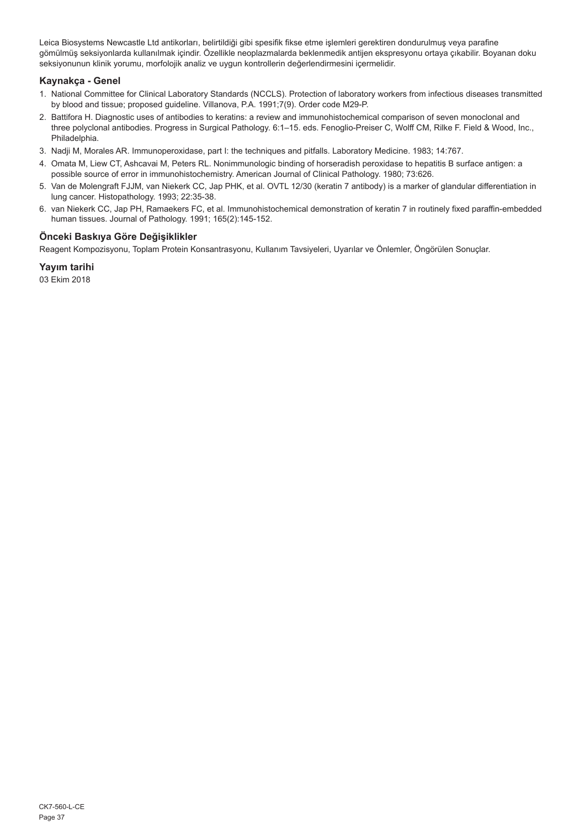Leica Biosystems Newcastle Ltd antikorları, belirtildiği gibi spesifik fikse etme işlemleri gerektiren dondurulmuş veya parafine gömülmüş seksiyonlarda kullanılmak içindir. Özellikle neoplazmalarda beklenmedik antijen ekspresyonu ortaya çıkabilir. Boyanan doku seksiyonunun klinik yorumu, morfolojik analiz ve uygun kontrollerin değerlendirmesini içermelidir.

## **Kaynakça - Genel**

- 1. National Committee for Clinical Laboratory Standards (NCCLS). Protection of laboratory workers from infectious diseases transmitted by blood and tissue; proposed guideline. Villanova, P.A. 1991;7(9). Order code M29-P.
- 2. Battifora H. Diagnostic uses of antibodies to keratins: a review and immunohistochemical comparison of seven monoclonal and three polyclonal antibodies. Progress in Surgical Pathology. 6:1–15. eds. Fenoglio-Preiser C, Wolff CM, Rilke F. Field & Wood, Inc., Philadelphia.
- 3. Nadji M, Morales AR. Immunoperoxidase, part I: the techniques and pitfalls. Laboratory Medicine. 1983; 14:767.
- 4. Omata M, Liew CT, Ashcavai M, Peters RL. Nonimmunologic binding of horseradish peroxidase to hepatitis B surface antigen: a possible source of error in immunohistochemistry. American Journal of Clinical Pathology. 1980; 73:626.
- 5. Van de Molengraft FJJM, van Niekerk CC, Jap PHK, et al. OVTL 12/30 (keratin 7 antibody) is a marker of glandular differentiation in lung cancer. Histopathology. 1993; 22:35-38.
- 6. van Niekerk CC, Jap PH, Ramaekers FC, et al. Immunohistochemical demonstration of keratin 7 in routinely fixed paraffin-embedded human tissues. Journal of Pathology. 1991; 165(2):145-152.

## **Önceki Baskıya Göre Değişiklikler**

Reagent Kompozisyonu, Toplam Protein Konsantrasyonu, Kullanım Tavsiyeleri, Uyarılar ve Önlemler, Öngörülen Sonuçlar.

## **Yayım tarihi**

03 Ekim 2018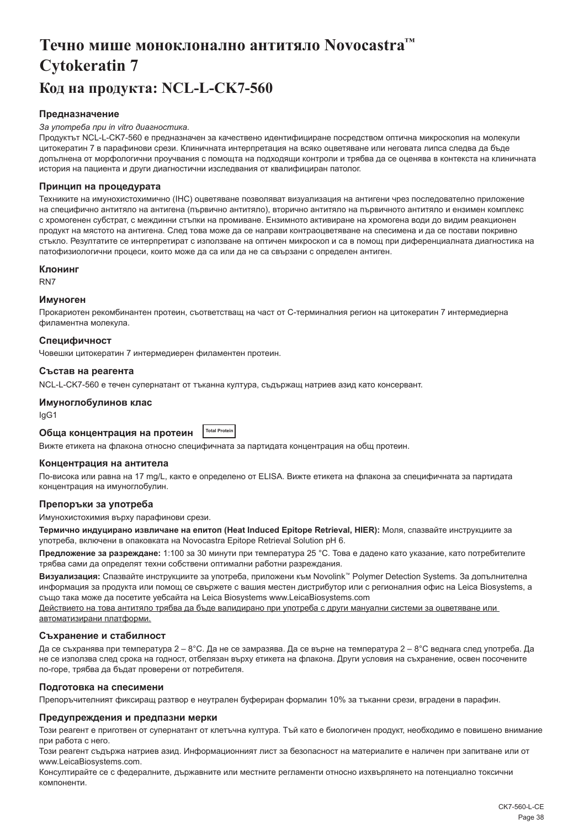## <span id="page-38-0"></span>**Течно мише моноклонално антитяло Novocastra™ Cytokeratin 7 Код на продукта: NCL-L-CK7-560**

## **Предназначение**

#### *За употреба при in vitro диагностика.*

Продуктът NCL-L-CK7-560 е предназначен за качествено идентифициране посредством оптична микроскопия на молекули цитокератин 7 в парафинови срези. Клиничната интерпретация на всяко оцветяване или неговата липса следва да бъде допълнена от морфологични проучвания с помощта на подходящи контроли и трябва да се оценява в контекста на клиничната история на пациента и други диагностични изследвания от квалифициран патолог.

#### **Принцип на процедурата**

Техниките на имунохистохимично (IHC) оцветяване позволяват визуализация на антигени чрез последователно приложение на специфично антитяло на антигена (първично антитяло), вторично антитяло на първичното антитяло и ензимен комплекс с хромогенен субстрат, с междинни стъпки на промиване. Ензимното активиране на хромогена води до видим реакционен продукт на мястото на антигена. След това може да се направи контраоцветяване на спесимена и да се постави покривно стъкло. Резултатите се интерпретират с използване на оптичен микроскоп и са в помощ при диференциалната диагностика на патофизиологични процеси, които може да са или да не са свързани с определен антиген.

#### **Клонинг**

RN7

#### **Имуноген**

Прокариотен рекомбинантен протеин, съответстващ на част от С-терминалния регион на цитокератин 7 интермедиерна филаментна молекула.

#### **Специфичност**

Човешки цитокератин 7 интермедиерен филаментен протеин.

#### **Състав на реагента**

NCL-L-CK7-560 е течен супернатант от тъканна култура, съдържащ натриев азид като консервант.

#### **Имуноглобулинов клас**

IgG1

#### **Обща концентрация на протеин Total Protein**

Вижте етикета на флакона относно специфичната за партидата концентрация на общ протеин.

#### **Концентрация на антитела**

По-висока или равна на 17 mg/L, както е определено от ELISA. Вижте етикета на флакона за специфичната за партидата концентрация на имуноглобулин.

#### **Препоръки за употреба**

Имунохистохимия върху парафинови срези.

**Термично индуцирано извличане на епитоп (Heat Induced Epitope Retrieval, HIER):** Моля, спазвайте инструкциите за употреба, включени в опаковката на Novocastra Epitope Retrieval Solution pH 6.

**Предложение за разреждане:** 1:100 за 30 минути при температура 25 °C. Това е дадено като указание, като потребителите трябва сами да определят техни собствени оптимални работни разреждания.

**Визуализация:** Спазвайте инструкциите за употреба, приложени към Novolink™ Polymer Detection Systems. За допълнителна информация за продукта или помощ се свържете с вашия местен дистрибутор или с регионалния офис на Leica Biosystems, а също така може да посетите уебсайта на Leica Biosystems www.LeicaBiosystems.com

Действието на това антитяло трябва да бъде валидирано при употреба с други мануални системи за оцветяване или автоматизирани платформи.

#### **Съхранение и стабилност**

Да се съхранява при температура 2 – 8°C. Да не се замразява. Да се върне на температура 2 – 8°C веднага след употреба. Да не се използва след срока на годност, отбелязан върху етикета на флакона. Други условия на съхранение, освен посочените по-горе, трябва да бъдат проверени от потребителя.

#### **Подготовка на спесимени**

Препоръчителният фиксиращ разтвор е неутрален буфериран формалин 10% за тъканни срези, вградени в парафин.

#### **Предупреждения и предпазни мерки**

Този реагент е приготвен от супернатант от клетъчна култура. Тъй като е биологичен продукт, необходимо е повишено внимание при работа с него.

Този реагент съдържа натриев азид. Информационният лист за безопасност на материалите е наличен при запитване или от www.LeicaBiosystems.com.

Консултирайте се с федералните, държавните или местните регламенти относно изхвърлянето на потенциално токсични компоненти.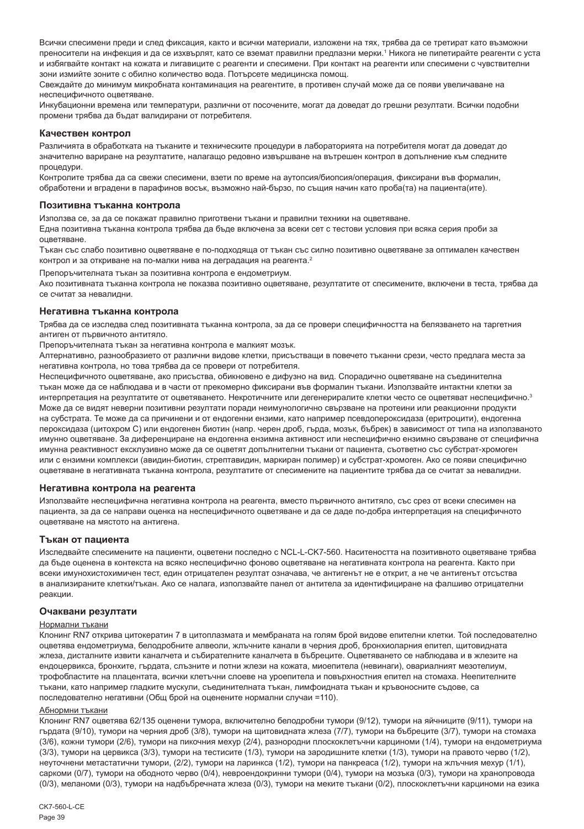Всички спесимени преди и след фиксация, както и всички материали, изложени на тях, трябва да се третират като възможни преносители на инфекция и да се изхвърлят, като се вземат правилни предпазни мерки.' Никога не пипетирайте реагенти с уста и избягвайте контакт на кожата и лигавиците с реагенти и спесимени. При контакт на реагенти или спесимени с чувствителни зони измийте зоните с обилно количество вода. Потърсете медицинска помощ.

Свеждайте до минимум микробната контаминация на реагентите, в противен случай може да се появи увеличаване на неспецифичното оцветяване.

Инкубационни времена или температури, различни от посочените, могат да доведат до грешни резултати. Всички подобни промени трябва да бъдат валидирани от потребителя.

#### **Качествен контрол**

Различията в обработката на тъканите и техническите процедури в лабораторията на потребителя могат да доведат до значително вариране на резултатите, налагащо редовно извършване на вътрешен контрол в допълнение към следните процедури.

Контролите трябва да са свежи спесимени, взети по време на аутопсия/биопсия/операция, фиксирани във формалин, обработени и вградени в парафинов восък, възможно най-бързо, по същия начин като проба(та) на пациента(ите).

#### **Позитивна тъканна контрола**

Използва се, за да се покажат правилно приготвени тъкани и правилни техники на оцветяване.

Една позитивна тъканна контрола трябва да бъде включена за всеки сет с тестови условия при всяка серия проби за оцветяване.

Тъкан със слабо позитивно оцветяване е по-подходяща от тъкан със силно позитивно оцветяване за оптимален качествен контрол и за откриване на по-малки нива на деградация на реагента.<sup>2</sup>

Препоръчителната тъкан за позитивна контрола е ендометриум.

Ако позитивната тъканна контрола не показва позитивно оцветяване, резултатите от спесимените, включени в теста, трябва да се считат за невалидни.

#### **Негативна тъканна контрола**

Трябва да се изследва след позитивната тъканна контрола, за да се провери специфичността на белязването на таргетния антиген от първичното антитяло.

Препоръчителната тъкан за негативна контрола е малкият мозък.

Алтернативно, разнообразието от различни видове клетки, присъстващи в повечето тъканни срези, често предлага места за негативна контрола, но това трябва да се провери от потребителя.

Неспецифичното оцветяване, ако присъства, обикновено е дифузно на вид. Спорадично оцветяване на съединителна тъкан може да се наблюдава и в части от прекомерно фиксирани във формалин тъкани. Използвайте интактни клетки за интерпретация на резултатите от оцветяването. Некротичните или дегенериралите клетки често се оцветяват неспецифично.<sup>3</sup> Може да се видят неверни позитивни резултати поради неимунологично свързване на протеини или реакционни продукти на субстрата. Те може да са причинени и от ендогенни ензими, като например псевдопероксидаза (еритроцити), ендогенна пероксидаза (цитохром C) или ендогенен биотин (напр. черен дроб, гърда, мозък, бъбрек) в зависимост от типа на използваното имунно оцветяване. За диференциране на ендогенна ензимна активност или неспецифично ензимно свързване от специфична имунна реактивност ексклузивно може да се оцветят допълнителни тъкани от пациента, съответно със субстрат-хромоген или с ензимни комплекси (авидин-биотин, стрептавидин, маркиран полимер) и субстрат-хромоген. Ако се появи специфично оцветяване в негативната тъканна контрола, резултатите от спесимените на пациентите трябва да се считат за невалидни.

#### **Негативна контрола на реагента**

Използвайте неспецифична негативна контрола на реагента, вместо първичното антитяло, със срез от всеки спесимен на пациента, за да се направи оценка на неспецифичното оцветяване и да се даде по-добра интерпретация на специфичното оцветяване на мястото на антигена.

#### **Тъкан от пациента**

Изследвайте спесимените на пациенти, оцветени последно с NCL-L-CK7-560. Наситеността на позитивното оцветяване трябва да бъде оценена в контекста на всяко неспецифично фоново оцветяване на негативната контрола на реагента. Както при всеки имунохистохимичен тест, един отрицателен резултат означава, че антигенът не е открит, а не че антигенът отсъства в анализираните клетки/тъкан. Ако се налага, използвайте панел от антитела за идентифициране на фалшиво отрицателни реакции.

#### **Очаквани резултати**

#### Нормални тъкани

Клонинг RN7 открива цитокератин 7 в цитоплазмата и мембраната на голям брой видове епителни клетки. Той последователно оцветява ендометриума, белодробните алвеоли, жлъчните канали в черния дроб, бронхиоларния епител, щитовидната жлеза, дисталните извити каналчета и събирателните каналчета в бъбреците. Оцветяването се наблюдава и в жлезите на ендоцервикса, бронхите, гърдата, слъзните и потни жлези на кожата, миоепитела (невинаги), овариалният мезотелиум, трофобластите на плацентата, всички клетъчни слоеве на уроепитела и повърхностния епител на стомаха. Неепителните тъкани, като например гладките мускули, съединителната тъкан, лимфоидната тъкан и кръвоносните съдове, са последователно негативни (Общ брой на оценените нормални случаи =110).

#### Абнормни тъкани

Клонинг RN7 оцветява 62/135 оценени тумора, включително белодробни тумори (9/12), тумори на яйчниците (9/11), тумори на гърдата (9/10), тумори на черния дроб (3/8), тумори на щитовидната жлеза (7/7), тумори на бъбреците (3/7), тумори на стомаха (3/6), кожни тумори (2/6), тумори на пикочния мехур (2/4), разнородни плоскоклетъчни карциноми (1/4), тумори на ендометриума (3/3), тумори на цервикса (3/3), тумори на тестисите (1/3), тумори на зародишните клетки (1/3), тумори на правото черво (1/2), неуточнени метастатични тумори, (2/2), тумори на ларинкса (1/2), тумори на панкреаса (1/2), тумори на жлъчния мехур (1/1), саркоми (0/7), тумори на ободното черво (0/4), невроендокринни тумори (0/4), тумори на мозъка (0/3), тумори на хранопровода (0/3), меланоми (0/3), тумори на надбъбречната жлеза (0/3), тумори на меките тъкани (0/2), плоскоклетъчни карциноми на езика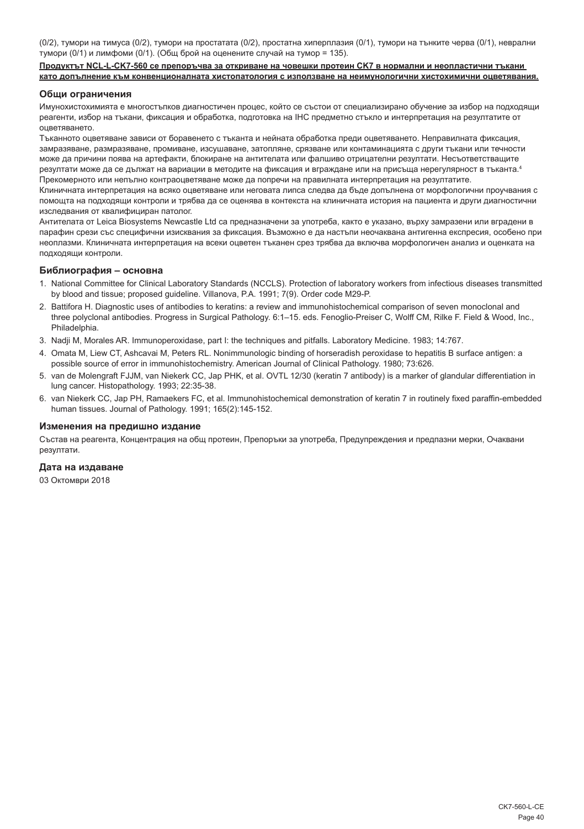(0/2), тумори на тимуса (0/2), тумори на простатата (0/2), простатна хиперплазия (0/1), тумори на тънките черва (0/1), неврални тумори (0/1) и лимфоми (0/1). (Общ брой на оценените случай на тумор = 135).

#### **Продуктът NCL-L-CK7-560 се препоръчва за откриване на човешки протеин CK7 в нормални и неопластични тъкани като допълнение към конвенционалната хистопатология с използване на неимунологични хистохимични оцветявания.**

#### **Общи ограничения**

Имунохистохимията е многостъпков диагностичен процес, който се състои от специализирано обучение за избор на подходящи реагенти, избор на тъкани, фиксация и обработка, подготовка на IHC предметно стъкло и интерпретация на резултатите от оцветяването.

Тъканното оцветяване зависи от боравенето с тъканта и нейната обработка преди оцветяването. Неправилната фиксация, замразяване, размразяване, промиване, изсушаване, затопляне, срязване или контаминацията с други тъкани или течности може да причини поява на артефакти, блокиране на антителата или фалшиво отрицателни резултати. Несъответстващите резултати може да се дължат на вариации в методите на фиксация и вграждане или на присъща нерегулярност в тъканта.4 Прекомерното или непълно контраоцветяване може да попречи на правилната интерпретация на резултатите.

Клиничната интерпретация на всяко оцветяване или неговата липса следва да бъде допълнена от морфологични проучвания с помощта на подходящи контроли и трябва да се оценява в контекста на клиничната история на пациента и други диагностични изследвания от квалифициран патолог.

Антителата от Leica Biosystems Newcastle Ltd са предназначени за употреба, както е указано, върху замразени или вградени в парафин срези със специфични изисквания за фиксация. Възможно е да настъпи неочаквана антигенна експресия, особено при неоплазми. Клиничната интерпретация на всеки оцветен тъканен срез трябва да включва морфологичен анализ и оценката на подходящи контроли.

#### **Библиография – основна**

- 1. National Committee for Clinical Laboratory Standards (NCCLS). Protection of laboratory workers from infectious diseases transmitted by blood and tissue; proposed guideline. Villanova, P.A. 1991; 7(9). Order code M29-P.
- 2. Battifora H. Diagnostic uses of antibodies to keratins: a review and immunohistochemical comparison of seven monoclonal and three polyclonal antibodies. Progress in Surgical Pathology. 6:1–15. eds. Fenoglio-Preiser C, Wolff CM, Rilke F. Field & Wood, Inc., Philadelphia.
- 3. Nadji M, Morales AR. Immunoperoxidase, part I: the techniques and pitfalls. Laboratory Medicine. 1983; 14:767.
- 4. Omata M, Liew CT, Ashcavai M, Peters RL. Nonimmunologic binding of horseradish peroxidase to hepatitis B surface antigen: a possible source of error in immunohistochemistry. American Journal of Clinical Pathology. 1980; 73:626.
- 5. van de Molengraft FJJM, van Niekerk CC, Jap PHK, et al. OVTL 12/30 (keratin 7 antibody) is a marker of glandular differentiation in lung cancer. Histopathology. 1993; 22:35-38.
- 6. van Niekerk CC, Jap PH, Ramaekers FC, et al. Immunohistochemical demonstration of keratin 7 in routinely fixed paraffin-embedded human tissues. Journal of Pathology. 1991; 165(2):145-152.

#### **Изменения на предишно издание**

Състав на реагента, Концентрация на общ протеин, Препоръки за употреба, Предупреждения и предпазни мерки, Очаквани резултати.

## **Дата на издаване**

03 Октомври 2018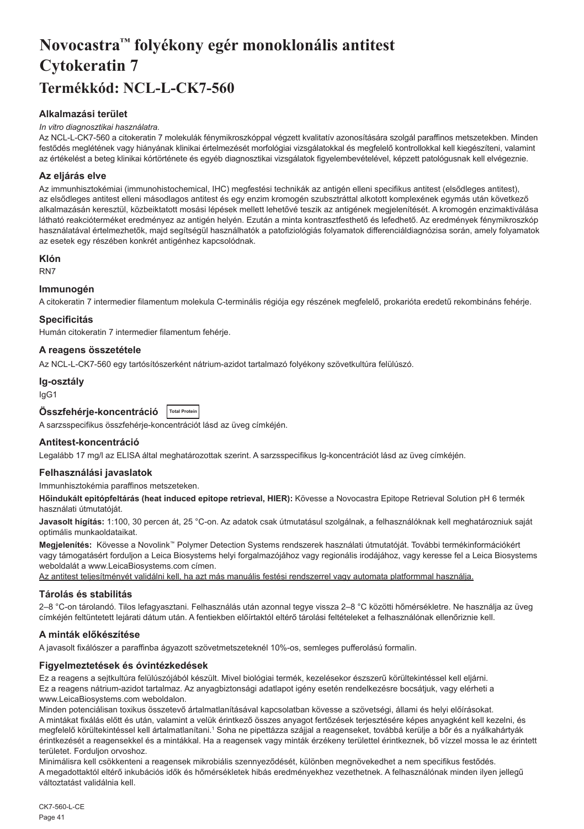## <span id="page-41-0"></span>**Novocastra™ folyékony egér monoklonális antitest Cytokeratin 7 Termékkód: NCL-L-CK7-560**

## **Alkalmazási terület**

#### *In vitro diagnosztikai használatra.*

Az NCL-L-CK7-560 a citokeratin 7 molekulák fénymikroszkóppal végzett kvalitatív azonosítására szolgál paraffinos metszetekben. Minden festődés meglétének vagy hiányának klinikai értelmezését morfológiai vizsgálatokkal és megfelelő kontrollokkal kell kiegészíteni, valamint az értékelést a beteg klinikai kórtörténete és egyéb diagnosztikai vizsgálatok figyelembevételével, képzett patológusnak kell elvégeznie.

## **Az eljárás elve**

Az immunhisztokémiai (immunohistochemical, IHC) megfestési technikák az antigén elleni specifikus antitest (elsődleges antitest), az elsődleges antitest elleni másodlagos antitest és egy enzim kromogén szubsztráttal alkotott komplexének egymás után következő alkalmazásán keresztül, közbeiktatott mosási lépések mellett lehetővé teszik az antigének megjelenítését. A kromogén enzimaktiválása látható reakcióterméket eredményez az antigén helyén. Ezután a minta kontrasztfesthető és lefedhető. Az eredmények fénymikroszkóp használatával értelmezhetők, majd segítségül használhatók a patofiziológiás folyamatok differenciáldiagnózisa során, amely folyamatok az esetek egy részében konkrét antigénhez kapcsolódnak.

**Klón**

RN7

## **Immunogén**

A citokeratin 7 intermedier filamentum molekula C-terminális régiója egy részének megfelelő, prokarióta eredetű rekombináns fehérje.

## **Specificitás**

Humán citokeratin 7 intermedier filamentum fehérje.

## **A reagens összetétele**

Az NCL-L-CK7-560 egy tartósítószerként nátrium-azidot tartalmazó folyékony szövetkultúra felülúszó.

## **Ig-osztály**

IgG1

## **Összfehérje-koncentráció Total Protein**

A sarzsspecifikus összfehérje-koncentrációt lásd az üveg címkéjén.

## **Antitest-koncentráció**

Legalább 17 mg/l az ELISA által meghatározottak szerint. A sarzsspecifikus Ig-koncentrációt lásd az üveg címkéjén.

## **Felhasználási javaslatok**

Immunhisztokémia paraffinos metszeteken.

**Hőindukált epitópfeltárás (heat induced epitope retrieval, HIER):** Kövesse a Novocastra Epitope Retrieval Solution pH 6 termék használati útmutatóját.

**Javasolt hígítás:** 1:100, 30 percen át, 25 °C-on. Az adatok csak útmutatásul szolgálnak, a felhasználóknak kell meghatározniuk saját optimális munkaoldataikat.

**Megjelenítés:** Kövesse a Novolink™ Polymer Detection Systems rendszerek használati útmutatóját. További termékinformációkért vagy támogatásért forduljon a Leica Biosystems helyi forgalmazójához vagy regionális irodájához, vagy keresse fel a Leica Biosystems weboldalát a www.LeicaBiosystems.com címen.

Az antitest teljesítményét validálni kell, ha azt más manuális festési rendszerrel vagy automata platformmal használja.

## **Tárolás és stabilitás**

2–8 °C-on tárolandó. Tilos lefagyasztani. Felhasználás után azonnal tegye vissza 2–8 °C közötti hőmérsékletre. Ne használja az üveg címkéjén feltüntetett lejárati dátum után. A fentiekben előírtaktól eltérő tárolási feltételeket a felhasználónak ellenőriznie kell.

## **A minták előkészítése**

A javasolt fixálószer a paraffinba ágyazott szövetmetszeteknél 10%-os, semleges pufferolású formalin.

## **Figyelmeztetések és óvintézkedések**

Ez a reagens a sejtkultúra felülúszójából készült. Mivel biológiai termék, kezelésekor észszerű körültekintéssel kell eljárni. Ez a reagens nátrium-azidot tartalmaz. Az anyagbiztonsági adatlapot igény esetén rendelkezésre bocsátjuk, vagy elérheti a www.LeicaBiosystems.com weboldalon.

Minden potenciálisan toxikus összetevő ártalmatlanításával kapcsolatban kövesse a szövetségi, állami és helyi előírásokat. A mintákat fixálás előtt és után, valamint a velük érintkező összes anyagot fertőzések terjesztésére képes anyagként kell kezelni, és megfelelő körültekintéssel kell ártalmatlanítani.1 Soha ne pipettázza szájjal a reagenseket, továbbá kerülje a bőr és a nyálkahártyák érintkezését a reagensekkel és a mintákkal. Ha a reagensek vagy minták érzékeny területtel érintkeznek, bő vízzel mossa le az érintett területet. Fordulion orvoshoz.

Minimálisra kell csökkenteni a reagensek mikrobiális szennyeződését, különben megnövekedhet a nem specifikus festődés. A megadottaktól eltérő inkubációs idők és hőmérsékletek hibás eredményekhez vezethetnek. A felhasználónak minden ilyen jellegű változtatást validálnia kell.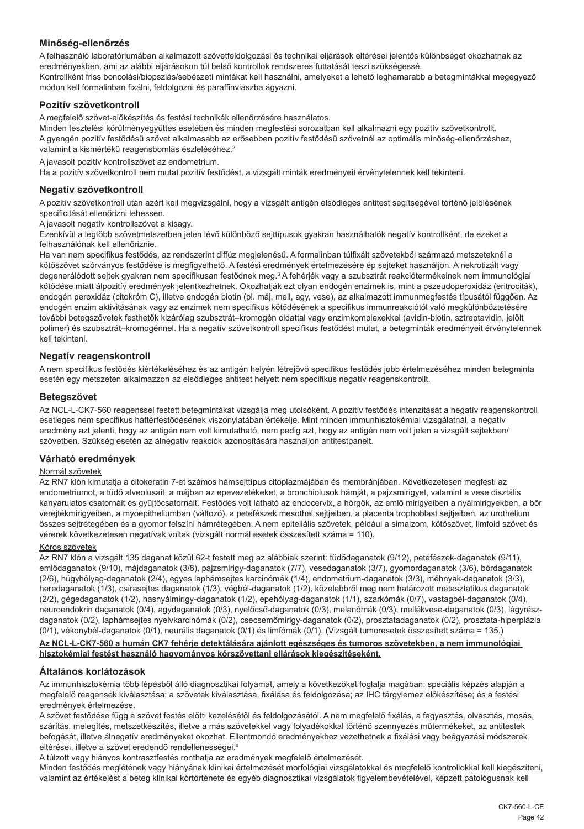## **Minőség-ellenőrzés**

A felhasználó laboratóriumában alkalmazott szövetfeldolgozási és technikai eljárások eltérései jelentős különbséget okozhatnak az eredményekben, ami az alábbi eljárásokon túl belső kontrollok rendszeres futtatását teszi szükségessé. Kontrollként friss boncolási/biopsziás/sebészeti mintákat kell használni, amelyeket a lehető leghamarabb a betegmintákkal megegyező módon kell formalinban fixálni, feldolgozni és paraffinviaszba ágyazni.

## **Pozitív szövetkontroll**

A megfelelő szövet-előkészítés és festési technikák ellenőrzésére használatos.

Minden tesztelési körülményegyüttes esetében és minden megfestési sorozatban kell alkalmazni egy pozitív szövetkontrollt. A gyengén pozitív festődésű szövet alkalmasabb az erősebben pozitív festődésű szövetnél az optimális minőség-ellenőrzéshez, valamint a kismértékű reagensbomlás észleléséhez.<sup>2</sup>

A javasolt pozitív kontrollszövet az endometrium.

Ha a pozitív szövetkontroll nem mutat pozitív festődést, a vizsgált minták eredményeit érvénytelennek kell tekinteni.

#### **Negatív szövetkontroll**

A pozitív szövetkontroll után azért kell megvizsgálni, hogy a vizsgált antigén elsődleges antitest segítségével történő jelölésének specificitását ellenőrizni lehessen.

A javasolt negatív kontrollszövet a kisagy.

Ezenkívül a legtöbb szövetmetszetben jelen lévő különböző sejttípusok gyakran használhatók negatív kontrollként, de ezeket a felhasználónak kell ellenőriznie.

Ha van nem specifikus festődés, az rendszerint diffúz megjelenésű. A formalinban túlfixált szövetekből származó metszeteknél a kötőszövet szórványos festődése is megfigyelhető. A festési eredmények értelmezésére ép sejteket használjon. A nekrotizált vagy degenerálódott sejtek gyakran nem specifikusan festődnek meg.<sup>3</sup> A fehérjék vagy a szubsztrát reakciótermékeinek nem immunológiai kötődése miatt álpozitív eredmények jelentkezhetnek. Okozhatják ezt olyan endogén enzimek is, mint a pszeudoperoxidáz (eritrociták), endogén peroxidáz (citokróm C), illetve endogén biotin (pl. máj, mell, agy, vese), az alkalmazott immunmegfestés típusától függően. Az endogén enzim aktivitásának vagy az enzimek nem specifikus kötődésének a specifikus immunreakciótól való megkülönböztetésére további betegszövetek festhetők kizárólag szubsztrát–kromogén oldattal vagy enzimkomplexekkel (avidin-biotin, sztreptavidin, jelölt polimer) és szubsztrát–kromogénnel. Ha a negatív szövetkontroll specifikus festődést mutat, a betegminták eredményeit érvénytelennek kell tekinteni.

## **Negatív reagenskontroll**

A nem specifikus festődés kiértékeléséhez és az antigén helyén létrejövő specifikus festődés jobb értelmezéséhez minden betegminta esetén egy metszeten alkalmazzon az elsődleges antitest helyett nem specifikus negatív reagenskontrollt.

#### **Betegszövet**

Az NCL-L-CK7-560 reagenssel festett betegmintákat vizsgálja meg utolsóként. A pozitív festődés intenzitását a negatív reagenskontroll esetleges nem specifikus háttérfestődésének viszonylatában értékelje. Mint minden immunhisztokémiai vizsgálatnál, a negatív eredmény azt jelenti, hogy az antigén nem volt kimutatható, nem pedig azt, hogy az antigén nem volt jelen a vizsgált sejtekben/ szövetben. Szükség esetén az álnegatív reakciók azonosítására használjon antitestpanelt.

## **Várható eredmények**

#### Normál szövetek

Az RN7 klón kimutatja a citokeratin 7-et számos hámsejttípus citoplazmájában és membránjában. Következetesen megfesti az endometriumot, a tüdő alveolusait, a májban az epevezetékeket, a bronchiolusok hámját, a pajzsmirigyet, valamint a vese disztális kanyarulatos csatornáit és gyűjtőcsatornáit. Festődés volt látható az endocervix, a hörgők, az emlő mirigyeiben a nyálmirigyekben, a bőr verejtékmirigyeiben, a myoepitheliumban (változó), a petefészek mesothel sejtjeiben, a placenta trophoblast sejtjeiben, az urothelium összes sejtrétegében és a gyomor felszíni hámrétegében. A nem epiteliális szövetek, például a simaizom, kötőszövet, limfoid szövet és vérerek következetesen negatívak voltak (vizsgált normál esetek összesített száma = 110).

#### Kóros szövetek

Az RN7 klón a vizsgált 135 daganat közül 62-t festett meg az alábbiak szerint: tüdődaganatok (9/12), petefészek-daganatok (9/11), emlődaganatok (9/10), májdaganatok (3/8), pajzsmirigy-daganatok (7/7), vesedaganatok (3/7), gyomordaganatok (3/6), bőrdaganatok (2/6), húgyhólyag-daganatok (2/4), egyes laphámsejtes karcinómák (1/4), endometrium-daganatok (3/3), méhnyak-daganatok (3/3), heredaganatok (1/3), csírasejtes daganatok (1/3), végbél-daganatok (1/2), közelebbről meg nem határozott metasztatikus daganatok (2/2), gégedaganatok (1/2), hasnyálmirigy-daganatok (1/2), epehólyag-daganatok (1/1), szarkómák (0/7), vastagbél-daganatok (0/4), neuroendokrin daganatok (0/4), agydaganatok (0/3), nyelőcső-daganatok (0/3), melanómák (0/3), mellékvese-daganatok (0/3), lágyrészdaganatok (0/2), laphámsejtes nyelvkarcinómák (0/2), csecsemőmirigy-daganatok (0/2), prosztatadaganatok (0/2), prosztata-hiperplázia (0/1), vékonybél-daganatok (0/1), neurális daganatok (0/1) és limfómák (0/1). (Vizsgált tumoresetek összesített száma = 135.)

#### **Az NCL-L-CK7-560 a humán CK7 fehérje detektálására ajánlott egészséges és tumoros szövetekben, a nem immunológiai hisztokémiai festést használó hagyományos kórszövettani eljárások kiegészítéseként.**

## **Általános korlátozások**

Az immunhisztokémia több lépésből álló diagnosztikai folyamat, amely a következőket foglalja magában: speciális képzés alapján a megfelelő reagensek kiválasztása; a szövetek kiválasztása, fixálása és feldolgozása; az IHC tárgylemez előkészítése; és a festési eredmények értelmezése.

A szövet festődése függ a szövet festés előtti kezelésétől és feldolgozásától. A nem megfelelő fixálás, a fagyasztás, olvasztás, mosás, szárítás, melegítés, metszetkészítés, illetve a más szövetekkel vagy folyadékokkal történő szennyezés műtermékeket, az antitestek befogását, illetve álnegatív eredményeket okozhat. Ellentmondó eredményekhez vezethetnek a fixálási vagy beágyazási módszerek eltérései, illetve a szövet eredendő rendellenességei.4

A túlzott vagy hiányos kontrasztfestés ronthatja az eredmények megfelelő értelmezését.

Minden festődés meglétének vagy hiányának klinikai értelmezését morfológiai vizsgálatokkal és megfelelő kontrollokkal kell kiegészíteni, valamint az értékelést a beteg klinikai kórtörténete és egyéb diagnosztikai vizsgálatok figyelembevételével, képzett patológusnak kell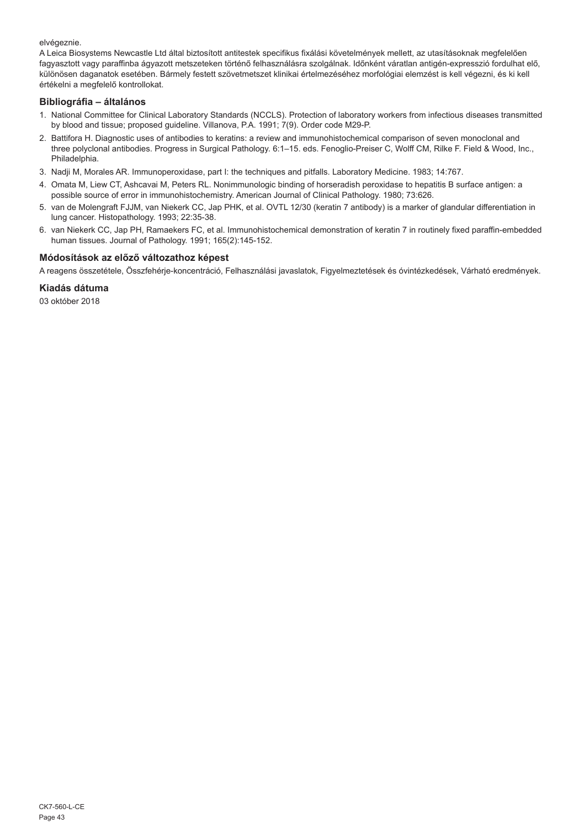elvégeznie.

A Leica Biosystems Newcastle Ltd által biztosított antitestek specifikus fixálási követelmények mellett, az utasításoknak megfelelően fagyasztott vagy paraffinba ágyazott metszeteken történő felhasználásra szolgálnak. Időnként váratlan antigén-expresszió fordulhat elő, különösen daganatok esetében. Bármely festett szövetmetszet klinikai értelmezéséhez morfológiai elemzést is kell végezni, és ki kell értékelni a megfelelő kontrollokat.

## **Bibliográfia – általános**

- 1. National Committee for Clinical Laboratory Standards (NCCLS). Protection of laboratory workers from infectious diseases transmitted by blood and tissue; proposed guideline. Villanova, P.A. 1991; 7(9). Order code M29-P.
- 2. Battifora H. Diagnostic uses of antibodies to keratins: a review and immunohistochemical comparison of seven monoclonal and three polyclonal antibodies. Progress in Surgical Pathology. 6:1–15. eds. Fenoglio-Preiser C, Wolff CM, Rilke F. Field & Wood, Inc., Philadelphia.
- 3. Nadji M, Morales AR. Immunoperoxidase, part I: the techniques and pitfalls. Laboratory Medicine. 1983; 14:767.
- 4. Omata M, Liew CT, Ashcavai M, Peters RL. Nonimmunologic binding of horseradish peroxidase to hepatitis B surface antigen: a possible source of error in immunohistochemistry. American Journal of Clinical Pathology. 1980; 73:626.
- 5. van de Molengraft FJJM, van Niekerk CC, Jap PHK, et al. OVTL 12/30 (keratin 7 antibody) is a marker of glandular differentiation in lung cancer. Histopathology. 1993; 22:35-38.
- 6. van Niekerk CC, Jap PH, Ramaekers FC, et al. Immunohistochemical demonstration of keratin 7 in routinely fixed paraffin-embedded human tissues. Journal of Pathology. 1991; 165(2):145-152.

## **Módosítások az előző változathoz képest**

A reagens összetétele, Összfehérje-koncentráció, Felhasználási javaslatok, Figyelmeztetések és óvintézkedések, Várható eredmények.

## **Kiadás dátuma**

03 október 2018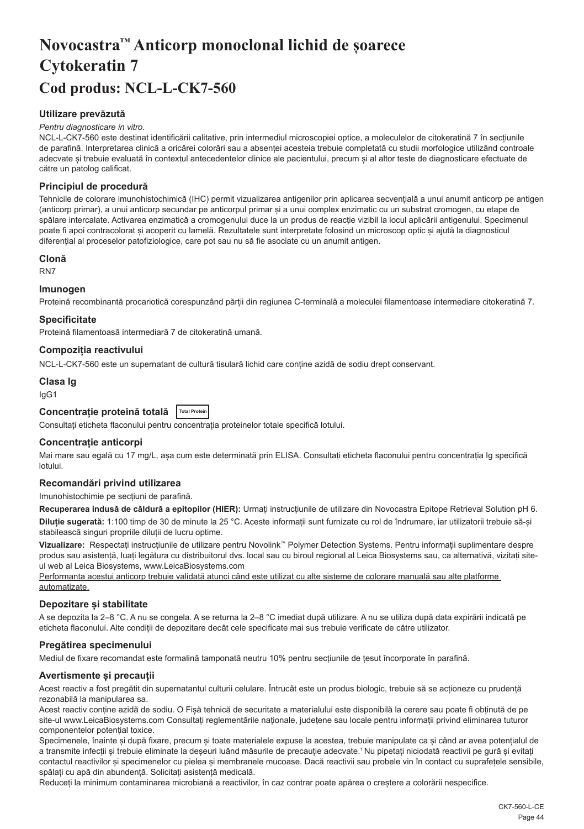## <span id="page-44-0"></span>**Novocastra™ Anticorp monoclonal lichid de șoarece Cytokeratin 7 Cod produs: NCL-L-CK7-560**

## **Utilizare prevăzută**

#### *Pentru diagnosticare in vitro.*

NCL-L-CK7-560 este destinat identificării calitative, prin intermediul microscopiei optice, a moleculelor de citokeratină 7 în secțiunile de parafină. Interpretarea clinică a oricărei colorări sau a absenței acesteia trebuie completată cu studii morfologice utilizând controale adecvate și trebuie evaluată în contextul antecedentelor clinice ale pacientului, precum și al altor teste de diagnosticare efectuate de către un patolog calificat.

## **Principiul de procedură**

Tehnicile de colorare imunohistochimică (IHC) permit vizualizarea antigenilor prin aplicarea secvențială a unui anumit anticorp pe antigen (anticorp primar), a unui anticorp secundar pe anticorpul primar și a unui complex enzimatic cu un substrat cromogen, cu etape de spălare intercalate. Activarea enzimatică a cromogenului duce la un produs de reacție vizibil la locul aplicării antigenului. Specimenul poate fi apoi contracolorat și acoperit cu lamelă. Rezultatele sunt interpretate folosind un microscop optic și ajută la diagnosticul diferențial al proceselor patofiziologice, care pot sau nu să fie asociate cu un anumit antigen.

## **Clonă**

RN7

## **Imunogen**

Proteină recombinantă procariotică corespunzând părții din regiunea C-terminală a moleculei filamentoase intermediare citokeratină 7.

## **Specificitate**

Proteină filamentoasă intermediară 7 de citokeratină umană.

## **Compoziția reactivului**

NCL-L-CK7-560 este un supernatant de cultură tisulară lichid care conține azidă de sodiu drept conservant.

## **Clasa Ig**

IgG1

## **Concentrație proteină totală Total Protein**

Consultați eticheta flaconului pentru concentrația proteinelor totale specifică lotului.

## **Concentrație anticorpi**

Mai mare sau egală cu 17 mg/L, asa cum este determinată prin ELISA. Consultati eticheta flaconului pentru concentratia Ig specifică lotului.

## **Recomandări privind utilizarea**

Imunohistochimie pe secțiuni de parafină.

**Recuperarea indusă de căldură a epitopilor (HIER):** Urmați instrucțiunile de utilizare din Novocastra Epitope Retrieval Solution pH 6.

**Diluție sugerată:** 1:100 timp de 30 de minute la 25 °C. Aceste informații sunt furnizate cu rol de îndrumare, iar utilizatorii trebuie să-și stabilească singuri propriile diluții de lucru optime.

**Vizualizare:** Respectați instrucțiunile de utilizare pentru Novolink™ Polymer Detection Systems. Pentru informații suplimentare despre produs sau asistență, luați legătura cu distribuitorul dvs. local sau cu biroul regional al Leica Biosystems sau, ca alternativă, vizitați siteul web al Leica Biosystems, www.LeicaBiosystems.com

Performanța acestui anticorp trebuie validată atunci când este utilizat cu alte sisteme de colorare manuală sau alte platforme automatizate.

## **Depozitare și stabilitate**

A se depozita la 2–8 °C. A nu se congela. A se returna la 2–8 °C imediat după utilizare. A nu se utiliza după data expirării indicată pe eticheta flaconului. Alte condiții de depozitare decât cele specificate mai sus trebuie verificate de către utilizator.

## **Pregătirea specimenului**

Mediul de fixare recomandat este formalină tamponată neutru 10% pentru secțiunile de țesut încorporate în parafină.

## **Avertismente și precauții**

Acest reactiv a fost pregătit din supernatantul culturii celulare. Întrucât este un produs biologic, trebuie să se acționeze cu prudență rezonabilă la manipularea sa.

Acest reactiv conține azidă de sodiu. O Fișă tehnică de securitate a materialului este disponibilă la cerere sau poate fi obținută de pe site-ul www.LeicaBiosystems.com Consultați reglementările naționale, județene sau locale pentru informații privind eliminarea tuturor componentelor potențial toxice.

Specimenele, înainte și după fixare, precum și toate materialele expuse la acestea, trebuie manipulate ca și când ar avea potențialul de a transmite infecții și trebuie eliminate la deșeuri luând măsurile de precauție adecvate.<sup>1</sup>Nu pipetați niciodată reactivii pe gură și evitați contactul reactivilor și specimenelor cu pielea și membranele mucoase. Dacă reactivii sau probele vin în contact cu suprafețele sensibile, spălați cu apă din abundență. Solicitați asistență medicală.

Reduceți la minimum contaminarea microbiană a reactivilor, în caz contrar poate apărea o creștere a colorării nespecifice.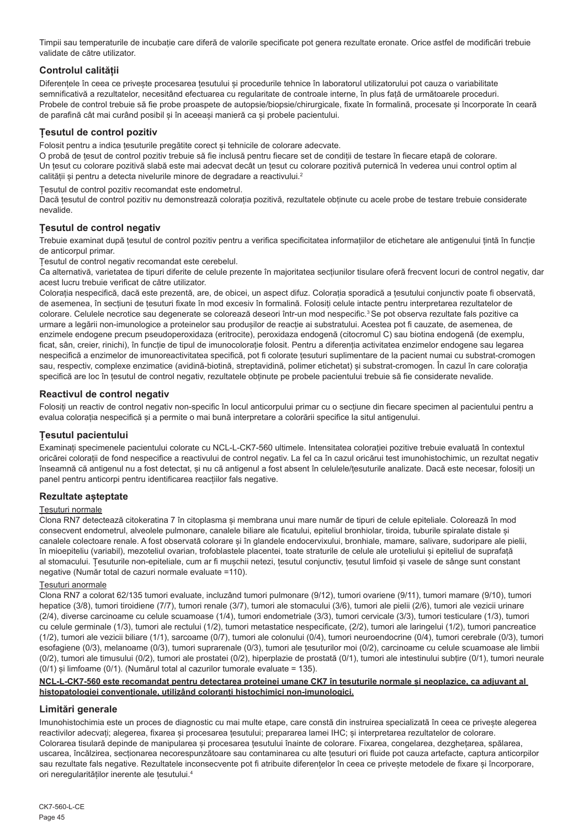Timpii sau temperaturile de incubație care diferă de valorile specificate pot genera rezultate eronate. Orice astfel de modificări trebuie validate de către utilizator.

## **Controlul calității**

Diferențele în ceea ce privește procesarea țesutului și procedurile tehnice în laboratorul utilizatorului pot cauza o variabilitate semnificativă a rezultatelor, necesitând efectuarea cu regularitate de controale interne, în plus față de următoarele proceduri. Probele de control trebuie să fie probe proaspete de autopsie/biopsie/chirurgicale, fixate în formalină, procesate și încorporate în ceară de parafină cât mai curând posibil și în aceeași manieră ca și probele pacientului.

## **Țesutul de control pozitiv**

Folosit pentru a indica țesuturile pregătite corect și tehnicile de colorare adecvate.

O probă de țesut de control pozitiv trebuie să fie inclusă pentru fiecare set de condiții de testare în fiecare etapă de colorare. Un țesut cu colorare pozitivă slabă este mai adecvat decât un țesut cu colorare pozitivă puternică în vederea unui control optim al calității și pentru a detecta nivelurile minore de degradare a reactivului.<sup>2</sup>

Țesutul de control pozitiv recomandat este endometrul.

Dacă țesutul de control pozitiv nu demonstrează colorația pozitivă, rezultatele obținute cu acele probe de testare trebuie considerate nevalide.

## **Țesutul de control negativ**

Trebuie examinat după țesutul de control pozitiv pentru a verifica specificitatea informațiilor de etichetare ale antigenului țintă în funcție de anticorpul primar.

Țesutul de control negativ recomandat este cerebelul.

Ca alternativă, varietatea de tipuri diferite de celule prezente în majoritatea secțiunilor tisulare oferă frecvent locuri de control negativ, dar acest lucru trebuie verificat de către utilizator.

Colorația nespecifică, dacă este prezentă, are, de obicei, un aspect difuz. Colorația sporadică a țesutului conjunctiv poate fi observată, de asemenea, în secțiuni de țesuturi fixate în mod excesiv în formalină. Folosiți celule intacte pentru interpretarea rezultatelor de colorare. Celulele necrotice sau degenerate se colorează deseori într-un mod nespecific.<sup>3</sup> Se pot observa rezultate fals pozitive ca urmare a legării non-imunologice a proteinelor sau produșilor de reacție ai substratului. Acestea pot fi cauzate, de asemenea, de enzimele endogene precum pseudoperoxidaza (eritrocite), peroxidaza endogenă (citocromul C) sau biotina endogenă (de exemplu, ficat, sân, creier, rinichi), în funcție de tipul de imunocolorație folosit. Pentru a diferenția activitatea enzimelor endogene sau legarea nespecifică a enzimelor de imunoreactivitatea specifică, pot fi colorate țesuturi suplimentare de la pacient numai cu substrat-cromogen sau, respectiv, complexe enzimatice (avidină-biotină, streptavidină, polimer etichetat) și substrat-cromogen. În cazul în care colorația specifică are loc în țesutul de control negativ, rezultatele obținute pe probele pacientului trebuie să fie considerate nevalide.

## **Reactivul de control negativ**

Folosiți un reactiv de control negativ non-specific în locul anticorpului primar cu o secțiune din fiecare specimen al pacientului pentru a evalua colorația nespecifică și a permite o mai bună interpretare a colorării specifice la situl antigenului.

## **Țesutul pacientului**

Examinați specimenele pacientului colorate cu NCL-L-CK7-560 ultimele. Intensitatea colorației pozitive trebuie evaluată în contextul oricărei colorații de fond nespecifice a reactivului de control negativ. La fel ca în cazul oricărui test imunohistochimic, un rezultat negativ înseamnă că antigenul nu a fost detectat, și nu că antigenul a fost absent în celulele/țesuturile analizate. Dacă este necesar, folosiți un panel pentru anticorpi pentru identificarea reacțiilor fals negative.

## **Rezultate așteptate**

## Țesuturi normale

Clona RN7 detectează citokeratina 7 în citoplasma și membrana unui mare număr de tipuri de celule epiteliale. Colorează în mod consecvent endometrul, alveolele pulmonare, canalele biliare ale ficatului, epiteliul bronhiolar, tiroida, tuburile spiralate distale și canalele colectoare renale. A fost observată colorare și în glandele endocervixului, bronhiale, mamare, salivare, sudoripare ale pielii, în mioepiteliu (variabil), mezoteliul ovarian, trofoblastele placentei, toate straturile de celule ale uroteliului și epiteliul de suprafață al stomacului. Țesuturile non-epiteliale, cum ar fi mușchii netezi, țesutul conjunctiv, țesutul limfoid și vasele de sânge sunt constant negative (Număr total de cazuri normale evaluate =110).

## Țesuturi anormale

Clona RN7 a colorat 62/135 tumori evaluate, incluzând tumori pulmonare (9/12), tumori ovariene (9/11), tumori mamare (9/10), tumori hepatice (3/8), tumori tiroidiene (7/7), tumori renale (3/7), tumori ale stomacului (3/6), tumori ale pielii (2/6), tumori ale vezicii urinare (2/4), diverse carcinoame cu celule scuamoase (1/4), tumori endometriale (3/3), tumori cervicale (3/3), tumori testiculare (1/3), tumori cu celule germinale (1/3), tumori ale rectului (1/2), tumori metastatice nespecificate, (2/2), tumori ale laringelui (1/2), tumori pancreatice (1/2), tumori ale vezicii biliare (1/1), sarcoame (0/7), tumori ale colonului (0/4), tumori neuroendocrine (0/4), tumori cerebrale (0/3), tumori esofagiene (0/3), melanoame (0/3), tumori suprarenale (0/3), tumori ale tesuturilor moi (0/2), carcinoame cu celule scuamoase ale limbii (0/2), tumori ale timusului (0/2), tumori ale prostatei (0/2), hiperplazie de prostată (0/1), tumori ale intestinului subțire (0/1), tumori neurale (0/1) și limfoame (0/1). (Numărul total al cazurilor tumorale evaluate = 135).

#### **NCL-L-CK7-560 este recomandat pentru detectarea proteinei umane CK7 în țesuturile normale și neoplazice, ca adjuvant al histopatologiei convenționale, utilizând coloranți histochimici non-imunologici.**

## **Limitări generale**

Imunohistochimia este un proces de diagnostic cu mai multe etape, care constă din instruirea specializată în ceea ce privește alegerea reactivilor adecvați; alegerea, fixarea și procesarea țesutului; prepararea lamei IHC; și interpretarea rezultatelor de colorare. Colorarea tisulară depinde de manipularea și procesarea țesutului înainte de colorare. Fixarea, congelarea, dezghețarea, spălarea, uscarea, încălzirea, secționarea necorespunzătoare sau contaminarea cu alte țesuturi ori fluide pot cauza artefacte, captura anticorpilor sau rezultate fals negative. Rezultatele inconsecvente pot fi atribuite diferențelor în ceea ce privește metodele de fixare și încorporare, ori neregularităților inerente ale țesutului.4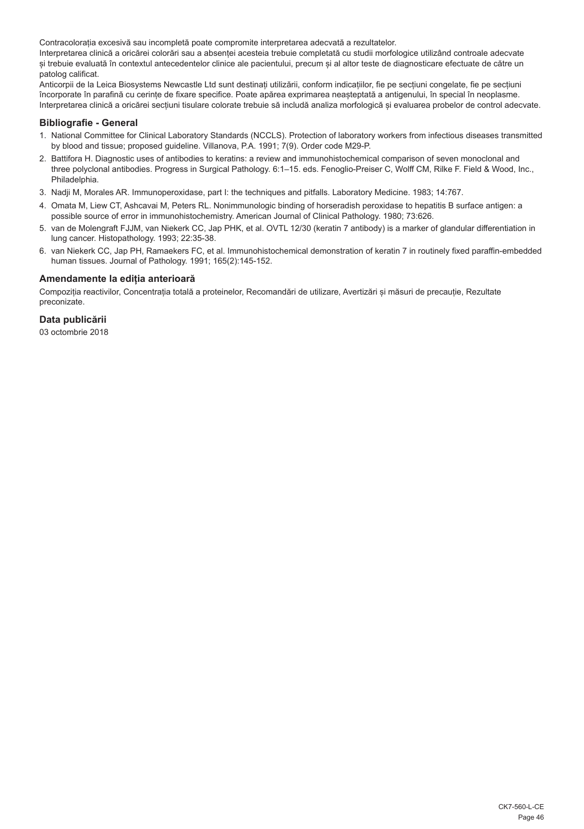Contracolorația excesivă sau incompletă poate compromite interpretarea adecvată a rezultatelor.

Interpretarea clinică a oricărei colorări sau a absenței acesteia trebuie completată cu studii morfologice utilizând controale adecvate și trebuie evaluată în contextul antecedentelor clinice ale pacientului, precum și al altor teste de diagnosticare efectuate de către un patolog calificat.

Anticorpii de la Leica Biosystems Newcastle Ltd sunt destinați utilizării, conform indicațiilor, fie pe secțiuni congelate, fie pe secțiuni încorporate în parafină cu cerințe de fixare specifice. Poate apărea exprimarea neașteptată a antigenului, în special în neoplasme. Interpretarea clinică a oricărei secțiuni tisulare colorate trebuie să includă analiza morfologică și evaluarea probelor de control adecvate.

#### **Bibliografie - General**

- 1. National Committee for Clinical Laboratory Standards (NCCLS). Protection of laboratory workers from infectious diseases transmitted by blood and tissue; proposed guideline. Villanova, P.A. 1991; 7(9). Order code M29-P.
- 2. Battifora H. Diagnostic uses of antibodies to keratins: a review and immunohistochemical comparison of seven monoclonal and three polyclonal antibodies. Progress in Surgical Pathology. 6:1–15. eds. Fenoglio-Preiser C, Wolff CM, Rilke F. Field & Wood, Inc., Philadelphia.
- 3. Nadji M, Morales AR. Immunoperoxidase, part I: the techniques and pitfalls. Laboratory Medicine. 1983; 14:767.
- 4. Omata M, Liew CT, Ashcavai M, Peters RL. Nonimmunologic binding of horseradish peroxidase to hepatitis B surface antigen: a possible source of error in immunohistochemistry. American Journal of Clinical Pathology. 1980; 73:626.
- 5. van de Molengraft FJJM, van Niekerk CC, Jap PHK, et al. OVTL 12/30 (keratin 7 antibody) is a marker of glandular differentiation in lung cancer. Histopathology. 1993; 22:35-38.
- 6. van Niekerk CC, Jap PH, Ramaekers FC, et al. Immunohistochemical demonstration of keratin 7 in routinely fixed paraffin-embedded human tissues. Journal of Pathology. 1991; 165(2):145-152.

#### **Amendamente la ediția anterioară**

Compoziția reactivilor, Concentrația totală a proteinelor, Recomandări de utilizare, Avertizări și măsuri de precauție, Rezultate preconizate.

## **Data publicării**

03 octombrie 2018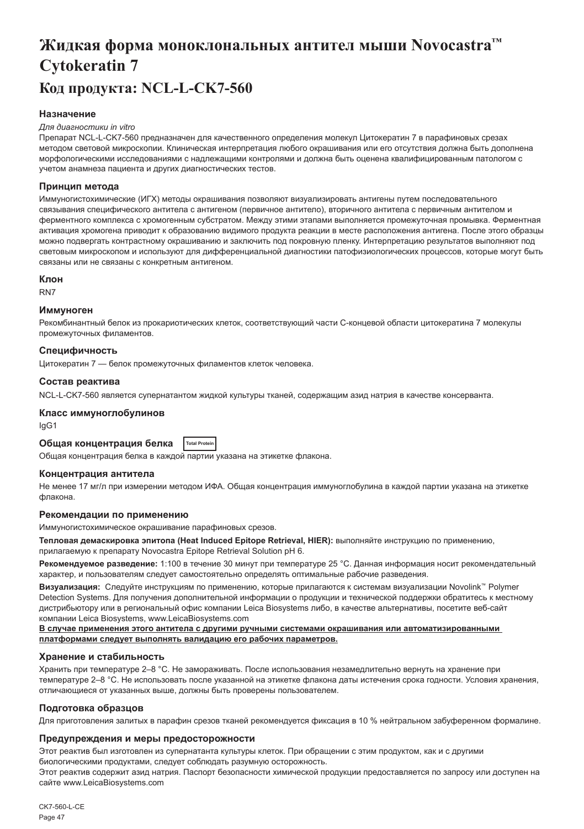## <span id="page-47-0"></span>**Жидкая форма моноклональных антител мыши Novocastra™ Cytokeratin 7 Код продукта: NCL-L-CK7-560**

## **Назначение**

#### *Для диагностики in vitro*

Препарат NCL-L-CK7-560 предназначен для качественного определения молекул Цитокератин 7 в парафиновых срезах методом световой микроскопии. Клиническая интерпретация любого окрашивания или его отсутствия должна быть дополнена морфологическими исследованиями с надлежащими контролями и должна быть оценена квалифицированным патологом с учетом анамнеза пациента и других диагностических тестов.

#### **Принцип метода**

Иммуногистохимические (ИГХ) методы окрашивания позволяют визуализировать антигены путем последовательного связывания специфического антитела с антигеном (первичное антитело), вторичного антитела с первичным антителом и ферментного комплекса с хромогенным субстратом. Между этими этапами выполняется промежуточная промывка. Ферментная активация хромогена приводит к образованию видимого продукта реакции в месте расположения антигена. После этого образцы можно подвергать контрастному окрашиванию и заключить под покровную пленку. Интерпретацию результатов выполняют под световым микроскопом и используют для дифференциальной диагностики патофизиологических процессов, которые могут быть связаны или не связаны с конкретным антигеном.

#### **Клон**

RN7

#### **Иммуноген**

Рекомбинантный белок из прокариотических клеток, соответствующий части C-концевой области цитокератина 7 молекулы промежуточных филаментов.

#### **Специфичность**

Цитокератин 7 — белок промежуточных филаментов клеток человека.

#### **Состав реактива**

NCL-L-CK7-560 является супернатантом жидкой культуры тканей, содержащим азид натрия в качестве консерванта.

#### **Класс иммуноглобулинов**

IgG1

#### **Общая концентрация белка Total Protein**

Общая концентрация белка в каждой партии указана на этикетке флакона.

#### **Концентрация антитела**

Не менее 17 мг/л при измерении методом ИФА. Общая концентрация иммуноглобулина в каждой партии указана на этикетке флакона.

## **Рекомендации по применению**

Иммуногистохимическое окрашивание парафиновых срезов.

**Тепловая демаскировка эпитопа (Heat Induced Epitope Retrieval, HIER):** выполняйте инструкцию по применению,

прилагаемую к препарату Novocastra Epitope Retrieval Solution pH 6.

**Рекомендуемое разведение:** 1:100 в течение 30 минут при температуре 25 °C. Данная информация носит рекомендательный характер, и пользователям следует самостоятельно определять оптимальные рабочие разведения.

**Визуализация:** Следуйте инструкциям по применению, которые прилагаются к системам визуализации Novolink™ Polymer Detection Systems. Для получения дополнительной информации о продукции и технической поддержки обратитесь к местному дистрибьютору или в региональный офис компании Leica Biosystems либо, в качестве альтернативы, посетите веб-сайт компании Leica Biosystems, www.LeicaBiosystems.com

**В случае применения этого антитела с другими ручными системами окрашивания или автоматизированными платформами следует выполнять валидацию его рабочих параметров.**

#### **Хранение и стабильность**

Хранить при температуре 2–8 °C. Не замораживать. После использования незамедлительно вернуть на хранение при температуре 2–8 °C. Не использовать после указанной на этикетке флакона даты истечения срока годности. Условия хранения, отличающиеся от указанных выше, должны быть проверены пользователем.

#### **Подготовка образцов**

Для приготовления залитых в парафин срезов тканей рекомендуется фиксация в 10 % нейтральном забуференном формалине.

#### **Предупреждения и меры предосторожности**

Этот реактив был изготовлен из супернатанта культуры клеток. При обращении с этим продуктом, как и с другими биологическими продуктами, следует соблюдать разумную осторожность.

Этот реактив содержит азид натрия. Паспорт безопасности химической продукции предоставляется по запросу или доступен на сайте www.LeicaBiosystems.com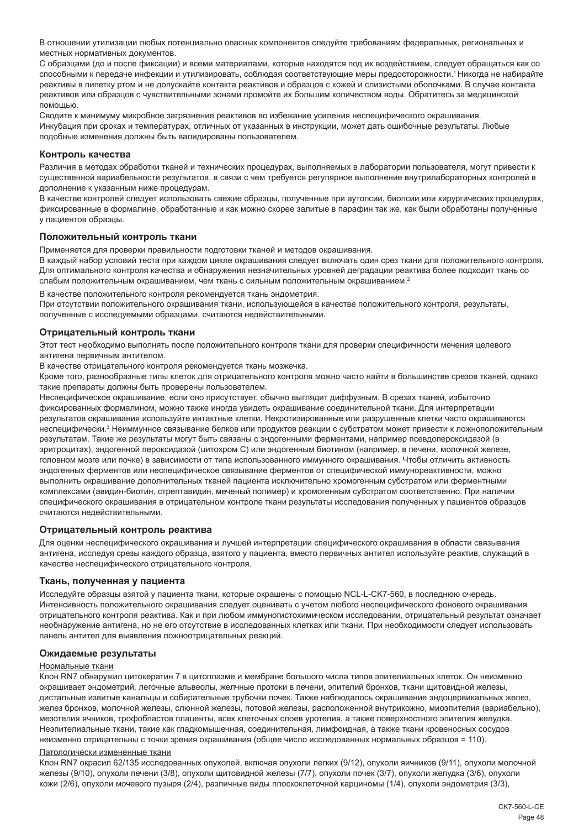В отношении утилизации любых потенциально опасных компонентов следуйте требованиям федеральных, региональных и местных нормативных документов.

С образцами (до и после фиксации) и всеми материалами, которые находятся под их воздействием, следует обращаться как со способными к передаче инфекции и утилизировать, соблюдая соответствующие меры предосторожности.<sup>1</sup>Никогда не набирайте реактивы в пипетку ртом и не допускайте контакта реактивов и образцов с кожей и слизистыми оболочками. В случае контакта реактивов или образцов с чувствительными зонами промойте их большим количеством воды. Обратитесь за медицинской помощью.

Сводите к минимуму микробное загрязнение реактивов во избежание усиления неспецифического окрашивания. Инкубация при сроках и температурах, отличных от указанных в инструкции, может дать ошибочные результаты. Любые подобные изменения должны быть валидированы пользователем.

#### **Контроль качества**

Различия в методах обработки тканей и технических процедурах, выполняемых в лаборатории пользователя, могут привести к существенной вариабельности результатов, в связи с чем требуется регулярное выполнение внутрилабораторных контролей в дополнение к указанным ниже процедурам.

В качестве контролей следует использовать свежие образцы, полученные при аутопсии, биопсии или хирургических процедурах, фиксированные в формалине, обработанные и как можно скорее залитые в парафин так же, как были обработаны полученные у пациентов образцы.

#### **Положительный контроль ткани**

Применяется для проверки правильности подготовки тканей и методов окрашивания.

В каждый набор условий теста при каждом цикле окрашивания следует включать один срез ткани для положительного контроля. Для оптимального контроля качества и обнаружения незначительных уровней деградации реактива более подходит ткань со слабым положительным окрашиванием, чем ткань с сильным положительным окрашиванием.<sup>2</sup>

В качестве положительного контроля рекомендуется ткань эндометрия.

При отсутствии положительного окрашивания ткани, использующейся в качестве положительного контроля, результаты, полученные с исследуемыми образцами, считаются недействительными.

#### **Отрицательный контроль ткани**

Этот тест необходимо выполнять после положительного контроля ткани для проверки специфичности мечения целевого антигена первичным антителом.

В качестве отрицательного контроля рекомендуется ткань мозжечка.

Кроме того, разнообразные типы клеток для отрицательного контроля можно часто найти в большинстве срезов тканей, однако такие препараты должны быть проверены пользователем.

Неспецифическое окрашивание, если оно присутствует, обычно выглядит диффузным. В срезах тканей, избыточно фиксированных формалином, можно также иногда увидеть окрашивание соединительной ткани. Для интерпретации результатов окрашивания используйте интактные клетки. Некротизированные или разрушенные клетки часто окрашиваются неспецифически.<sup>з</sup> Неиммунное связывание белков или продуктов реакции с субстратом может привести к ложноположительным результатам. Такие же результаты могут быть связаны с эндогенными ферментами, например псевдопероксидазой (в эритроцитах), эндогенной пероксидазой (цитохром C) или эндогенным биотином (например, в печени, молочной железе, головном мозге или почке) в зависимости от типа использованного иммунного окрашивания. Чтобы отличить активность эндогенных ферментов или неспецифическое связывание ферментов от специфической иммунореактивности, можно выполнить окрашивание дополнительных тканей пациента исключительно хромогенным субстратом или ферментными комплексами (авидин-биотин, стрептавидин, меченый полимер) и хромогенным субстратом соответственно. При наличии специфического окрашивания в отрицательном контроле ткани результаты исследования полученных у пациентов образцов считаются недействительными.

#### **Отрицательный контроль реактива**

Для оценки неспецифического окрашивания и лучшей интерпретации специфического окрашивания в области связывания антигена, исследуя срезы каждого образца, взятого у пациента, вместо первичных антител используйте реактив, служащий в качестве неспецифического отрицательного контроля.

## **Ткань, полученная у пациента**

Исследуйте образцы взятой у пациента ткани, которые окрашены с помощью NCL-L-CK7-560, в последнюю очередь. Интенсивность положительного окрашивания следует оценивать с учетом любого неспецифического фонового окрашивания отрицательного контроля реактива. Как и при любом иммуногистохимическом исследовании, отрицательный результат означает необнаружение антигена, но не его отсутствие в исследованных клетках или ткани. При необходимости следует использовать панель антител для выявления ложноотрицательных реакций.

#### **Ожидаемые результаты**

#### Нормальные ткани

Клон RN7 обнаружил цитокератин 7 в цитоплазме и мембране большого числа типов эпителиальных клеток. Он неизменно окрашивает эндометрий, легочные альвеолы, желчные протоки в печени, эпителий бронхов, ткани щитовидной железы, дистальные извитые канальцы и собирательные трубочки почек. Также наблюдалось окрашивание эндоцервикальных желез, желез бронхов, молочной железы, слюнной железы, потовой железы, расположенной внутрикожно, миоэпителия (вариабельно), мезотелия ячников, трофобластов плаценты, всех клеточных слоев уротелия, а также поверхностного эпителия желудка. Неэпителиальные ткани, такие как гладкомышечная, соединительная, лимфоидная, а также ткани кровеносных сосудов неизменно отрицательны с точки зрения окрашивания (общее число исследованных нормальных образцов = 110).

#### Патологически измененные ткани

Клон RN7 окрасил 62/135 исследованных опухолей, включая опухоли легких (9/12), опухоли яичников (9/11), опухоли молочной железы (9/10), опухоли печени (3/8), опухоли щитовидной железы (7/7), опухоли почек (3/7), опухоли желудка (3/6), опухоли кожи (2/6), опухоли мочевого пузыря (2/4), различные виды плоскоклеточной карциномы (1/4), опухоли эндометрия (3/3),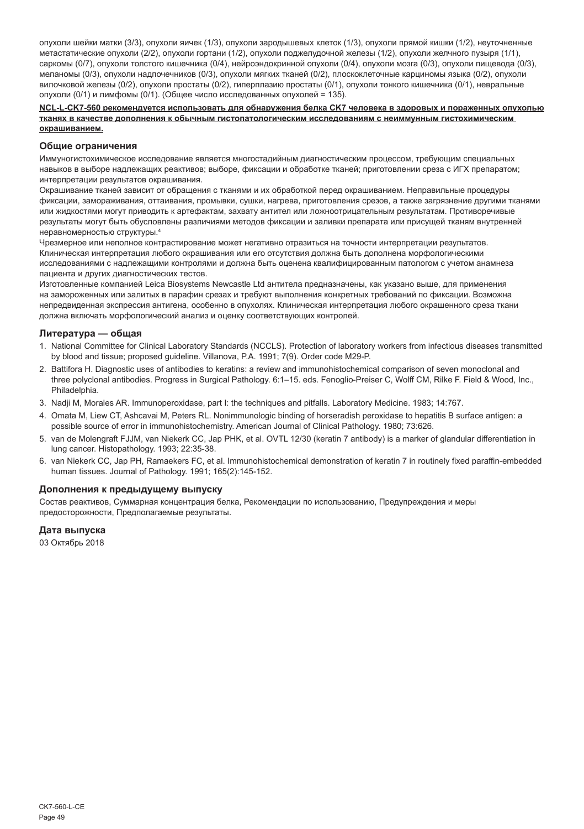опухоли шейки матки (3/3), опухоли яичек (1/3), опухоли зародышевых клеток (1/3), опухоли прямой кишки (1/2), неуточненные метастатические опухоли (2/2), опухоли гортани (1/2), опухоли поджелудочной железы (1/2), опухоли желчного пузыря (1/1), саркомы (0/7), опухоли толстого кишечника (0/4), нейроэндокринной опухоли (0/4), опухоли мозга (0/3), опухоли пищевода (0/3), меланомы (0/3), опухоли надпочечников (0/3), опухоли мягких тканей (0/2), плоскоклеточные карциномы языка (0/2), опухоли вилочковой железы (0/2), опухоли простаты (0/2), гиперплазию простаты (0/1), опухоли тонкого кишечника (0/1), невральные опухоли (0/1) и лимфомы (0/1). (Общее число исследованных опухолей = 135).

#### **NCL-L-CK7-560 рекомендуется использовать для обнаружения белка CK7 человека в здоровых и пораженных опухолью тканях в качестве дополнения к обычным гистопатологическим исследованиям с неиммунным гистохимическим окрашиванием.**

#### **Общие ограничения**

Иммуногистохимическое исследование является многостадийным диагностическим процессом, требующим специальных навыков в выборе надлежащих реактивов; выборе, фиксации и обработке тканей; приготовлении среза с ИГХ препаратом; интерпретации результатов окрашивания.

Окрашивание тканей зависит от обращения с тканями и их обработкой перед окрашиванием. Неправильные процедуры фиксации, замораживания, оттаивания, промывки, сушки, нагрева, приготовления срезов, а также загрязнение другими тканями или жидкостями могут приводить к артефактам, захвату антител или ложноотрицательным результатам. Противоречивые результаты могут быть обусловлены различиями методов фиксации и заливки препарата или присущей тканям внутренней неравномерностью структуры.4

Чрезмерное или неполное контрастирование может негативно отразиться на точности интерпретации результатов. Клиническая интерпретация любого окрашивания или его отсутствия должна быть дополнена морфологическими исследованиями с надлежащими контролями и должна быть оценена квалифицированным патологом с учетом анамнеза пациента и других диагностических тестов.

Изготовленные компанией Leica Biosystems Newcastle Ltd антитела предназначены, как указано выше, для применения на замороженных или залитых в парафин срезах и требуют выполнения конкретных требований по фиксации. Возможна непредвиденная экспрессия антигена, особенно в опухолях. Клиническая интерпретация любого окрашенного среза ткани должна включать морфологический анализ и оценку соответствующих контролей.

#### **Литература — общая**

- 1. National Committee for Clinical Laboratory Standards (NCCLS). Protection of laboratory workers from infectious diseases transmitted by blood and tissue; proposed guideline. Villanova, P.A. 1991; 7(9). Order code M29-P.
- 2. Battifora H. Diagnostic uses of antibodies to keratins: a review and immunohistochemical comparison of seven monoclonal and three polyclonal antibodies. Progress in Surgical Pathology. 6:1–15. eds. Fenoglio-Preiser C, Wolff CM, Rilke F. Field & Wood, Inc., Philadelphia.
- 3. Nadji M, Morales AR. Immunoperoxidase, part I: the techniques and pitfalls. Laboratory Medicine. 1983; 14:767.
- 4. Omata M, Liew CT, Ashcavai M, Peters RL. Nonimmunologic binding of horseradish peroxidase to hepatitis B surface antigen: a possible source of error in immunohistochemistry. American Journal of Clinical Pathology. 1980; 73:626.
- 5. van de Molengraft FJJM, van Niekerk CC, Jap PHK, et al. OVTL 12/30 (keratin 7 antibody) is a marker of glandular differentiation in lung cancer. Histopathology. 1993; 22:35-38.
- 6. van Niekerk CC, Jap PH, Ramaekers FC, et al. Immunohistochemical demonstration of keratin 7 in routinely fixed paraffin-embedded human tissues. Journal of Pathology. 1991; 165(2):145-152.

## **Дополнения к предыдущему выпуску**

Состав реактивов, Суммарная концентрация белка, Рекомендации по использованию, Предупреждения и меры предосторожности, Предполагаемые результаты.

## **Дата выпуска**

03 Октябрь 2018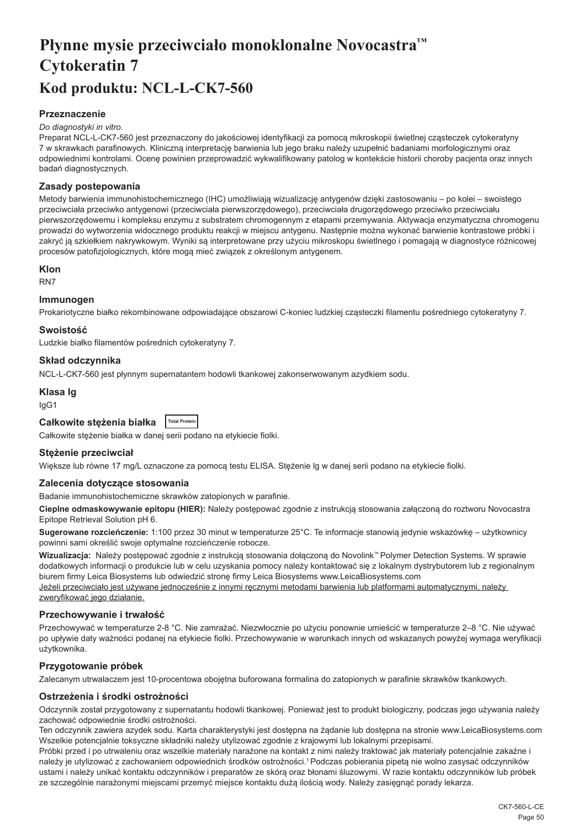## <span id="page-50-0"></span>**Płynne mysie przeciwciało monoklonalne Novocastra™ Cytokeratin 7 Kod produktu: NCL-L-CK7-560**

## **Przeznaczenie**

#### *Do diagnostyki in vitro.*

Preparat NCL-L-CK7-560 jest przeznaczony do jakościowej identyfikacji za pomocą mikroskopii świetlnej cząsteczek cytokeratyny 7 w skrawkach parafinowych. Kliniczną interpretację barwienia lub jego braku należy uzupełnić badaniami morfologicznymi oraz odpowiednimi kontrolami. Ocenę powinien przeprowadzić wykwalifikowany patolog w kontekście historii choroby pacjenta oraz innych badań diagnostycznych.

#### **Zasady postepowania**

Metody barwienia immunohistochemicznego (IHC) umożliwiają wizualizację antygenów dzięki zastosowaniu – po kolei – swoistego przeciwciała przeciwko antygenowi (przeciwciała pierwszorzędowego), przeciwciała drugorzędowego przeciwko przeciwciału pierwszorzędowemu i kompleksu enzymu z substratem chromogennym z etapami przemywania. Aktywacja enzymatyczna chromogenu prowadzi do wytworzenia widocznego produktu reakcji w miejscu antygenu. Następnie można wykonać barwienie kontrastowe próbki i zakryć ją szkiełkiem nakrywkowym. Wyniki są interpretowane przy użyciu mikroskopu świetlnego i pomagają w diagnostyce różnicowej procesów patofizjologicznych, które mogą mieć związek z określonym antygenem.

#### **Klon**

RN7

## **Immunogen**

Prokariotyczne białko rekombinowane odpowiadające obszarowi C-koniec ludzkiej cząsteczki filamentu pośredniego cytokeratyny 7.

#### **Swoistość**

Ludzkie białko filamentów pośrednich cytokeratyny 7.

## **Skład odczynnika**

NCL-L-CK7-560 jest płynnym supernatantem hodowli tkankowej zakonserwowanym azydkiem sodu.

#### **Klasa Ig**

IgG1

| Całkowite stężenia białka |  | <b>Total Protein</b> |
|---------------------------|--|----------------------|
|---------------------------|--|----------------------|

Całkowite stężenie białka w danej serii podano na etykiecie fiolki.

#### **Stężenie przeciwciał**

Większe lub równe 17 mg/L oznaczone za pomocą testu ELISA. Stężenie lg w danej serii podano na etykiecie fiolki.

#### **Zalecenia dotyczące stosowania**

Badanie immunohistochemiczne skrawków zatopionych w parafinie.

**Cieplne odmaskowywanie epitopu (HIER):** Należy postępować zgodnie z instrukcją stosowania załączoną do roztworu Novocastra Epitope Retrieval Solution pH 6.

**Sugerowane rozcieńczenie:** 1:100 przez 30 minut w temperaturze 25°C. Te informacje stanowią jedynie wskazówkę – użytkownicy powinni sami określić swoje optymalne rozcieńczenie robocze.

**Wizualizacja:** Należy postępować zgodnie z instrukcją stosowania dołączoną do Novolink™ Polymer Detection Systems. W sprawie dodatkowych informacji o produkcie lub w celu uzyskania pomocy należy kontaktować się z lokalnym dystrybutorem lub z regionalnym biurem firmy Leica Biosystems lub odwiedzić stronę firmy Leica Biosystems www.LeicaBiosystems.com Jeżeli przeciwciało jest używane jednocześnie z innymi ręcznymi metodami barwienia lub platformami automatycznymi, należy zweryfikować jego działanie.

#### **Przechowywanie i trwałość**

Przechowywać w temperaturze 2-8 °C. Nie zamrażać. Niezwłocznie po użyciu ponownie umieścić w temperaturze 2–8 °C. Nie używać po upływie daty ważności podanej na etykiecie fiolki. Przechowywanie w warunkach innych od wskazanych powyżej wymaga weryfikacji użytkownika.

## **Przygotowanie próbek**

Zalecanym utrwalaczem jest 10-procentowa obojętna buforowana formalina do zatopionych w parafinie skrawków tkankowych.

## **Ostrzeżenia i środki ostrożności**

Odczynnik został przygotowany z supernatantu hodowli tkankowej. Ponieważ jest to produkt biologiczny, podczas jego używania należy zachować odpowiednie środki ostrożności.

Ten odczynnik zawiera azydek sodu. Karta charakterystyki jest dostępna na żądanie lub dostępna na stronie www.LeicaBiosystems.com Wszelkie potencjalnie toksyczne składniki należy utylizować zgodnie z krajowymi lub lokalnymi przepisami.

Próbki przed i po utrwaleniu oraz wszelkie materiały narażone na kontakt z nimi należy traktować jak materiały potencjalnie zakaźne i należy je utylizować z zachowaniem odpowiednich środków ostrożności.<sup>1</sup>Podczas pobierania pipetą nie wolno zasysać odczynników ustami i należy unikać kontaktu odczynników i preparatów ze skórą oraz błonami śluzowymi. W razie kontaktu odczynników lub próbek ze szczególnie narażonymi miejscami przemyć miejsce kontaktu dużą ilością wody. Należy zasięgnąć porady lekarza.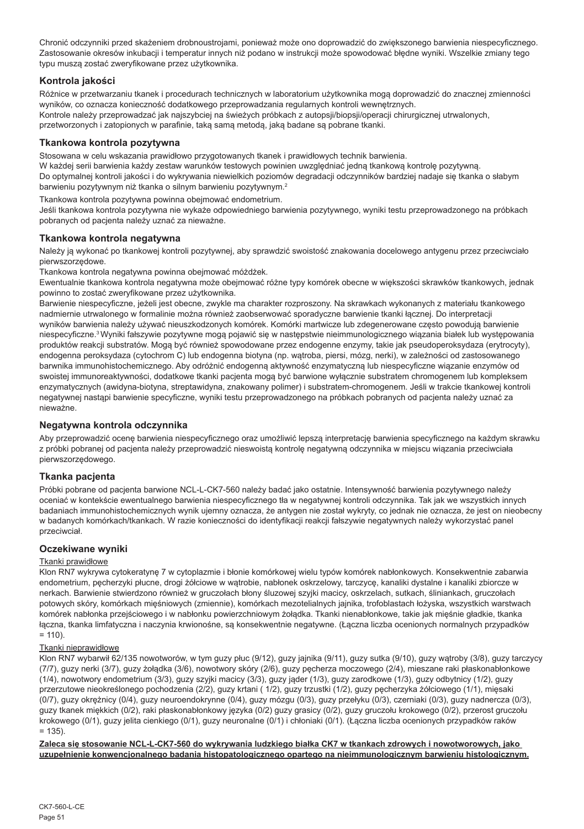Chronić odczynniki przed skażeniem drobnoustrojami, ponieważ może ono doprowadzić do zwiększonego barwienia niespecyficznego. Zastosowanie okresów inkubacji i temperatur innych niż podano w instrukcji może spowodować błędne wyniki. Wszelkie zmiany tego typu muszą zostać zweryfikowane przez użytkownika.

## **Kontrola jakości**

Różnice w przetwarzaniu tkanek i procedurach technicznych w laboratorium użytkownika mogą doprowadzić do znacznej zmienności wyników, co oznacza konieczność dodatkowego przeprowadzania regularnych kontroli wewnętrznych. Kontrole należy przeprowadzać jak najszybciej na świeżych próbkach z autopsji/biopsji/operacji chirurgicznej utrwalonych, przetworzonych i zatopionych w parafinie, taką samą metodą, jaką badane są pobrane tkanki.

## **Tkankowa kontrola pozytywna**

Stosowana w celu wskazania prawidłowo przygotowanych tkanek i prawidłowych technik barwienia.

W każdej serii barwienia każdy zestaw warunków testowych powinien uwzględniać jedną tkankową kontrolę pozytywną. Do optymalnej kontroli jakości i do wykrywania niewielkich poziomów degradacji odczynników bardziej nadaje się tkanka o słabym barwieniu pozytywnym niż tkanka o silnym barwieniu pozytywnym.<sup>2</sup>

Tkankowa kontrola pozytywna powinna obejmować endometrium.

Jeśli tkankowa kontrola pozytywna nie wykaże odpowiedniego barwienia pozytywnego, wyniki testu przeprowadzonego na próbkach pobranych od pacjenta należy uznać za nieważne.

## **Tkankowa kontrola negatywna**

Należy ja wykonać po tkankowej kontroli pozytywnej, aby sprawdzić swoistość znakowania docelowego antygenu przez przeciwciało pierwszorzędowe.

Tkankowa kontrola negatywna powinna obejmować móżdżek.

Ewentualnie tkankowa kontrola negatywna może obejmować różne typy komórek obecne w większości skrawków tkankowych, jednak powinno to zostać zweryfikowane przez użytkownika.

Barwienie niespecyficzne, jeżeli jest obecne, zwykle ma charakter rozproszony. Na skrawkach wykonanych z materiału tkankowego nadmiernie utrwalonego w formalinie można również zaobserwować sporadyczne barwienie tkanki łącznej. Do interpretacji wyników barwienia należy używać nieuszkodzonych komórek. Komórki martwicze lub zdegenerowane często powodują barwienie niespecyficzne.<sup>3</sup>Wyniki fałszywie pozytywne mogą pojawić się w następstwie nieimmunologicznego wiązania białek lub występowania produktów reakcji substratów. Mogą być również spowodowane przez endogenne enzymy, takie jak pseudoperoksydaza (erytrocyty), endogenna peroksydaza (cytochrom C) lub endogenna biotyna (np. wątroba, piersi, mózg, nerki), w zależności od zastosowanego barwnika immunohistochemicznego. Aby odróżnić endogenną aktywność enzymatyczną lub niespecyficzne wiązanie enzymów od swoistej immunoreaktywności, dodatkowe tkanki pacjenta mogą być barwione wyłącznie substratem chromogenem lub kompleksem enzymatycznych (awidyna-biotyna, streptawidyna, znakowany polimer) i substratem-chromogenem. Jeśli w trakcie tkankowej kontroli negatywnej nastąpi barwienie specyficzne, wyniki testu przeprowadzonego na próbkach pobranych od pacjenta należy uznać za nieważne.

## **Negatywna kontrola odczynnika**

Aby przeprowadzić ocenę barwienia niespecyficznego oraz umożliwić lepszą interpretację barwienia specyficznego na każdym skrawku z próbki pobranej od pacjenta należy przeprowadzić nieswoistą kontrolę negatywną odczynnika w miejscu wiązania przeciwciała pierwszorzędowego.

## **Tkanka pacjenta**

Próbki pobrane od pacjenta barwione NCL-L-CK7-560 należy badać jako ostatnie. Intensywność barwienia pozytywnego należy oceniać w kontekście ewentualnego barwienia niespecyficznego tła w negatywnej kontroli odczynnika. Tak jak we wszystkich innych badaniach immunohistochemicznych wynik ujemny oznacza, że antygen nie został wykryty, co jednak nie oznacza, że jest on nieobecny w badanych komórkach/tkankach. W razie konieczności do identyfikacji reakcji fałszywie negatywnych należy wykorzystać panel przeciwciał.

## **Oczekiwane wyniki**

## Tkanki prawidłowe

Klon RN7 wykrywa cytokeratynę 7 w cytoplazmie i błonie komórkowej wielu typów komórek nabłonkowych. Konsekwentnie zabarwia endometrium, pęcherzyki płucne, drogi żółciowe w wątrobie, nabłonek oskrzelowy, tarczycę, kanaliki dystalne i kanaliki zbiorcze w nerkach. Barwienie stwierdzono również w gruczołach błony śluzowej szyjki macicy, oskrzelach, sutkach, śliniankach, gruczołach potowych skóry, komórkach mięśniowych (zmiennie), komórkach mezotelialnych jajnika, trofoblastach łożyska, wszystkich warstwach komórek nabłonka przejściowego i w nabłonku powierzchniowym żołądka. Tkanki nienabłonkowe, takie jak mięśnie gładkie, tkanka łączna, tkanka limfatyczna i naczynia krwionośne, są konsekwentnie negatywne. (Łączna liczba ocenionych normalnych przypadków  $= 110$ ).

## Tkanki nieprawidłowe

Klon RN7 wybarwił 62/135 nowotworów, w tym guzy płuc (9/12), guzy jajnika (9/11), guzy sutka (9/10), guzy wątroby (3/8), guzy tarczycy (7/7), guzy nerki (3/7), guzy żołądka (3/6), nowotwory skóry (2/6), guzy pęcherza moczowego (2/4), mieszane raki płaskonabłonkowe (1/4), nowotwory endometrium (3/3), guzy szyjki macicy (3/3), guzy jąder (1/3), guzy zarodkowe (1/3), guzy odbytnicy (1/2), guzy przerzutowe nieokreślonego pochodzenia (2/2), guzy krtani ( 1/2), guzy trzustki (1/2), guzy pęcherzyka żółciowego (1/1), mięsaki (0/7), guzy okrężnicy (0/4), guzy neuroendokrynne (0/4), guzy mózgu (0/3), guzy przełyku (0/3), czerniaki (0/3), guzy nadnercza (0/3), guzy tkanek miękkich (0/2), raki płaskonabłonkowy języka (0/2) guzy grasicy (0/2), guzy gruczołu krokowego (0/2), przerost gruczołu krokowego (0/1), guzy jelita cienkiego (0/1), guzy neuronalne (0/1) i chłoniaki (0/1). (Łączna liczba ocenionych przypadków raków  $= 135$ ).

**Zaleca się stosowanie NCL-L-CK7-560 do wykrywania ludzkiego białka CK7 w tkankach zdrowych i nowotworowych, jako uzupełnienie konwencjonalnego badania histopatologicznego opartego na nieimmunologicznym barwieniu histologicznym.**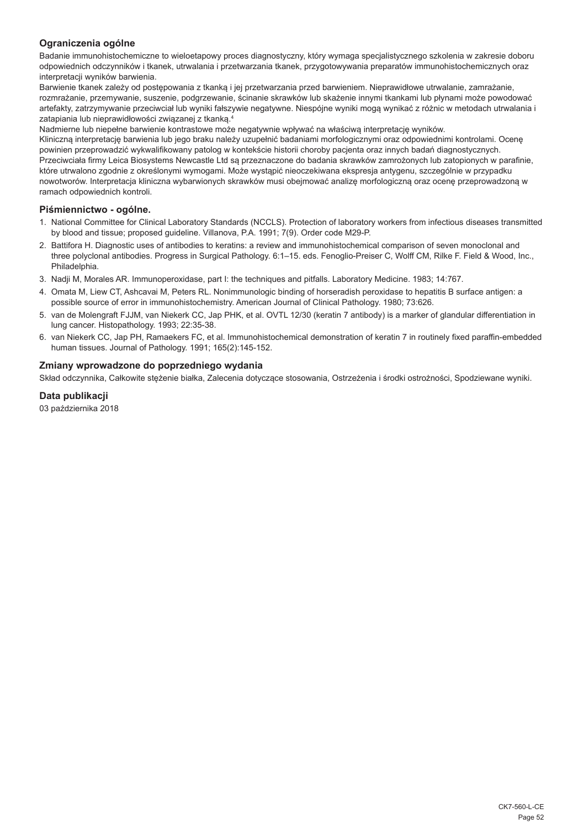## **Ograniczenia ogólne**

Badanie immunohistochemiczne to wieloetapowy proces diagnostyczny, który wymaga specjalistycznego szkolenia w zakresie doboru odpowiednich odczynników i tkanek, utrwalania i przetwarzania tkanek, przygotowywania preparatów immunohistochemicznych oraz interpretacji wyników barwienia.

Barwienie tkanek zależy od postępowania z tkanką i jej przetwarzania przed barwieniem. Nieprawidłowe utrwalanie, zamrażanie, rozmrażanie, przemywanie, suszenie, podgrzewanie, ścinanie skrawków lub skażenie innymi tkankami lub płynami może powodować artefakty, zatrzymywanie przeciwciał lub wyniki fałszywie negatywne. Niespójne wyniki mogą wynikać z różnic w metodach utrwalania i zatapiania lub nieprawidłowości związanej z tkanką.4

Nadmierne lub niepełne barwienie kontrastowe może negatywnie wpływać na właściwą interpretację wyników.

Kliniczną interpretację barwienia lub jego braku należy uzupełnić badaniami morfologicznymi oraz odpowiednimi kontrolami. Ocenę powinien przeprowadzić wykwalifikowany patolog w kontekście historii choroby pacjenta oraz innych badań diagnostycznych. Przeciwciała firmy Leica Biosystems Newcastle Ltd są przeznaczone do badania skrawków zamrożonych lub zatopionych w parafinie, które utrwalono zgodnie z określonymi wymogami. Może wystąpić nieoczekiwana ekspresja antygenu, szczególnie w przypadku nowotworów. Interpretacja kliniczna wybarwionych skrawków musi obejmować analizę morfologiczną oraz ocenę przeprowadzoną w ramach odpowiednich kontroli.

## **Piśmiennictwo - ogólne.**

- 1. National Committee for Clinical Laboratory Standards (NCCLS). Protection of laboratory workers from infectious diseases transmitted by blood and tissue; proposed guideline. Villanova, P.A. 1991; 7(9). Order code M29-P.
- 2. Battifora H. Diagnostic uses of antibodies to keratins: a review and immunohistochemical comparison of seven monoclonal and three polyclonal antibodies. Progress in Surgical Pathology. 6:1–15. eds. Fenoglio-Preiser C, Wolff CM, Rilke F. Field & Wood, Inc., Philadelphia.
- 3. Nadji M, Morales AR. Immunoperoxidase, part I: the techniques and pitfalls. Laboratory Medicine. 1983; 14:767.
- 4. Omata M, Liew CT, Ashcavai M, Peters RL. Nonimmunologic binding of horseradish peroxidase to hepatitis B surface antigen: a possible source of error in immunohistochemistry. American Journal of Clinical Pathology. 1980; 73:626.
- 5. van de Molengraft FJJM, van Niekerk CC, Jap PHK, et al. OVTL 12/30 (keratin 7 antibody) is a marker of glandular differentiation in lung cancer. Histopathology. 1993; 22:35-38.
- 6. van Niekerk CC, Jap PH, Ramaekers FC, et al. Immunohistochemical demonstration of keratin 7 in routinely fixed paraffin-embedded human tissues. Journal of Pathology. 1991; 165(2):145-152.

## **Zmiany wprowadzone do poprzedniego wydania**

Skład odczynnika, Całkowite stężenie białka, Zalecenia dotyczące stosowania, Ostrzeżenia i środki ostrożności, Spodziewane wyniki.

## **Data publikacji**

03 października 2018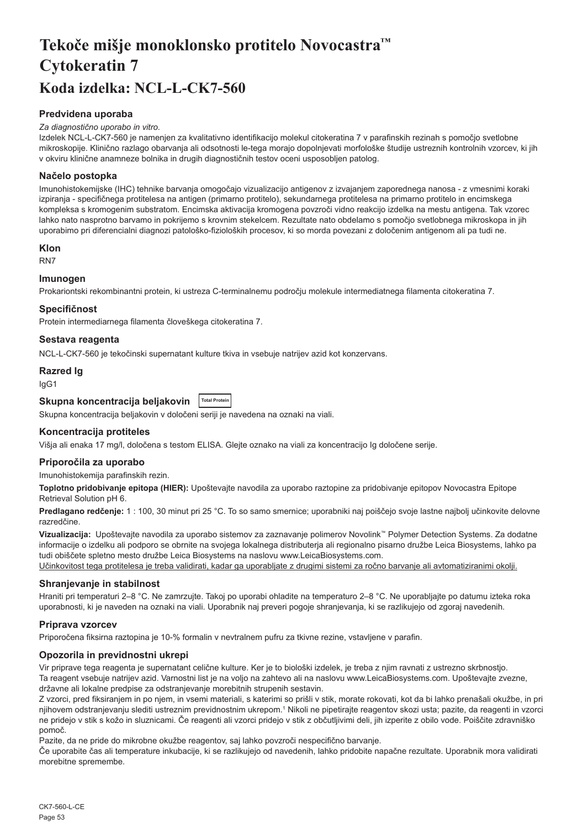## <span id="page-53-0"></span>**Tekoče mišje monoklonsko protitelo Novocastra™ Cytokeratin 7 Koda izdelka: NCL-L-CK7-560**

## **Predvidena uporaba**

#### *Za diagnostično uporabo in vitro.*

Izdelek NCL-L-CK7-560 je namenjen za kvalitativno identifikacijo molekul citokeratina 7 v parafinskih rezinah s pomočjo svetlobne mikroskopije. Klinično razlago obarvanja ali odsotnosti le-tega morajo dopolnjevati morfološke študije ustreznih kontrolnih vzorcev, ki jih v okviru klinične anamneze bolnika in drugih diagnostičnih testov oceni usposobljen patolog.

## **Načelo postopka**

Imunohistokemijske (IHC) tehnike barvanja omogočajo vizualizacijo antigenov z izvajanjem zaporednega nanosa - z vmesnimi koraki izpiranja - specifičnega protitelesa na antigen (primarno protitelo), sekundarnega protitelesa na primarno protitelo in encimskega kompleksa s kromogenim substratom. Encimska aktivacija kromogena povzroči vidno reakcijo izdelka na mestu antigena. Tak vzorec lahko nato nasprotno barvamo in pokrijemo s krovnim stekelcem. Rezultate nato obdelamo s pomočjo svetlobnega mikroskopa in jih uporabimo pri diferencialni diagnozi patološko-fizioloških procesov, ki so morda povezani z določenim antigenom ali pa tudi ne.

#### **Klon**

RN7

## **Imunogen**

Prokariontski rekombinantni protein, ki ustreza C-terminalnemu področju molekule intermediatnega filamenta citokeratina 7.

#### **Specifičnost**

Protein intermediarnega filamenta človeškega citokeratina 7.

#### **Sestava reagenta**

NCL-L-CK7-560 je tekočinski supernatant kulture tkiva in vsebuje natrijev azid kot konzervans.

## **Razred Ig**

IgG1

## **Skupna koncentracija beljakovin Total Protein**

Skupna koncentracija beljakovin v določeni seriji je navedena na oznaki na viali.

## **Koncentracija protiteles**

Višja ali enaka 17 mg/l, določena s testom ELISA. Glejte oznako na viali za koncentracijo Ig določene serije.

#### **Priporočila za uporabo**

Imunohistokemija parafinskih rezin.

**Toplotno pridobivanje epitopa (HIER):** Upoštevajte navodila za uporabo raztopine za pridobivanje epitopov Novocastra Epitope Retrieval Solution pH 6.

**Predlagano redčenje:** 1 : 100, 30 minut pri 25 °C. To so samo smernice; uporabniki naj poiščejo svoje lastne najbolj učinkovite delovne razredčine.

**Vizualizacija:** Upoštevajte navodila za uporabo sistemov za zaznavanje polimerov Novolink™ Polymer Detection Systems. Za dodatne informacije o izdelku ali podporo se obrnite na svojega lokalnega distributerja ali regionalno pisarno družbe Leica Biosystems, lahko pa tudi obiščete spletno mesto družbe Leica Biosystems na naslovu www.LeicaBiosystems.com.

Učinkovitost tega protitelesa je treba validirati, kadar ga uporabljate z drugimi sistemi za ročno barvanje ali avtomatiziranimi okolji.

#### **Shranjevanje in stabilnost**

Hraniti pri temperaturi 2–8 °C. Ne zamrzujte. Takoj po uporabi ohladite na temperaturo 2–8 °C. Ne uporabljajte po datumu izteka roka uporabnosti, ki je naveden na oznaki na viali. Uporabnik naj preveri pogoje shranjevanja, ki se razlikujejo od zgoraj navedenih.

#### **Priprava vzorcev**

Priporočena fiksirna raztopina je 10-% formalin v nevtralnem pufru za tkivne rezine, vstavljene v parafin.

#### **Opozorila in previdnostni ukrepi**

Vir priprave tega reagenta je supernatant celične kulture. Ker je to biološki izdelek, je treba z njim ravnati z ustrezno skrbnostjo. Ta reagent vsebuje natrijev azid. Varnostni list je na voljo na zahtevo ali na naslovu www.LeicaBiosystems.com. Upoštevajte zvezne, državne ali lokalne predpise za odstranjevanje morebitnih strupenih sestavin.

Z vzorci, pred fiksiranjem in po njem, in vsemi materiali, s katerimi so prišli v stik, morate rokovati, kot da bi lahko prenašali okužbe, in pri njihovem odstranjevanju slediti ustreznim previdnostnim ukrepom.<sup>1</sup> Nikoli ne pipetirajte reagentov skozi usta; pazite, da reagenti in vzorci ne pridejo v stik s kožo in sluznicami. Če reagenti ali vzorci pridejo v stik z občutljivimi deli, jih izperite z obilo vode. Poiščite zdravniško pomoč.

Pazite, da ne pride do mikrobne okužbe reagentov, saj lahko povzroči nespecifično barvanje.

Če uporabite čas ali temperature inkubacije, ki se razlikujejo od navedenih, lahko pridobite napačne rezultate. Uporabnik mora validirati morebitne spremembe.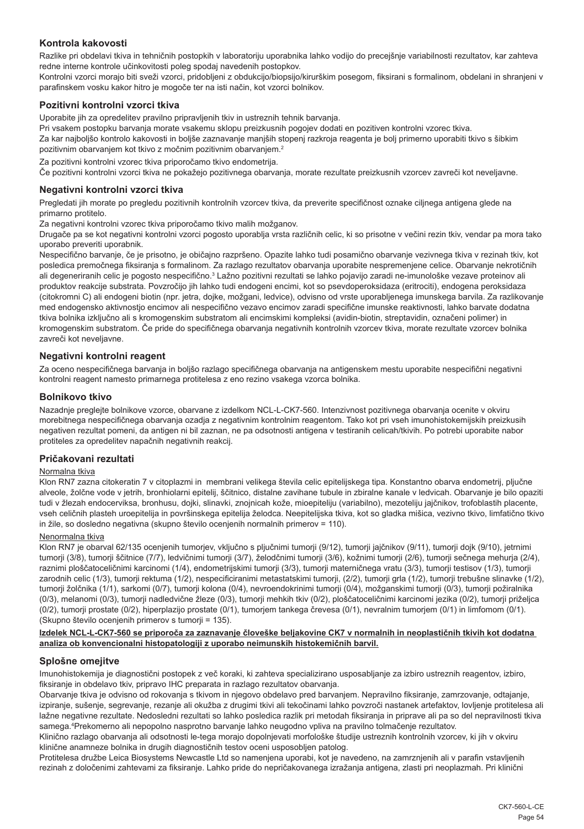## **Kontrola kakovosti**

Razlike pri obdelavi tkiva in tehničnih postopkih v laboratoriju uporabnika lahko vodijo do precejšnje variabilnosti rezultatov, kar zahteva redne interne kontrole učinkovitosti poleg spodaj navedenih postopkov.

Kontrolni vzorci morajo biti sveži vzorci, pridobljeni z obdukcijo/biopsijo/kirurškim posegom, fiksirani s formalinom, obdelani in shranjeni v parafinskem vosku kakor hitro je mogoče ter na isti način, kot vzorci bolnikov.

#### **Pozitivni kontrolni vzorci tkiva**

Uporabite jih za opredelitev pravilno pripravljenih tkiv in ustreznih tehnik barvanja.

Pri vsakem postopku barvanja morate vsakemu sklopu preizkusnih pogojev dodati en pozitiven kontrolni vzorec tkiva. Za kar najboljšo kontrolo kakovosti in boljše zaznavanje manjših stopenj razkroja reagenta je bolj primerno uporabiti tkivo s šibkim pozitivnim obarvanjem kot tkivo z močnim pozitivnim obarvanjem.<sup>2</sup>

Za pozitivni kontrolni vzorec tkiva priporočamo tkivo endometrija.

Če pozitivni kontrolni vzorci tkiva ne pokažejo pozitivnega obarvanja, morate rezultate preizkusnih vzorcev zavreči kot neveljavne.

#### **Negativni kontrolni vzorci tkiva**

Pregledati jih morate po pregledu pozitivnih kontrolnih vzorcev tkiva, da preverite specifičnost oznake ciljnega antigena glede na primarno protitelo.

Za negativni kontrolni vzorec tkiva priporočamo tkivo malih možganov.

Drugače pa se kot negativni kontrolni vzorci pogosto uporablja vrsta različnih celic, ki so prisotne v večini rezin tkiv, vendar pa mora tako uporabo preveriti uporabnik.

Nespecifično barvanje, če je prisotno, je običajno razpršeno. Opazite lahko tudi posamično obarvanje vezivnega tkiva v rezinah tkiv, kot posledica premočnega fiksiranja s formalinom. Za razlago rezultatov obarvanja uporabite nespremenjene celice. Obarvanje nekrotičnih ali degeneriranih celic je pogosto nespecifično.<sup>3</sup> Lažno pozitivni rezultati se lahko pojavijo zaradi ne-imunološke vezave proteinov ali produktov reakcije substrata. Povzročijo jih lahko tudi endogeni encimi, kot so psevdoperoksidaza (eritrociti), endogena peroksidaza (citokromni C) ali endogeni biotin (npr. jetra, dojke, možgani, ledvice), odvisno od vrste uporabljenega imunskega barvila. Za razlikovanje med endogensko aktivnostjo encimov ali nespecifično vezavo encimov zaradi specifične imunske reaktivnosti, lahko barvate dodatna tkiva bolnika izključno ali s kromogenskim substratom ali encimskimi kompleksi (avidin-biotin, streptavidin, označeni polimer) in kromogenskim substratom. Če pride do specifičnega obarvanja negativnih kontrolnih vzorcev tkiva, morate rezultate vzorcev bolnika zavreči kot neveljavne.

#### **Negativni kontrolni reagent**

Za oceno nespecifičnega barvanja in boljšo razlago specifičnega obarvanja na antigenskem mestu uporabite nespecifični negativni kontrolni reagent namesto primarnega protitelesa z eno rezino vsakega vzorca bolnika.

#### **Bolnikovo tkivo**

Nazadnje preglejte bolnikove vzorce, obarvane z izdelkom NCL-L-CK7-560. Intenzivnost pozitivnega obarvanja ocenite v okviru morebitnega nespecifičnega obarvanja ozadja z negativnim kontrolnim reagentom. Tako kot pri vseh imunohistokemijskih preizkusih negativen rezultat pomeni, da antigen ni bil zaznan, ne pa odsotnosti antigena v testiranih celicah/tkivih. Po potrebi uporabite nabor protiteles za opredelitev napačnih negativnih reakcij.

#### **Pričakovani rezultati**

#### Normalna tkiva

Klon RN7 zazna citokeratin 7 v citoplazmi in membrani velikega števila celic epitelijskega tipa. Konstantno obarva endometrij, pljučne alveole, žolčne vode v jetrih, bronhiolarni epitelij, ščitnico, distalne zavihane tubule in zbiralne kanale v ledvicah. Obarvanje je bilo opaziti tudi v žlezah endocerviksa, bronhusu, dojki, slinavki, znojnicah kože, mioepiteliju (variabilno), mezoteliju jajčnikov, trofoblastih placente, vseh celičnih plasteh uroepitelija in površinskega epitelija želodca. Neepitelijska tkiva, kot so gladka mišica, vezivno tkivo, limfatično tkivo in žile, so dosledno negativna (skupno število ocenjenih normalnih primerov = 110).

#### Nenormalna tkiva

Klon RN7 je obarval 62/135 ocenjenih tumorjev, vključno s pljučnimi tumorji (9/12), tumorji jajčnikov (9/11), tumorji dojk (9/10), jetrnimi tumorji (3/8), tumorji ščitnice (7/7), ledvičnimi tumorji (3/7), želodčnimi tumorji (3/6), kožnimi tumorji (2/6), tumorji sečnega mehurja (2/4), raznimi ploščatoceličnimi karcinomi (1/4), endometrijskimi tumorji (3/3), tumorji materničnega vratu (3/3), tumorji testisov (1/3), tumorji zarodnih celic (1/3), tumorji rektuma (1/2), nespecificiranimi metastatskimi tumorji, (2/2), tumorji grla (1/2), tumorji trebušne slinavke (1/2), tumorji žolčnika (1/1), sarkomi (0/7), tumorji kolona (0/4), nevroendokrinimi tumorji (0/4), možganskimi tumorji (0/3), tumorji požiralnika (0/3), melanomi (0/3), tumorji nadledvične žleze (0/3), tumorji mehkih tkiv (0/2), ploščatoceličnimi karcinomi jezika (0/2), tumorji priželjca (0/2), tumorji prostate (0/2), hiperplazijo prostate (0/1), tumorjem tankega črevesa (0/1), nevralnim tumorjem (0/1) in limfomom (0/1). (Skupno število ocenjenih primerov s tumorji = 135).

#### **Izdelek NCL-L-CK7-560 se priporoča za zaznavanje človeške beljakovine CK7 v normalnih in neoplastičnih tkivih kot dodatna analiza ob konvencionalni histopatologiji z uporabo neimunskih histokemičnih barvil.**

## **Splošne omejitve**

Imunohistokemija je diagnostični postopek z več koraki, ki zahteva specializirano usposabljanje za izbiro ustreznih reagentov, izbiro, fiksiranje in obdelavo tkiv, pripravo IHC preparata in razlago rezultatov obarvanja.

Obarvanje tkiva je odvisno od rokovanja s tkivom in njegovo obdelavo pred barvanjem. Nepravilno fiksiranje, zamrzovanje, odtajanje, izpiranje, sušenje, segrevanje, rezanje ali okužba z drugimi tkivi ali tekočinami lahko povzroči nastanek artefaktov, lovljenje protitelesa ali lažne negativne rezultate. Nedosledni rezultati so lahko posledica razlik pri metodah fiksiranja in priprave ali pa so del nepravilnosti tkiva samega.4 Prekomerno ali nepopolno nasprotno barvanje lahko neugodno vpliva na pravilno tolmačenje rezultatov.

Klinično razlago obarvanja ali odsotnosti le-tega morajo dopolnjevati morfološke študije ustreznih kontrolnih vzorcev, ki jih v okviru klinične anamneze bolnika in drugih diagnostičnih testov oceni usposobljen patolog.

Protitelesa družbe Leica Biosystems Newcastle Ltd so namenjena uporabi, kot je navedeno, na zamrznjenih ali v parafin vstavljenih rezinah z določenimi zahtevami za fiksiranje. Lahko pride do nepričakovanega izražanja antigena, zlasti pri neoplazmah. Pri klinični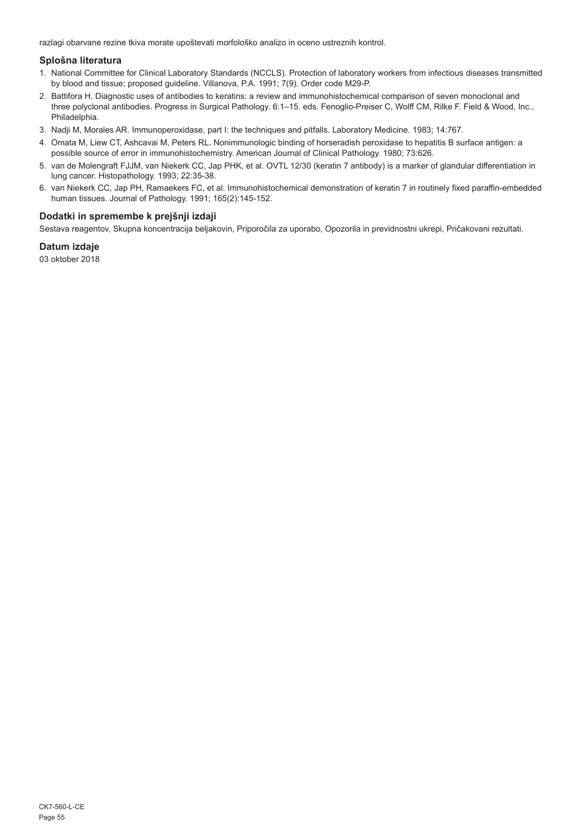razlagi obarvane rezine tkiva morate upoštevati morfološko analizo in oceno ustreznih kontrol.

## **Splošna literatura**

- 1. National Committee for Clinical Laboratory Standards (NCCLS). Protection of laboratory workers from infectious diseases transmitted by blood and tissue; proposed guideline. Villanova, P.A. 1991; 7(9). Order code M29-P.
- 2. Battifora H. Diagnostic uses of antibodies to keratins: a review and immunohistochemical comparison of seven monoclonal and three polyclonal antibodies. Progress in Surgical Pathology. 6:1–15. eds. Fenoglio-Preiser C, Wolff CM, Rilke F. Field & Wood, Inc., Philadelphia.
- 3. Nadji M, Morales AR. Immunoperoxidase, part I: the techniques and pitfalls. Laboratory Medicine. 1983; 14:767.
- 4. Omata M, Liew CT, Ashcavai M, Peters RL. Nonimmunologic binding of horseradish peroxidase to hepatitis B surface antigen: a possible source of error in immunohistochemistry. American Journal of Clinical Pathology. 1980; 73:626.
- 5. van de Molengraft FJJM, van Niekerk CC, Jap PHK, et al. OVTL 12/30 (keratin 7 antibody) is a marker of glandular differentiation in lung cancer. Histopathology. 1993; 22:35-38.
- 6. van Niekerk CC, Jap PH, Ramaekers FC, et al. Immunohistochemical demonstration of keratin 7 in routinely fixed paraffin-embedded human tissues. Journal of Pathology. 1991; 165(2):145-152.

## **Dodatki in spremembe k prejšnji izdaji**

Sestava reagentov, Skupna koncentracija beljakovin, Priporočila za uporabo, Opozorila in previdnostni ukrepi, Pričakovani rezultati.

## **Datum izdaje**

03 oktober 2018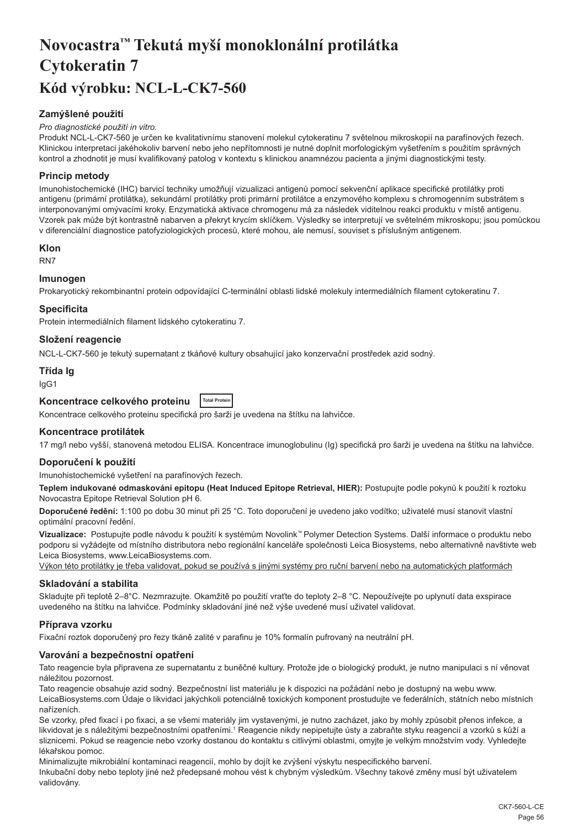## <span id="page-56-0"></span>**Novocastra™ Tekutá myší monoklonální protilátka Cytokeratin 7 Kód výrobku: NCL-L-CK7-560**

## **Zamýšlené použití**

#### *Pro diagnostické použití in vitro.*

Produkt NCL-L-CK7-560 je určen ke kvalitativnímu stanovení molekul cytokeratinu 7 světelnou mikroskopií na parafínových řezech. Klinickou interpretaci jakéhokoliv barvení nebo jeho nepřítomnosti je nutné doplnit morfologickým vyšetřením s použitím správných kontrol a zhodnotit je musí kvalifikovaný patolog v kontextu s klinickou anamnézou pacienta a jinými diagnostickými testy.

## **Princip metody**

Imunohistochemické (IHC) barvicí techniky umožňují vizualizaci antigenů pomocí sekvenční aplikace specifické protilátky proti antigenu (primární protilátka), sekundární protilátky proti primární protilátce a enzymového komplexu s chromogenním substrátem s interponovanými omývacími kroky. Enzymatická aktivace chromogenu má za následek viditelnou reakci produktu v místě antigenu. Vzorek pak může být kontrastně nabarven a překryt krycím sklíčkem. Výsledky se interpretují ve světelném mikroskopu; jsou pomůckou v diferenciální diagnostice patofyziologických procesů, které mohou, ale nemusí, souviset s příslušným antigenem.

#### **Klon**

RN7

## **Imunogen**

Prokaryotický rekombinantní protein odpovídající C-terminální oblasti lidské molekuly intermediálních filament cytokeratinu 7.

#### **Specificita**

Protein intermediálních filament lidského cytokeratinu 7.

#### **Složení reagencie**

NCL-L-CK7-560 je tekutý supernatant z tkáňové kultury obsahující jako konzervační prostředek azid sodný.

#### **Třída Ig**

IgG1

## **Koncentrace celkového proteinu Total Protein**

Koncentrace celkového proteinu specifická pro šarži je uvedena na štítku na lahvičce.

#### **Koncentrace protilátek**

17 mg/l nebo vyšší, stanovená metodou ELISA. Koncentrace imunoglobulinu (Ig) specifická pro šarži je uvedena na štítku na lahvičce.

#### **Doporučení k použití**

Imunohistochemické vyšetření na parafínových řezech.

**Teplem indukované odmaskování epitopu (Heat Induced Epitope Retrieval, HIER):** Postupujte podle pokynů k použití k roztoku Novocastra Epitope Retrieval Solution pH 6.

**Doporučené ředění:** 1:100 po dobu 30 minut při 25 °C. Toto doporučení je uvedeno jako vodítko; uživatelé musí stanovit vlastní optimální pracovní ředění.

**Vizualizace:** Postupujte podle návodu k použití k systémům Novolink™ Polymer Detection Systems. Další informace o produktu nebo podporu si vyžádejte od místního distributora nebo regionální kanceláře společnosti Leica Biosystems, nebo alternativně navštivte web Leica Biosystems, www.LeicaBiosystems.com.

Výkon této protilátky je třeba validovat, pokud se používá s jinými systémy pro ruční barvení nebo na automatických platformách

#### **Skladování a stabilita**

Skladujte při teplotě 2–8°C. Nezmrazujte. Okamžitě po použití vraťte do teploty 2–8 °C. Nepoužívejte po uplynutí data exspirace uvedeného na štítku na lahvičce. Podmínky skladování jiné než výše uvedené musí uživatel validovat.

## **Příprava vzorku**

Fixační roztok doporučený pro řezy tkáně zalité v parafinu je 10% formalín pufrovaný na neutrální pH.

#### **Varování a bezpečnostní opatření**

Tato reagencie byla připravena ze supernatantu z buněčné kultury. Protože jde o biologický produkt, je nutno manipulaci s ní věnovat náležitou pozornost.

Tato reagencie obsahuje azid sodný. Bezpečnostní list materiálu je k dispozici na požádání nebo je dostupný na webu www. LeicaBiosystems.com Údaje o likvidaci jakýchkoli potenciálně toxických komponent prostudujte ve federálních, státních nebo místních nařízeních.

Se vzorky, před fixací i po fixaci, a se všemi materiály jim vystavenými, je nutno zacházet, jako by mohly způsobit přenos infekce, a likvidovat je s náležitými bezpečnostními opatřeními.1 Reagencie nikdy nepipetujte ústy a zabraňte styku reagencií a vzorků s kůží a sliznicemi. Pokud se reagencie nebo vzorky dostanou do kontaktu s citlivými oblastmi, omyjte je velkým množstvím vody. Vyhledejte lékařskou pomoc.

Minimalizujte mikrobiální kontaminaci reagencií, mohlo by dojít ke zvýšení výskytu nespecifického barvení.

Inkubační doby nebo teploty jiné než předepsané mohou vést k chybným výsledkům. Všechny takové změny musí být uživatelem validovány.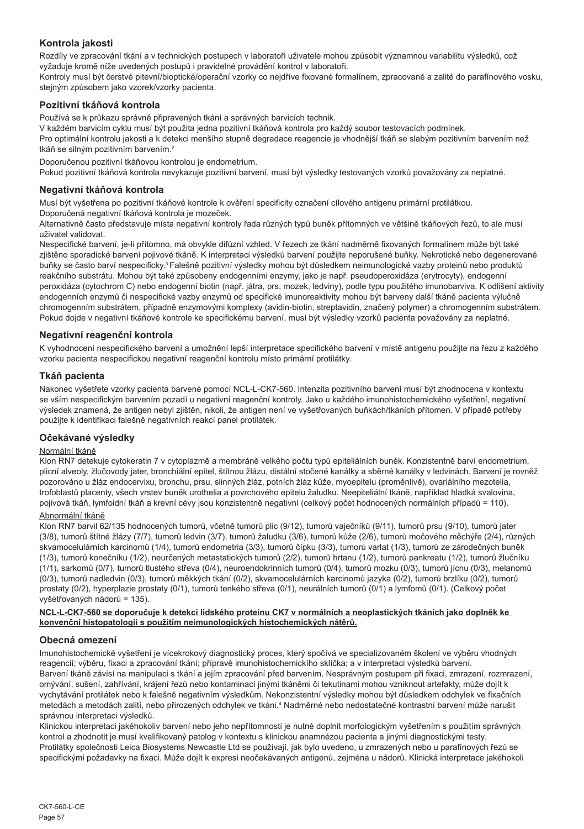## **Kontrola jakosti**

Rozdíly ve zpracování tkání a v technických postupech v laboratoři uživatele mohou způsobit významnou variabilitu výsledků, což vyžaduje kromě níže uvedených postupů i pravidelné provádění kontrol v laboratoři.

Kontroly musí být čerstvé pitevní/bioptické/operační vzorky co nejdříve fixované formalínem, zpracované a zalité do parafínového vosku, stejným způsobem jako vzorek/vzorky pacienta.

## **Pozitivní tkáňová kontrola**

Používá se k průkazu správně připravených tkání a správných barvicích technik.

V každém barvicím cyklu musí být použita jedna pozitivní tkáňová kontrola pro každý soubor testovacích podmínek.

Pro optimální kontrolu jakosti a k detekci menšího stupně degradace reagencie je vhodnější tkáň se slabým pozitivním barvením než tkáň se silným pozitivním barvením.<sup>2</sup>

Doporučenou pozitivní tkáňovou kontrolou je endometrium.

Pokud pozitivní tkáňová kontrola nevykazuje pozitivní barvení, musí být výsledky testovaných vzorků považovány za neplatné.

## **Negativní tkáňová kontrola**

Musí být vyšetřena po pozitivní tkáňové kontrole k ověření specificity označení cílového antigenu primární protilátkou. Doporučená negativní tkáňová kontrola je mozeček.

Alternativně často představuje místa negativní kontroly řada různých typů buněk přítomných ve většině tkáňových řezů, to ale musí uživatel validovat.

Nespecifické barvení, je-li přítomno, má obvykle difúzní vzhled. V řezech ze tkání nadměrně fixovaných formalínem může být také zjištěno sporadické barvení pojivové tkáně. K interpretaci výsledků barvení použijte neporušené buňky. Nekrotické nebo degenerované buňky se často barví nespecificky.<sup>3</sup>Falešně pozitivní výsledky mohou být důsledkem neimunologické vazby proteinů nebo produktů reakčního substrátu. Mohou být také způsobeny endogenními enzymy, jako je např. pseudoperoxidáza (erytrocyty), endogenní peroxidáza (cytochrom C) nebo endogenní biotin (např. játra, prs, mozek, ledviny), podle typu použitého imunobarviva. K odlišení aktivity endogenních enzymů či nespecifické vazby enzymů od specifické imunoreaktivity mohou být barveny další tkáně pacienta výlučně chromogenním substrátem, případně enzymovými komplexy (avidin-biotin, streptavidin, značený polymer) a chromogenním substrátem. Pokud dojde v negativní tkáňové kontrole ke specifickému barvení, musí být výsledky vzorků pacienta považovány za neplatné.

## **Negativní reagenční kontrola**

K vyhodnocení nespecifického barvení a umožnění lepší interpretace specifického barvení v místě antigenu použijte na řezu z každého vzorku pacienta nespecifickou negativní reagenční kontrolu místo primární protilátky.

## **Tkáň pacienta**

Nakonec vyšetřete vzorky pacienta barvené pomocí NCL-L-CK7-560. Intenzita pozitivního barvení musí být zhodnocena v kontextu se vším nespecifickým barvením pozadí u negativní reagenční kontroly. Jako u každého imunohistochemického vyšetření, negativní výsledek znamená, že antigen nebyl zjištěn, nikoli, že antigen není ve vyšetřovaných buňkách/tkáních přítomen. V případě potřeby použijte k identifikaci falešně negativních reakcí panel protilátek.

## **Očekávané výsledky**

## Normální tkáně

Klon RN7 detekuje cytokeratin 7 v cytoplazmě a membráně velkého počtu typů epiteliálních buněk. Konzistentně barví endometrium, plicní alveoly, žlučovody jater, bronchiální epitel, štítnou žlázu, distální stočené kanálky a sběrné kanálky v ledvinách. Barvení je rovněž pozorováno u žláz endocervixu, bronchu, prsu, slinných žláz, potních žláz kůže, myoepitelu (proměnlivě), ovariálního mezotelia, trofoblastů placenty, všech vrstev buněk urothelia a povrchového epitelu žaludku. Neepiteliální tkáně, například hladká svalovina, pojivová tkáň, lymfoidní tkáň a krevní cévy jsou konzistentně negativní (celkový počet hodnocených normálních případů = 110).

## Abnormální tkáně

Klon RN7 barvil 62/135 hodnocených tumorů, včetně tumorů plic (9/12), tumorů vaječníků (9/11), tumorů prsu (9/10), tumorů jater (3/8), tumorů štítné žlázy (7/7), tumorů ledvin (3/7), tumorů žaludku (3/6), tumorů kůže (2/6), tumorů močového měchýře (2/4), různých skvamocelulárních karcinomů (1/4), tumorů endometria (3/3), tumorů čípku (3/3), tumorů varlat (1/3), tumorů ze zárodečných buněk (1/3), tumorů konečníku (1/2), neurčených metastatických tumorů (2/2), tumorů hrtanu (1/2), tumorů pankreatu (1/2), tumorů žlučníku (1/1), sarkomů (0/7), tumorů tlustého střeva (0/4), neuroendokrinních tumorů (0/4), tumorů mozku (0/3), tumorů jícnu (0/3), melanomů (0/3), tumorů nadledvin (0/3), tumorů měkkých tkání (0/2), skvamocelulárních karcinomů jazyka (0/2), tumorů brzlíku (0/2), tumorů prostaty (0/2), hyperplazie prostaty (0/1), tumorů tenkého střeva (0/1), neurálních tumorů (0/1) a lymfomů (0/1). (Celkový počet vyšetřovaných nádorů = 135).

#### **NCL-L-CK7-560 se doporučuje k detekci lidského proteinu CK7 v normálních a neoplastických tkáních jako doplněk ke konvenční histopatologii s použitím neimunologických histochemických nátěrů.**

## **Obecná omezení**

Imunohistochemické vyšetření je vícekrokový diagnostický proces, který spočívá ve specializovaném školení ve výběru vhodných reagencií; výběru, fixaci a zpracování tkání; přípravě imunohistochemickího sklíčka; a v interpretaci výsledků barvení. Barvení tkáně závisí na manipulaci s tkání a jejím zpracování před barvením. Nesprávným postupem při fixaci, zmrazení, rozmrazení, omývání, sušení, zahřívání, krájení řezů nebo kontaminací jinými tkáněmi či tekutinami mohou vzniknout artefakty, může dojít k vychytávání protilátek nebo k falešně negativním výsledkům. Nekonzistentní výsledky mohou být důsledkem odchylek ve fixačních metodách a metodách zalití, nebo přirozených odchylek ve tkáni.<sup>4</sup> Nadměrné nebo nedostatečné kontrastní barvení může narušit správnou interpretaci výsledků.

Klinickou interpretaci jakéhokoliv barvení nebo jeho nepřítomnosti je nutné doplnit morfologickým vyšetřením s použitím správných kontrol a zhodnotit je musí kvalifikovaný patolog v kontextu s klinickou anamnézou pacienta a jinými diagnostickými testy. Protilátky společnosti Leica Biosystems Newcastle Ltd se používají, jak bylo uvedeno, u zmrazených nebo u parafínových řezů se specifickými požadavky na fixaci. Může dojít k expresi neočekávaných antigenů, zejména u nádorů. Klinická interpretace jakéhokoli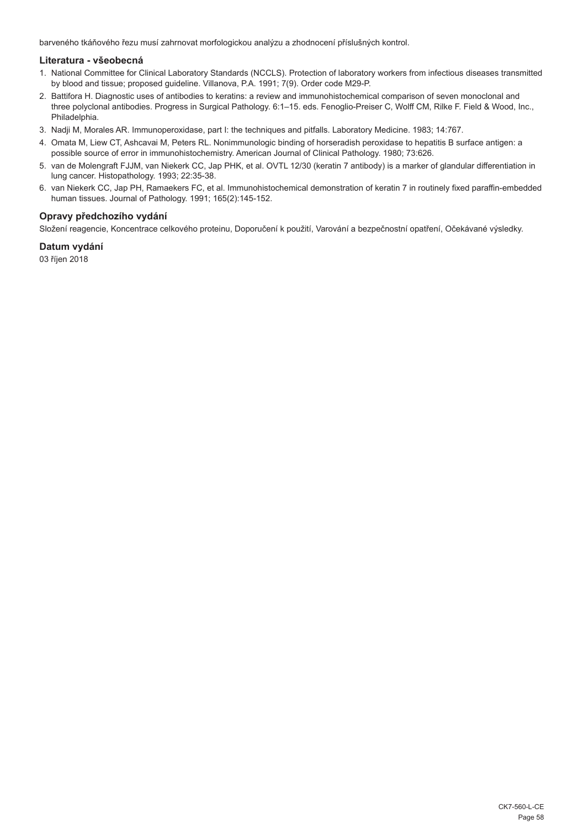barveného tkáňového řezu musí zahrnovat morfologickou analýzu a zhodnocení příslušných kontrol.

## **Literatura - všeobecná**

- 1. National Committee for Clinical Laboratory Standards (NCCLS). Protection of laboratory workers from infectious diseases transmitted by blood and tissue; proposed guideline. Villanova, P.A. 1991; 7(9). Order code M29-P.
- 2. Battifora H. Diagnostic uses of antibodies to keratins: a review and immunohistochemical comparison of seven monoclonal and three polyclonal antibodies. Progress in Surgical Pathology. 6:1–15. eds. Fenoglio-Preiser C, Wolff CM, Rilke F. Field & Wood, Inc., Philadelphia.
- 3. Nadji M, Morales AR. Immunoperoxidase, part I: the techniques and pitfalls. Laboratory Medicine. 1983; 14:767.
- 4. Omata M, Liew CT, Ashcavai M, Peters RL. Nonimmunologic binding of horseradish peroxidase to hepatitis B surface antigen: a possible source of error in immunohistochemistry. American Journal of Clinical Pathology. 1980; 73:626.
- 5. van de Molengraft FJJM, van Niekerk CC, Jap PHK, et al. OVTL 12/30 (keratin 7 antibody) is a marker of glandular differentiation in lung cancer. Histopathology. 1993; 22:35-38.
- 6. van Niekerk CC, Jap PH, Ramaekers FC, et al. Immunohistochemical demonstration of keratin 7 in routinely fixed paraffin-embedded human tissues. Journal of Pathology. 1991; 165(2):145-152.

## **Opravy předchozího vydání**

Složení reagencie, Koncentrace celkového proteinu, Doporučení k použití, Varování a bezpečnostní opatření, Očekávané výsledky.

## **Datum vydání**

03 říjen 2018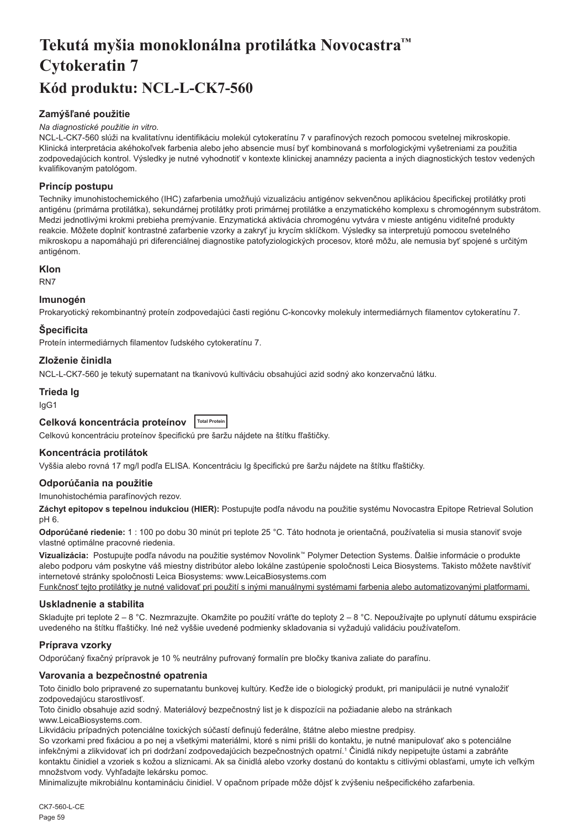## <span id="page-59-0"></span>**Tekutá myšia monoklonálna protilátka Novocastra™ Cytokeratin 7 Kód produktu: NCL-L-CK7-560**

## **Zamýšľané použitie**

#### *Na diagnostické použitie in vitro.*

NCL-L-CK7-560 slúži na kvalitatívnu identifikáciu molekúl cytokeratínu 7 v parafínových rezoch pomocou svetelnej mikroskopie. Klinická interpretácia akéhokoľvek farbenia alebo jeho absencie musí byť kombinovaná s morfologickými vyšetreniami za použitia zodpovedajúcich kontrol. Výsledky je nutné vyhodnotiť v kontexte klinickej anamnézy pacienta a iných diagnostických testov vedených kvalifikovaným patológom.

## **Princíp postupu**

Techniky imunohistochemického (IHC) zafarbenia umožňujú vizualizáciu antigénov sekvenčnou aplikáciou špecifickej protilátky proti antigénu (primárna protilátka), sekundárnej protilátky proti primárnej protilátke a enzymatického komplexu s chromogénnym substrátom. Medzi jednotlivými krokmi prebieha premývanie. Enzymatická aktivácia chromogénu vytvára v mieste antigénu viditeľné produkty reakcie. Môžete doplniť kontrastné zafarbenie vzorky a zakryť ju krycím sklíčkom. Výsledky sa interpretujú pomocou svetelného mikroskopu a napomáhajú pri diferenciálnej diagnostike patofyziologických procesov, ktoré môžu, ale nemusia byť spojené s určitým antigénom.

## **Klon**

RN7

## **Imunogén**

Prokaryotický rekombinantný proteín zodpovedajúci časti regiónu C-koncovky molekuly intermediárnych filamentov cytokeratínu 7.

## **Špecificita**

Proteín intermediárnych filamentov ľudského cytokeratínu 7.

## **Zloženie činidla**

NCL-L-CK7-560 je tekutý supernatant na tkanivovú kultiváciu obsahujúci azid sodný ako konzervačnú látku.

#### **Trieda Ig**

IgG1

#### **Celková koncentrácia proteínov Total Protein**

Celkovú koncentráciu proteínov špecifickú pre šaržu nájdete na štítku fľaštičky.

## **Koncentrácia protilátok**

Vyššia alebo rovná 17 mg/l podľa ELISA. Koncentráciu Ig špecifickú pre šaržu nájdete na štítku fľaštičky.

#### **Odporúčania na použitie**

Imunohistochémia parafínových rezov.

**Záchyt epitopov s tepelnou indukciou (HIER):** Postupujte podľa návodu na použitie systému Novocastra Epitope Retrieval Solution pH 6.

**Odporúčané riedenie:** 1 : 100 po dobu 30 minút pri teplote 25 °C. Táto hodnota je orientačná, používatelia si musia stanoviť svoje vlastné optimálne pracovné riedenia.

**Vizualizácia:** Postupujte podľa návodu na použitie systémov Novolink™ Polymer Detection Systems. Ďalšie informácie o produkte alebo podporu vám poskytne váš miestny distribútor alebo lokálne zastúpenie spoločnosti Leica Biosystems. Takisto môžete navštíviť internetové stránky spoločnosti Leica Biosystems: www.LeicaBiosystems.com

Funkčnosť tejto protilátky je nutné validovať pri použití s inými manuálnymi systémami farbenia alebo automatizovanými platformami.

## **Uskladnenie a stabilita**

Skladujte pri teplote 2 – 8 °C. Nezmrazujte. Okamžite po použití vráťte do teploty 2 – 8 °C. Nepoužívajte po uplynutí dátumu exspirácie uvedeného na štítku fľaštičky. Iné než vyššie uvedené podmienky skladovania si vyžadujú validáciu používateľom.

## **Príprava vzorky**

Odporúčaný fixačný prípravok je 10 % neutrálny pufrovaný formalín pre bločky tkaniva zaliate do parafínu.

## **Varovania a bezpečnostné opatrenia**

Toto činidlo bolo pripravené zo supernatantu bunkovej kultúry. Keďže ide o biologický produkt, pri manipulácii je nutné vynaložiť zodpovedajúcu starostlivosť.

Toto činidlo obsahuje azid sodný. Materiálový bezpečnostný list je k dispozícii na požiadanie alebo na stránkach www.LeicaBiosystems.com.

Likvidáciu prípadných potenciálne toxických súčastí definujú federálne, štátne alebo miestne predpisy.

So vzorkami pred fixáciou a po nej a všetkými materiálmi, ktoré s nimi prišli do kontaktu, je nutné manipulovať ako s potenciálne infekčnými a zlikvidovať ich pri dodržaní zodpovedajúcich bezpečnostných opatrní.<sup>1</sup> Činidlá nikdy nepipetujte ústami a zabráňte kontaktu činidiel a vzoriek s kožou a sliznicami. Ak sa činidlá alebo vzorky dostanú do kontaktu s citlivými oblasťami, umyte ich veľkým množstvom vody. Vyhľadajte lekársku pomoc.

Minimalizujte mikrobiálnu kontamináciu činidiel. V opačnom prípade môže dôjsť k zvýšeniu nešpecifického zafarbenia.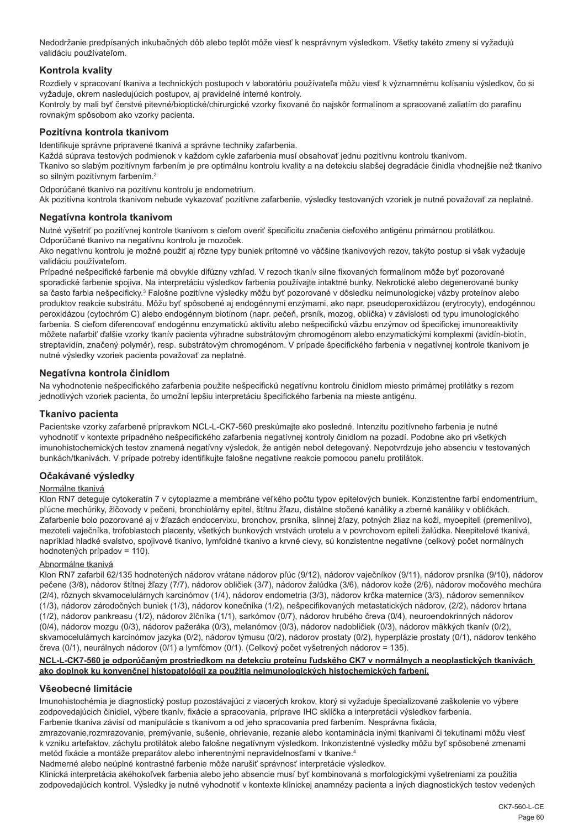Nedodržanie predpísaných inkubačných dôb alebo teplôt môže viesť k nesprávnym výsledkom. Všetky takéto zmeny si vyžadujú validáciu používateľom.

## **Kontrola kvality**

Rozdiely v spracovaní tkaniva a technických postupoch v laboratóriu používateľa môžu viesť k významnému kolísaniu výsledkov, čo si vyžaduje, okrem nasledujúcich postupov, aj pravidelné interné kontroly.

Kontroly by mali byť čerstvé pitevné/bioptické/chirurgické vzorky fixované čo najskôr formalínom a spracované zaliatím do parafínu rovnakým spôsobom ako vzorky pacienta.

## **Pozitívna kontrola tkanivom**

Identifikuje správne pripravené tkanivá a správne techniky zafarbenia.

Každá súprava testových podmienok v každom cykle zafarbenia musí obsahovať jednu pozitívnu kontrolu tkanivom. Tkanivo so slabým pozitívnym farbením je pre optimálnu kontrolu kvality a na detekciu slabšej degradácie činidla vhodnejšie než tkanivo so silným pozitívnym farbením.<sup>2</sup>

Odporúčané tkanivo na pozitívnu kontrolu je endometrium.

Ak pozitívna kontrola tkanivom nebude vykazovať pozitívne zafarbenie, výsledky testovaných vzoriek je nutné považovať za neplatné.

#### **Negatívna kontrola tkanivom**

Nutné vyšetriť po pozitívnej kontrole tkanivom s cieľom overiť špecificitu značenia cieľového antigénu primárnou protilátkou. Odporúčané tkanivo na negatívnu kontrolu je mozoček.

Ako negatívnu kontrolu je možné použiť aj rôzne typy buniek prítomné vo väčšine tkanivových rezov, takýto postup si však vyžaduje validáciu používateľom.

Prípadné nešpecifické farbenie má obvykle difúzny vzhľad. V rezoch tkanív silne fixovaných formalínom môže byť pozorované sporadické farbenie spojiva. Na interpretáciu výsledkov farbenia používajte intaktné bunky. Nekrotické alebo degenerované bunky sa často farbia nešpecificky.<sup>3</sup> Falošne pozitívne výsledky môžu byť pozorované v dôsledku neimunologickej väzby proteínov alebo produktov reakcie substrátu. Môžu byť spôsobené aj endogénnymi enzýmami, ako napr. pseudoperoxidázou (erytrocyty), endogénnou peroxidázou (cytochróm C) alebo endogénnym biotínom (napr. pečeň, prsník, mozog, oblička) v závislosti od typu imunologického farbenia. S cieľom diferencovať endogénnu enzymatickú aktivitu alebo nešpecifickú väzbu enzýmov od špecifickej imunoreaktivity môžete nafarbiť ďalšie vzorky tkanív pacienta výhradne substrátovým chromogénom alebo enzymatickými komplexmi (avidín-biotín, streptavidín, značený polymér), resp. substrátovým chromogénom. V prípade špecifického farbenia v negatívnej kontrole tkanivom je nutné výsledky vzoriek pacienta považovať za neplatné.

#### **Negatívna kontrola činidlom**

Na vyhodnotenie nešpecifického zafarbenia použite nešpecifickú negatívnu kontrolu činidlom miesto primárnej protilátky s rezom jednotlivých vzoriek pacienta, čo umožní lepšiu interpretáciu špecifického farbenia na mieste antigénu.

#### **Tkanivo pacienta**

Pacientske vzorky zafarbené prípravkom NCL-L-CK7-560 preskúmajte ako posledné. Intenzitu pozitívneho farbenia je nutné vyhodnotiť v kontexte prípadného nešpecifického zafarbenia negatívnej kontroly činidlom na pozadí. Podobne ako pri všetkých imunohistochemických testov znamená negatívny výsledok, že antigén nebol detegovaný. Nepotvrdzuje jeho absenciu v testovaných bunkách/tkanivách. V prípade potreby identifikujte falošne negatívne reakcie pomocou panelu protilátok.

## **Očakávané výsledky**

## Normálne tkanivá

Klon RN7 deteguje cytokeratín 7 v cytoplazme a membráne veľkého počtu typov epitelových buniek. Konzistentne farbí endomentrium, pľúcne mechúriky, žlčovody v pečeni, bronchiolárny epitel, štítnu žľazu, distálne stočené kanáliky a zberné kanáliky v obličkách. Zafarbenie bolo pozorované aj v žľazách endocervixu, bronchov, prsníka, slinnej žľazy, potných žliaz na koži, myoepiteli (premenlivo), mezoteli vaječníka, trofoblastoch placenty, všetkých bunkových vrstvách urotelu a v povrchovom epiteli žalúdka. Neepitelové tkanivá, napríklad hladké svalstvo, spojivové tkanivo, lymfoidné tkanivo a krvné cievy, sú konzistentne negatívne (celkový počet normálnych hodnotených prípadov = 110).

## Abnormálne tkanivá

Klon RN7 zafarbil 62/135 hodnotených nádorov vrátane nádorov pľúc (9/12), nádorov vaječníkov (9/11), nádorov prsníka (9/10), nádorov pečene (3/8), nádorov štítnej žľazy (7/7), nádorov obličiek (3/7), nádorov žalúdka (3/6), nádorov kože (2/6), nádorov močového mechúra (2/4), rôznych skvamocelulárnych karcinómov (1/4), nádorov endometria (3/3), nádorov krčka maternice (3/3), nádorov semenníkov (1/3), nádorov zárodočných buniek (1/3), nádorov konečníka (1/2), nešpecifikovaných metastatických nádorov, (2/2), nádorov hrtana (1/2), nádorov pankreasu (1/2), nádorov žlčníka (1/1), sarkómov (0/7), nádorov hrubého čreva (0/4), neuroendokrinných nádorov (0/4), nádorov mozgu (0/3), nádorov pažeráka (0/3), melanómov (0/3), nádorov nadobličiek (0/3), nádorov mäkkých tkanív (0/2), skvamocelulárnych karcinómov jazyka (0/2), nádorov týmusu (0/2), nádorov prostaty (0/2), hyperplázie prostaty (0/1), nádorov tenkého čreva (0/1), neurálnych nádorov (0/1) a lymfómov (0/1). (Celkový počet vyšetrených nádorov = 135).

#### **NCL-L-CK7-560 je odporúčaným prostriedkom na detekciu proteínu ľudského CK7 v normálnych a neoplastických tkanivách ako doplnok ku konvenčnej histopatológii za použitia neimunologických histochemických farbení.**

## **Všeobecné limitácie**

Imunohistochémia je diagnostický postup pozostávajúci z viacerých krokov, ktorý si vyžaduje špecializované zaškolenie vo výbere zodpovedajúcich činidiel, výbere tkanív, fixácie a spracovania, príprave IHC sklíčka a interpretácii výsledkov farbenia. Farbenie tkaniva závisí od manipulácie s tkanivom a od jeho spracovania pred farbením. Nesprávna fixácia,

zmrazovanie, rozmrazovanie, premývanie, sušenie, ohrievanie, rezanie alebo kontaminácia inými tkanivami či tekutinami môžu viesť k vzniku artefaktov, záchytu protilátok alebo falošne negatívnym výsledkom. Inkonzistentné výsledky môžu byť spôsobené zmenami metód fixácie a montáže preparátov alebo inherentnými nepravidelnosťami v tkanive.4

Nadmerné alebo neúplné kontrastné farbenie môže narušiť správnosť interpretácie výsledkov.

Klinická interpretácia akéhokoľvek farbenia alebo jeho absencie musí byť kombinovaná s morfologickými vyšetreniami za použitia zodpovedajúcich kontrol. Výsledky je nutné vyhodnotiť v kontexte klinickej anamnézy pacienta a iných diagnostických testov vedených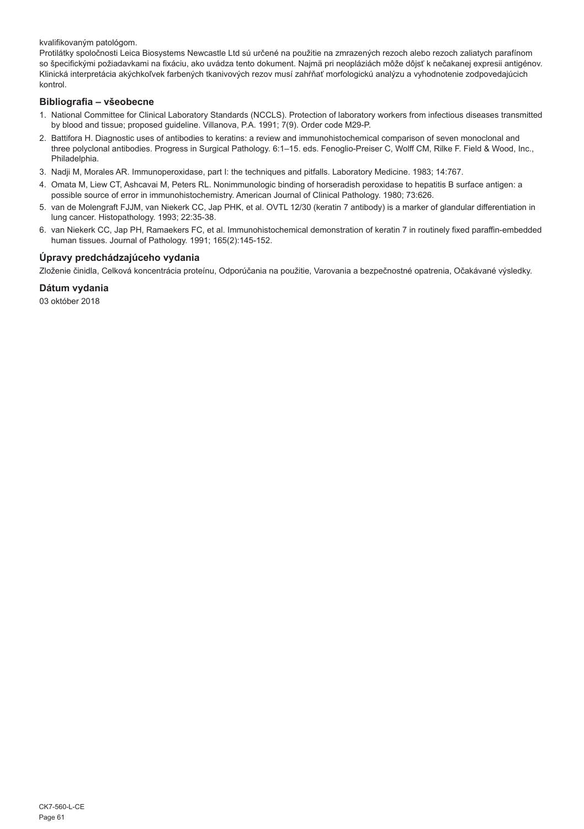kvalifikovaným patológom.

Protilátky spoločnosti Leica Biosystems Newcastle Ltd sú určené na použitie na zmrazených rezoch alebo rezoch zaliatych parafínom so špecifickými požiadavkami na fixáciu, ako uvádza tento dokument. Najmä pri neopláziách môže dôjsť k nečakanej expresii antigénov. Klinická interpretácia akýchkoľvek farbených tkanivových rezov musí zahŕňať morfologickú analýzu a vyhodnotenie zodpovedajúcich kontrol.

## **Bibliografia – všeobecne**

- 1. National Committee for Clinical Laboratory Standards (NCCLS). Protection of laboratory workers from infectious diseases transmitted by blood and tissue; proposed guideline. Villanova, P.A. 1991; 7(9). Order code M29-P.
- 2. Battifora H. Diagnostic uses of antibodies to keratins: a review and immunohistochemical comparison of seven monoclonal and three polyclonal antibodies. Progress in Surgical Pathology. 6:1–15. eds. Fenoglio-Preiser C, Wolff CM, Rilke F. Field & Wood, Inc., Philadelphia.
- 3. Nadji M, Morales AR. Immunoperoxidase, part I: the techniques and pitfalls. Laboratory Medicine. 1983; 14:767.
- 4. Omata M, Liew CT, Ashcavai M, Peters RL. Nonimmunologic binding of horseradish peroxidase to hepatitis B surface antigen: a possible source of error in immunohistochemistry. American Journal of Clinical Pathology. 1980; 73:626.
- 5. van de Molengraft FJJM, van Niekerk CC, Jap PHK, et al. OVTL 12/30 (keratin 7 antibody) is a marker of glandular differentiation in lung cancer. Histopathology. 1993; 22:35-38.
- 6. van Niekerk CC, Jap PH, Ramaekers FC, et al. Immunohistochemical demonstration of keratin 7 in routinely fixed paraffin-embedded human tissues. Journal of Pathology. 1991; 165(2):145-152.

## **Úpravy predchádzajúceho vydania**

Zloženie činidla, Celková koncentrácia proteínu, Odporúčania na použitie, Varovania a bezpečnostné opatrenia, Očakávané výsledky.

## **Dátum vydania**

03 október 2018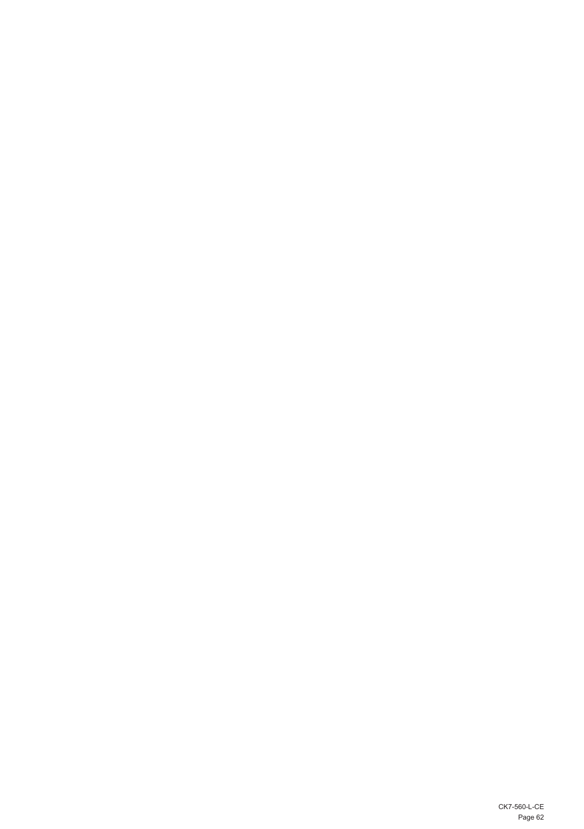CK7-560-L-CE Page 62